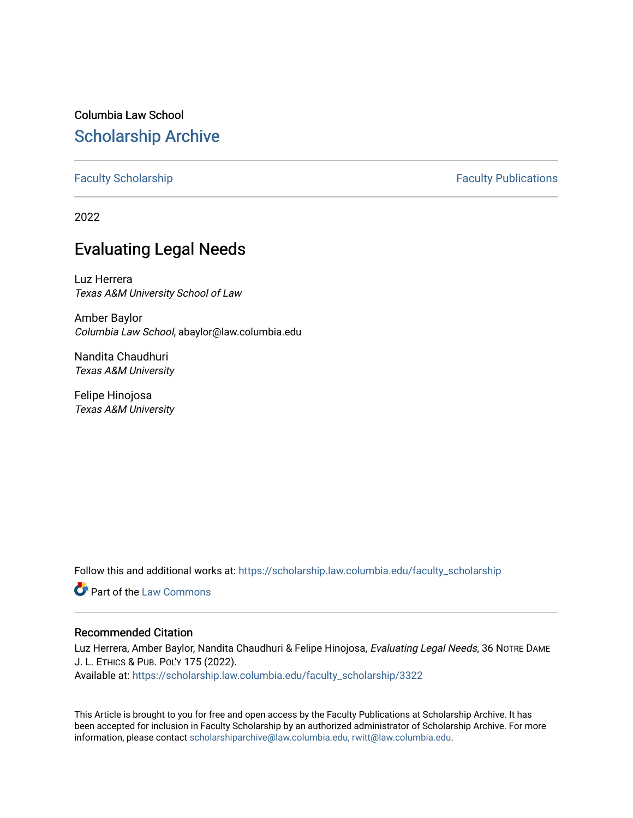# Columbia Law School [Scholarship Archive](https://scholarship.law.columbia.edu/)

[Faculty Scholarship](https://scholarship.law.columbia.edu/faculty_scholarship) **Faculty Scholarship Faculty Publications** 

2022

# Evaluating Legal Needs

Luz Herrera Texas A&M University School of Law

Amber Baylor Columbia Law School, abaylor@law.columbia.edu

Nandita Chaudhuri Texas A&M University

Felipe Hinojosa Texas A&M University

Follow this and additional works at: [https://scholarship.law.columbia.edu/faculty\\_scholarship](https://scholarship.law.columbia.edu/faculty_scholarship?utm_source=scholarship.law.columbia.edu%2Ffaculty_scholarship%2F3322&utm_medium=PDF&utm_campaign=PDFCoverPages)

**C** Part of the [Law Commons](http://network.bepress.com/hgg/discipline/578?utm_source=scholarship.law.columbia.edu%2Ffaculty_scholarship%2F3322&utm_medium=PDF&utm_campaign=PDFCoverPages)

# Recommended Citation

Luz Herrera, Amber Baylor, Nandita Chaudhuri & Felipe Hinojosa, Evaluating Legal Needs, 36 NOTRE DAME J. L. ETHICS & PUB. POL'Y 175 (2022).

Available at: [https://scholarship.law.columbia.edu/faculty\\_scholarship/3322](https://scholarship.law.columbia.edu/faculty_scholarship/3322?utm_source=scholarship.law.columbia.edu%2Ffaculty_scholarship%2F3322&utm_medium=PDF&utm_campaign=PDFCoverPages)

This Article is brought to you for free and open access by the Faculty Publications at Scholarship Archive. It has been accepted for inclusion in Faculty Scholarship by an authorized administrator of Scholarship Archive. For more information, please contact [scholarshiparchive@law.columbia.edu, rwitt@law.columbia.edu](mailto:scholarshiparchive@law.columbia.edu,%20rwitt@law.columbia.edu).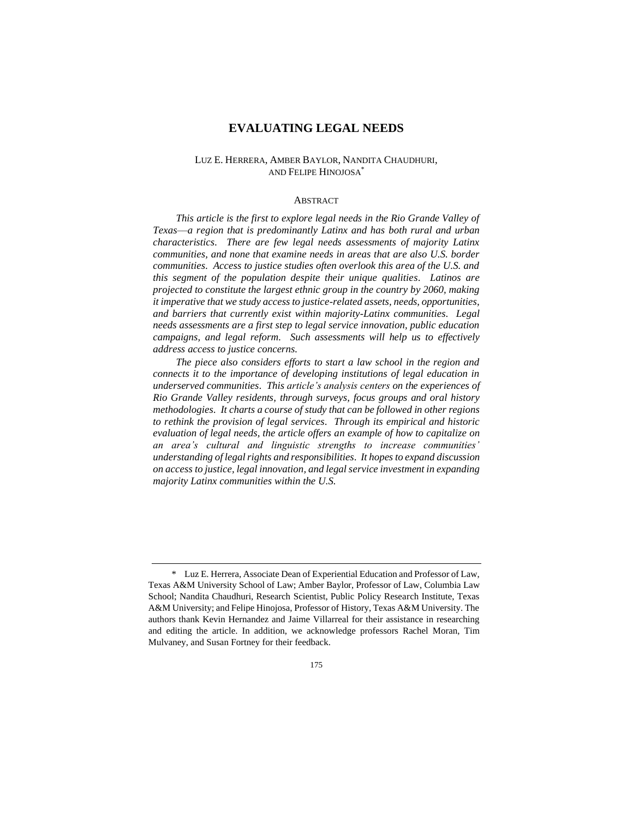# **EVALUATING LEGAL NEEDS**

# LUZ E. HERRERA, AMBER BAYLOR, NANDITA CHAUDHURI, AND FELIPE HINOJOSA\*

#### ABSTRACT

*This article is the first to explore legal needs in the Rio Grande Valley of Texas––a region that is predominantly Latinx and has both rural and urban characteristics. There are few legal needs assessments of majority Latinx communities, and none that examine needs in areas that are also U.S. border communities. Access to justice studies often overlook this area of the U.S. and this segment of the population despite their unique qualities. Latinos are projected to constitute the largest ethnic group in the country by 2060, making it imperative that we study access to justice-related assets, needs, opportunities, and barriers that currently exist within majority-Latinx communities. Legal needs assessments are a first step to legal service innovation, public education campaigns, and legal reform. Such assessments will help us to effectively address access to justice concerns.* 

*The piece also considers efforts to start a law school in the region and connects it to the importance of developing institutions of legal education in underserved communities. This article's analysis centers on the experiences of Rio Grande Valley residents, through surveys, focus groups and oral history methodologies. It charts a course of study that can be followed in other regions to rethink the provision of legal services. Through its empirical and historic evaluation of legal needs, the article offers an example of how to capitalize on an area's cultural and linguistic strengths to increase communities' understanding of legal rights and responsibilities. It hopes to expand discussion on access to justice, legal innovation, and legal service investment in expanding majority Latinx communities within the U.S.* 

<sup>\*</sup> Luz E. Herrera, Associate Dean of Experiential Education and Professor of Law, Texas A&M University School of Law; Amber Baylor, Professor of Law, Columbia Law School; Nandita Chaudhuri, Research Scientist, Public Policy Research Institute, Texas A&M University; and Felipe Hinojosa, Professor of History, Texas A&M University. The authors thank Kevin Hernandez and Jaime Villarreal for their assistance in researching and editing the article. In addition, we acknowledge professors Rachel Moran, Tim Mulvaney, and Susan Fortney for their feedback.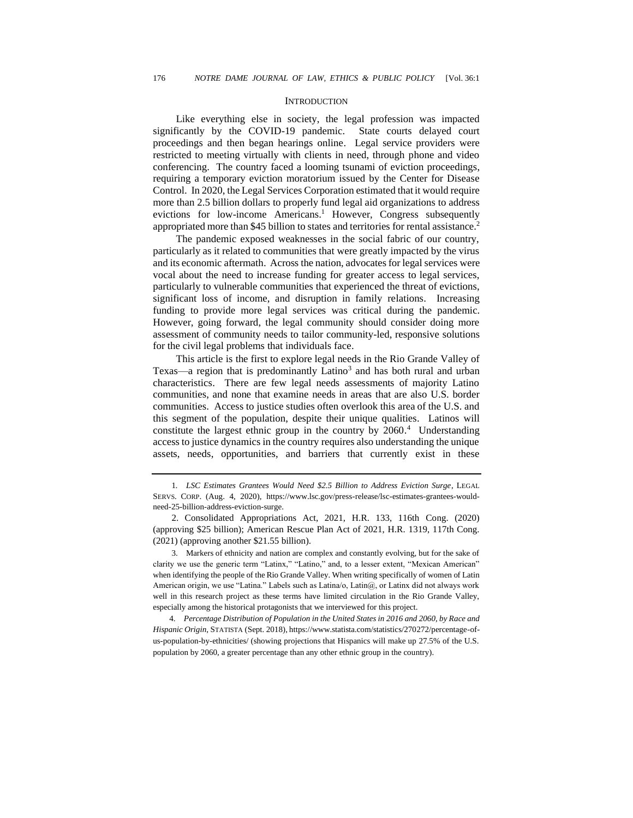#### **INTRODUCTION**

Like everything else in society, the legal profession was impacted significantly by the COVID-19 pandemic. State courts delayed court proceedings and then began hearings online. Legal service providers were restricted to meeting virtually with clients in need, through phone and video conferencing. The country faced a looming tsunami of eviction proceedings, requiring a temporary eviction moratorium issued by the Center for Disease Control. In 2020, the Legal Services Corporation estimated that it would require more than 2.5 billion dollars to properly fund legal aid organizations to address evictions for low-income Americans.<sup>1</sup> However, Congress subsequently appropriated more than \$45 billion to states and territories for rental assistance.<sup>2</sup>

The pandemic exposed weaknesses in the social fabric of our country, particularly as it related to communities that were greatly impacted by the virus and its economic aftermath. Across the nation, advocates for legal services were vocal about the need to increase funding for greater access to legal services, particularly to vulnerable communities that experienced the threat of evictions, significant loss of income, and disruption in family relations. Increasing funding to provide more legal services was critical during the pandemic. However, going forward, the legal community should consider doing more assessment of community needs to tailor community-led, responsive solutions for the civil legal problems that individuals face.

This article is the first to explore legal needs in the Rio Grande Valley of Texas—a region that is predominantly Latino<sup>3</sup> and has both rural and urban characteristics. There are few legal needs assessments of majority Latino communities, and none that examine needs in areas that are also U.S. border communities. Access to justice studies often overlook this area of the U.S. and this segment of the population, despite their unique qualities. Latinos will constitute the largest ethnic group in the country by 2060. <sup>4</sup> Understanding access to justice dynamics in the country requires also understanding the unique assets, needs, opportunities, and barriers that currently exist in these

<sup>1</sup>*. LSC Estimates Grantees Would Need \$2.5 Billion to Address Eviction Surge*, LEGAL SERVS. CORP. (Aug. 4, 2020), https://www.lsc.gov/press-release/lsc-estimates-grantees-wouldneed-25-billion-address-eviction-surge.

<sup>2.</sup> Consolidated Appropriations Act, 2021, H.R. 133, 116th Cong. (2020) (approving \$25 billion); American Rescue Plan Act of 2021, H.R. 1319, 117th Cong. (2021) (approving another \$21.55 billion).

<sup>3.</sup> Markers of ethnicity and nation are complex and constantly evolving, but for the sake of clarity we use the generic term "Latinx," "Latino," and, to a lesser extent, "Mexican American" when identifying the people of the Rio Grande Valley. When writing specifically of women of Latin American origin, we use "Latina." Labels such as Latina/o, Latin@, or Latinx did not always work well in this research project as these terms have limited circulation in the Rio Grande Valley, especially among the historical protagonists that we interviewed for this project.

<sup>4.</sup> *Percentage Distribution of Population in the United States in 2016 and 2060, by Race and Hispanic Origin*, STATISTA (Sept. 2018), https://www.statista.com/statistics/270272/percentage-ofus-population-by-ethnicities/ (showing projections that Hispanics will make up 27.5% of the U.S. population by 2060, a greater percentage than any other ethnic group in the country).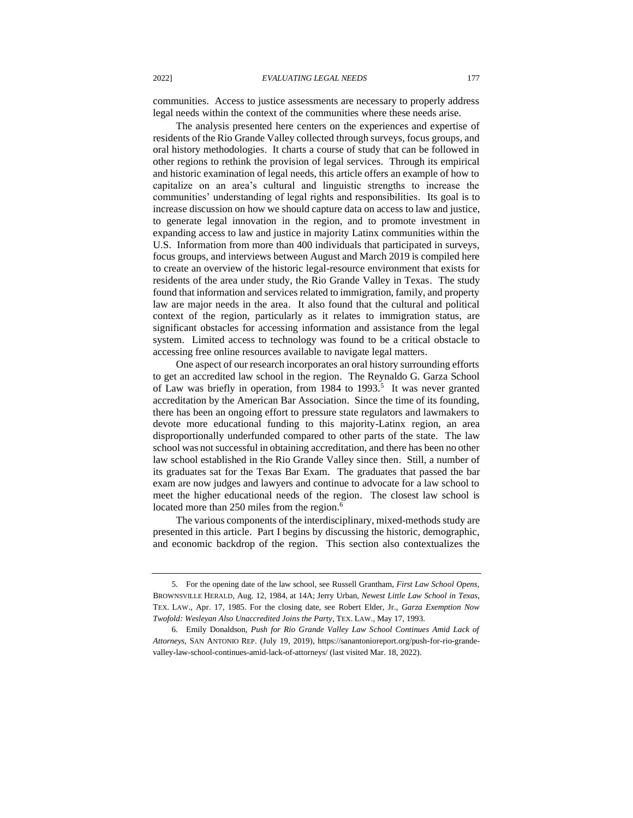communities. Access to justice assessments are necessary to properly address legal needs within the context of the communities where these needs arise.

The analysis presented here centers on the experiences and expertise of residents of the Rio Grande Valley collected through surveys, focus groups, and oral history methodologies. It charts a course of study that can be followed in other regions to rethink the provision of legal services. Through its empirical and historic examination of legal needs, this article offers an example of how to capitalize on an area's cultural and linguistic strengths to increase the communities' understanding of legal rights and responsibilities. Its goal is to increase discussion on how we should capture data on access to law and justice, to generate legal innovation in the region, and to promote investment in expanding access to law and justice in majority Latinx communities within the U.S. Information from more than 400 individuals that participated in surveys, focus groups, and interviews between August and March 2019 is compiled here to create an overview of the historic legal-resource environment that exists for residents of the area under study, the Rio Grande Valley in Texas. The study found that information and services related to immigration, family, and property law are major needs in the area. It also found that the cultural and political context of the region, particularly as it relates to immigration status, are significant obstacles for accessing information and assistance from the legal system. Limited access to technology was found to be a critical obstacle to accessing free online resources available to navigate legal matters.

One aspect of our research incorporates an oral history surrounding efforts to get an accredited law school in the region. The Reynaldo G. Garza School of Law was briefly in operation, from 1984 to 1993.<sup>5</sup> It was never granted accreditation by the American Bar Association. Since the time of its founding, there has been an ongoing effort to pressure state regulators and lawmakers to devote more educational funding to this majority-Latinx region, an area disproportionally underfunded compared to other parts of the state. The law school was not successful in obtaining accreditation, and there has been no other law school established in the Rio Grande Valley since then. Still, a number of its graduates sat for the Texas Bar Exam. The graduates that passed the bar exam are now judges and lawyers and continue to advocate for a law school to meet the higher educational needs of the region. The closest law school is located more than 250 miles from the region.<sup>6</sup>

The various components of the interdisciplinary, mixed-methods study are presented in this article. Part I begins by discussing the historic, demographic, and economic backdrop of the region. This section also contextualizes the

<sup>5.</sup> For the opening date of the law school, see Russell Grantham, *First Law School Opens*, BROWNSVILLE HERALD, Aug. 12, 1984, at 14A; Jerry Urban, *Newest Little Law School in Texas*, TEX. LAW., Apr. 17, 1985. For the closing date, see Robert Elder, Jr., *Garza Exemption Now Twofold: Wesleyan Also Unaccredited Joins the Party*, TEX. LAW., May 17, 1993.

<sup>6.</sup> Emily Donaldson, *Push for Rio Grande Valley Law School Continues Amid Lack of Attorneys*, SAN ANTONIO REP. (July 19, 2019), https://sanantonioreport.org/push-for-rio-grandevalley-law-school-continues-amid-lack-of-attorneys/ (last visited Mar. 18, 2022).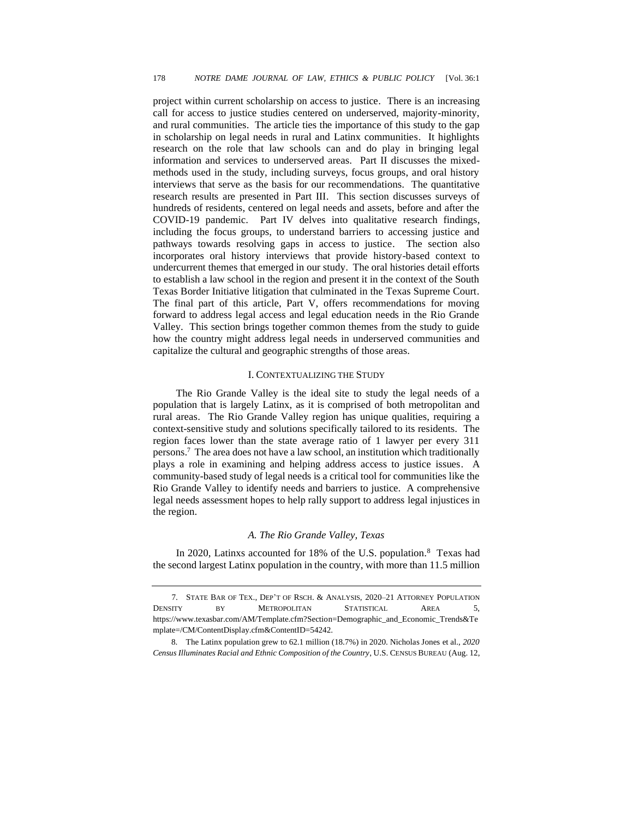project within current scholarship on access to justice. There is an increasing call for access to justice studies centered on underserved, majority-minority, and rural communities. The article ties the importance of this study to the gap in scholarship on legal needs in rural and Latinx communities. It highlights research on the role that law schools can and do play in bringing legal information and services to underserved areas. Part II discusses the mixedmethods used in the study, including surveys, focus groups, and oral history interviews that serve as the basis for our recommendations. The quantitative research results are presented in Part III. This section discusses surveys of hundreds of residents, centered on legal needs and assets, before and after the COVID-19 pandemic. Part IV delves into qualitative research findings, including the focus groups, to understand barriers to accessing justice and pathways towards resolving gaps in access to justice. The section also incorporates oral history interviews that provide history-based context to undercurrent themes that emerged in our study. The oral histories detail efforts to establish a law school in the region and present it in the context of the South Texas Border Initiative litigation that culminated in the Texas Supreme Court. The final part of this article, Part V, offers recommendations for moving forward to address legal access and legal education needs in the Rio Grande Valley. This section brings together common themes from the study to guide how the country might address legal needs in underserved communities and capitalize the cultural and geographic strengths of those areas.

#### I. CONTEXTUALIZING THE STUDY

The Rio Grande Valley is the ideal site to study the legal needs of a population that is largely Latinx, as it is comprised of both metropolitan and rural areas. The Rio Grande Valley region has unique qualities, requiring a context-sensitive study and solutions specifically tailored to its residents. The region faces lower than the state average ratio of 1 lawyer per every 311 persons. <sup>7</sup> The area does not have a law school, an institution which traditionally plays a role in examining and helping address access to justice issues. A community-based study of legal needs is a critical tool for communities like the Rio Grande Valley to identify needs and barriers to justice. A comprehensive legal needs assessment hopes to help rally support to address legal injustices in the region.

# *A. The Rio Grande Valley, Texas*

In 2020, Latinxs accounted for 18% of the U.S. population. 8 Texas had the second largest Latinx population in the country, with more than 11.5 million

<sup>7.</sup> STATE BAR OF TEX., DEP'T OF RSCH. & ANALYSIS, 2020–21 ATTORNEY POPULATION DENSITY BY METROPOLITAN STATISTICAL AREA 5, https://www.texasbar.com/AM/Template.cfm?Section=Demographic\_and\_Economic\_Trends&Te mplate=/CM/ContentDisplay.cfm&ContentID=54242.

<sup>8.</sup> The Latinx population grew to 62.1 million (18.7%) in 2020. Nicholas Jones et al., *2020 Census Illuminates Racial and Ethnic Composition of the Country*, U.S. CENSUS BUREAU (Aug. 12,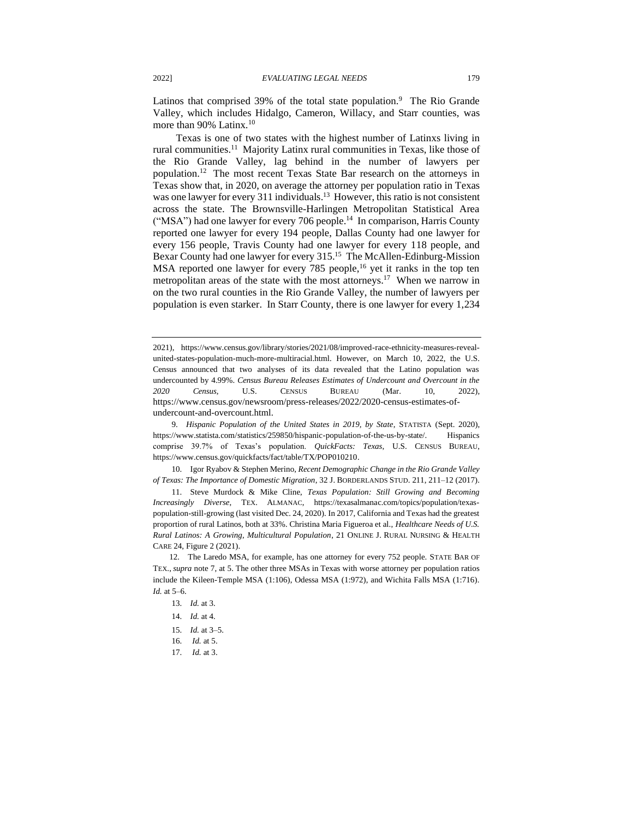Latinos that comprised 39% of the total state population.<sup>9</sup> The Rio Grande Valley, which includes Hidalgo, Cameron, Willacy, and Starr counties, was more than 90% Latinx.<sup>10</sup>

Texas is one of two states with the highest number of Latinxs living in rural communities.<sup>11</sup> Majority Latinx rural communities in Texas, like those of the Rio Grande Valley, lag behind in the number of lawyers per population.<sup>12</sup> The most recent Texas State Bar research on the attorneys in Texas show that, in 2020, on average the attorney per population ratio in Texas was one lawyer for every 311 individuals.<sup>13</sup> However, this ratio is not consistent across the state. The Brownsville-Harlingen Metropolitan Statistical Area ("MSA") had one lawyer for every 706 people.<sup>14</sup> In comparison, Harris County reported one lawyer for every 194 people, Dallas County had one lawyer for every 156 people, Travis County had one lawyer for every 118 people, and Bexar County had one lawyer for every 315.<sup>15</sup> The McAllen-Edinburg-Mission MSA reported one lawyer for every 785 people,<sup>16</sup> yet it ranks in the top ten metropolitan areas of the state with the most attorneys.<sup>17</sup> When we narrow in on the two rural counties in the Rio Grande Valley, the number of lawyers per population is even starker. In Starr County, there is one lawyer for every 1,234

10. Igor Ryabov & Stephen Merino, *Recent Demographic Change in the Rio Grande Valley of Texas: The Importance of Domestic Migration*, 32 J. BORDERLANDS STUD. 211, 211–12 (2017).

11. Steve Murdock & Mike Cline, *Texas Population: Still Growing and Becoming Increasingly Diverse*, TEX. ALMANAC, https://texasalmanac.com/topics/population/texaspopulation-still-growing (last visited Dec. 24, 2020). In 2017, California and Texas had the greatest proportion of rural Latinos, both at 33%. Christina Maria Figueroa et al., *Healthcare Needs of U.S. Rural Latinos: A Growing, Multicultural Population*, 21 ONLINE J. RURAL NURSING & HEALTH CARE 24, Figure 2 (2021).

12. The Laredo MSA, for example, has one attorney for every 752 people. STATE BAR OF TEX., *supra* note 7, at 5. The other three MSAs in Texas with worse attorney per population ratios include the Kileen-Temple MSA (1:106), Odessa MSA (1:972), and Wichita Falls MSA (1:716). *Id.* at 5–6.

- 13. *Id.* at 3.
- 14. *Id.* at 4.
- 15. *Id.* at 3–5.
- 16. *Id.* at 5.
- 17. *Id.* at 3.

<sup>2021),</sup> https://www.census.gov/library/stories/2021/08/improved-race-ethnicity-measures-revealunited-states-population-much-more-multiracial.html. However, on March 10, 2022, the U.S. Census announced that two analyses of its data revealed that the Latino population was undercounted by 4.99%. *Census Bureau Releases Estimates of Undercount and Overcount in the 2020 Census*, U.S. CENSUS BUREAU (Mar. 10, 2022), https://www.census.gov/newsroom/press-releases/2022/2020-census-estimates-ofundercount-and-overcount.html.

<sup>9.</sup> *Hispanic Population of the United States in 2019, by State*, STATISTA (Sept. 2020), https://www.statista.com/statistics/259850/hispanic-population-of-the-us-by-state/. Hispanics comprise 39.7% of Texas's population. *QuickFacts: Texas*, U.S. CENSUS BUREAU, https://www.census.gov/quickfacts/fact/table/TX/POP010210.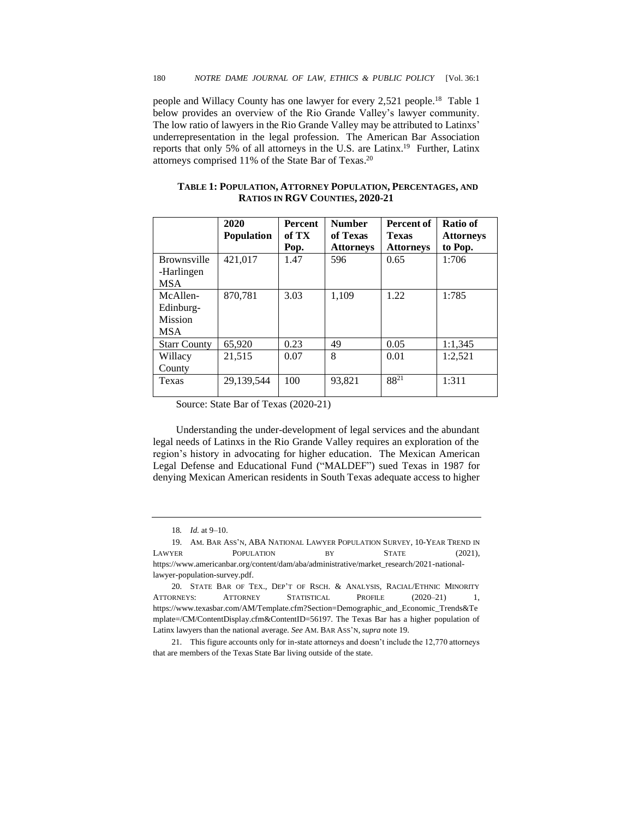people and Willacy County has one lawyer for every 2,521 people.<sup>18</sup> Table 1 below provides an overview of the Rio Grande Valley's lawyer community. The low ratio of lawyers in the Rio Grande Valley may be attributed to Latinxs' underrepresentation in the legal profession. The American Bar Association reports that only 5% of all attorneys in the U.S. are Latinx.<sup>19</sup> Further, Latinx attorneys comprised 11% of the State Bar of Texas. 20

|                                                       | 2020<br><b>Population</b> | <b>Percent</b><br>of TX<br>Pop. | <b>Number</b><br>of Texas<br><b>Attorneys</b> | Percent of<br><b>Texas</b><br><b>Attorneys</b> | Ratio of<br><b>Attorneys</b><br>to Pop. |
|-------------------------------------------------------|---------------------------|---------------------------------|-----------------------------------------------|------------------------------------------------|-----------------------------------------|
| <b>Brownsville</b><br>-Harlingen<br><b>MSA</b>        | 421,017                   | 1.47                            | 596                                           | 0.65                                           | 1:706                                   |
| McAllen-<br>Edinburg-<br><b>Mission</b><br><b>MSA</b> | 870,781                   | 3.03                            | 1,109                                         | 1.22                                           | 1:785                                   |
| <b>Starr County</b>                                   | 65,920                    | 0.23                            | 49                                            | 0.05                                           | 1:1,345                                 |
| Willacy<br>County                                     | 21.515                    | 0.07                            | 8                                             | 0.01                                           | 1:2.521                                 |
| Texas                                                 | 29.139.544                | 100                             | 93.821                                        | $88^{21}$                                      | 1:311                                   |

**TABLE 1: POPULATION, ATTORNEY POPULATION, PERCENTAGES, AND RATIOS IN RGV COUNTIES, 2020-21**

Source: State Bar of Texas (2020-21)

Understanding the under-development of legal services and the abundant legal needs of Latinxs in the Rio Grande Valley requires an exploration of the region's history in advocating for higher education. The Mexican American Legal Defense and Educational Fund ("MALDEF") sued Texas in 1987 for denying Mexican American residents in South Texas adequate access to higher

<sup>18</sup>*. Id.* at 9–10.

<sup>19.</sup> AM. BAR ASS'N, ABA NATIONAL LAWYER POPULATION SURVEY, 10-YEAR TREND IN LAWYER POPULATION BY STATE (2021), https://www.americanbar.org/content/dam/aba/administrative/market\_research/2021-nationallawyer-population-survey.pdf.

<sup>20.</sup> STATE BAR OF TEX., DEP'T OF RSCH. & ANALYSIS, RACIAL/ETHNIC MINORITY ATTORNEYS: ATTORNEY STATISTICAL PROFILE  $(2020-21)$  1, https://www.texasbar.com/AM/Template.cfm?Section=Demographic\_and\_Economic\_Trends&Te mplate=/CM/ContentDisplay.cfm&ContentID=56197. The Texas Bar has a higher population of Latinx lawyers than the national average. *See* AM. BAR ASS'N, *supra* note 19.

<sup>21.</sup> This figure accounts only for in-state attorneys and doesn't include the 12,770 attorneys that are members of the Texas State Bar living outside of the state.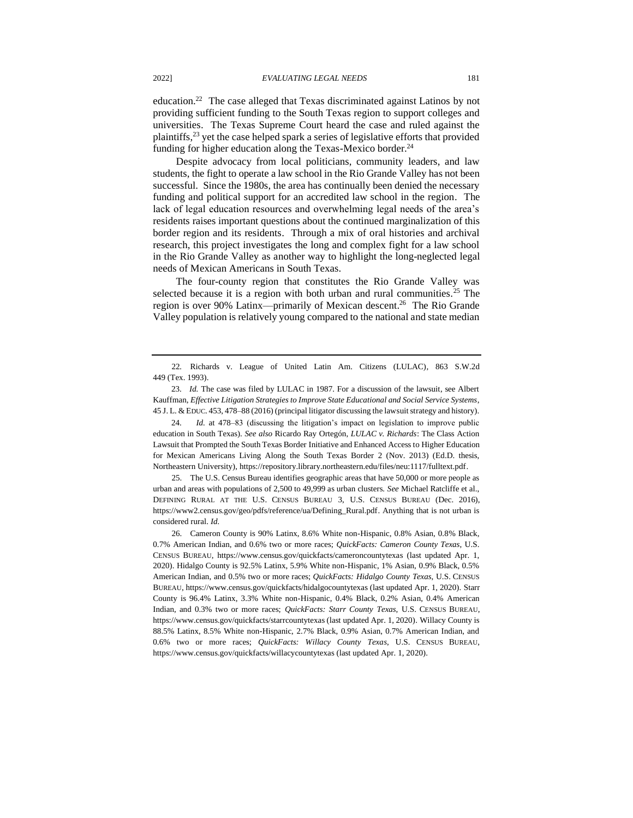education.<sup>22</sup> The case alleged that Texas discriminated against Latinos by not providing sufficient funding to the South Texas region to support colleges and universities. The Texas Supreme Court heard the case and ruled against the plaintiffs,<sup>23</sup> yet the case helped spark a series of legislative efforts that provided funding for higher education along the Texas-Mexico border.<sup>24</sup>

Despite advocacy from local politicians, community leaders, and law students, the fight to operate a law school in the Rio Grande Valley has not been successful. Since the 1980s, the area has continually been denied the necessary funding and political support for an accredited law school in the region. The lack of legal education resources and overwhelming legal needs of the area's residents raises important questions about the continued marginalization of this border region and its residents. Through a mix of oral histories and archival research, this project investigates the long and complex fight for a law school in the Rio Grande Valley as another way to highlight the long-neglected legal needs of Mexican Americans in South Texas.

The four-county region that constitutes the Rio Grande Valley was selected because it is a region with both urban and rural communities.<sup>25</sup> The region is over 90% Latinx—primarily of Mexican descent.<sup>26</sup> The Rio Grande Valley population is relatively young compared to the national and state median

24. *Id.* at 478–83 (discussing the litigation's impact on legislation to improve public education in South Texas). *See also* Ricardo Ray Ortegón, *LULAC v. Richards*: The Class Action Lawsuit that Prompted the South Texas Border Initiative and Enhanced Access to Higher Education for Mexican Americans Living Along the South Texas Border 2 (Nov. 2013) (Ed.D. thesis, Northeastern University), https://repository.library.northeastern.edu/files/neu:1117/fulltext.pdf.

25. The U.S. Census Bureau identifies geographic areas that have 50,000 or more people as urban and areas with populations of 2,500 to 49,999 as urban clusters. *See* Michael Ratcliffe et al., DEFINING RURAL AT THE U.S. CENSUS BUREAU 3, U.S. CENSUS BUREAU (Dec. 2016), https://www2.census.gov/geo/pdfs/reference/ua/Defining\_Rural.pdf. Anything that is not urban is considered rural. *Id.*

26. Cameron County is 90% Latinx, 8.6% White non-Hispanic, 0.8% Asian, 0.8% Black, 0.7% American Indian, and 0.6% two or more races; *QuickFacts: Cameron County Texas*, U.S. CENSUS BUREAU, https://www.census.gov/quickfacts/cameroncountytexas (last updated Apr. 1, 2020). Hidalgo County is 92.5% Latinx, 5.9% White non-Hispanic, 1% Asian, 0.9% Black, 0.5% American Indian, and 0.5% two or more races; *QuickFacts: Hidalgo County Texas*, U.S. CENSUS BUREAU, https://www.census.gov/quickfacts/hidalgocountytexas (last updated Apr. 1, 2020). Starr County is 96.4% Latinx, 3.3% White non-Hispanic, 0.4% Black, 0.2% Asian, 0.4% American Indian, and 0.3% two or more races; *QuickFacts: Starr County Texas*, U.S. CENSUS BUREAU, https://www.census.gov/quickfacts/starrcountytexas (last updated Apr. 1, 2020). Willacy County is 88.5% Latinx, 8.5% White non-Hispanic, 2.7% Black, 0.9% Asian, 0.7% American Indian, and 0.6% two or more races; *QuickFacts: Willacy County Texas*, U.S. CENSUS BUREAU, https://www.census.gov/quickfacts/willacycountytexas (last updated Apr. 1, 2020).

<sup>22</sup>*.* Richards v. League of United Latin Am. Citizens (LULAC)*,* 863 S.W.2d 449 (Tex. 1993).

<sup>23.</sup> *Id.* The case was filed by LULAC in 1987. For a discussion of the lawsuit, see Albert Kauffman, *Effective Litigation Strategies to Improve State Educational and Social Service Systems*, 45 J. L. & EDUC. 453, 478–88 (2016) (principal litigator discussing the lawsuit strategy and history).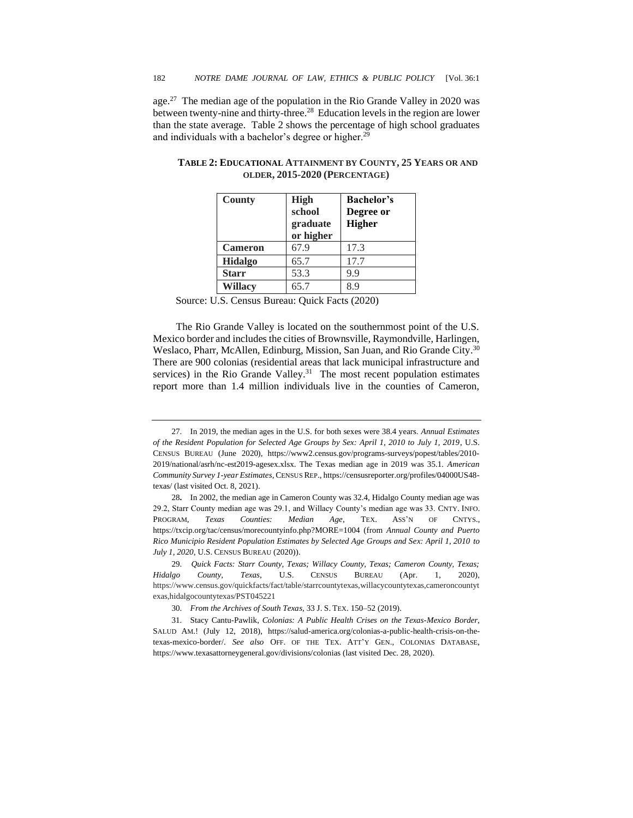age.<sup>27</sup> The median age of the population in the Rio Grande Valley in 2020 was between twenty-nine and thirty-three.<sup>28</sup> Education levels in the region are lower than the state average. Table 2 shows the percentage of high school graduates and individuals with a bachelor's degree or higher.<sup>29</sup>

| County         | High<br>school<br>graduate<br>or higher | <b>Bachelor's</b><br>Degree or<br>Higher |
|----------------|-----------------------------------------|------------------------------------------|
| <b>Cameron</b> | 67.9                                    | 17.3                                     |
| <b>Hidalgo</b> | 65.7                                    | 17.7                                     |
| <b>Starr</b>   | 53.3                                    | 9.9                                      |
| <b>Willacy</b> | 65.7                                    | χq                                       |

**TABLE 2: EDUCATIONAL ATTAINMENT BY COUNTY, 25 YEARS OR AND OLDER, 2015-2020 (PERCENTAGE)**

Source: U.S. Census Bureau: Quick Facts (2020)

The Rio Grande Valley is located on the southernmost point of the U.S. Mexico border and includes the cities of Brownsville, Raymondville, Harlingen, Weslaco, Pharr, McAllen, Edinburg, Mission, San Juan, and Rio Grande City.<sup>30</sup> There are 900 colonias (residential areas that lack municipal infrastructure and services) in the Rio Grande Valley.<sup>31</sup> The most recent population estimates report more than 1.4 million individuals live in the counties of Cameron,

<sup>27.</sup> In 2019, the median ages in the U.S. for both sexes were 38.4 years. *Annual Estimates of the Resident Population for Selected Age Groups by Sex: April 1, 2010 to July 1, 2019*, U.S. CENSUS BUREAU (June 2020), https://www2.census.gov/programs-surveys/popest/tables/2010- 2019/national/asrh/nc-est2019-agesex.xlsx. The Texas median age in 2019 was 35.1. *American Community Survey 1-year Estimates*, CENSUS REP., https://censusreporter.org/profiles/04000US48 texas/ (last visited Oct. 8, 2021).

<sup>28</sup>**.** In 2002, the median age in Cameron County was 32.4, Hidalgo County median age was 29.2, Starr County median age was 29.1, and Willacy County's median age was 33. CNTY. INFO. PROGRAM, *Texas Counties: Median Age*, TEX. ASS'N OF CNTYS., https://txcip.org/tac/census/morecountyinfo.php?MORE=1004 (from *Annual County and Puerto Rico Municipio Resident Population Estimates by Selected Age Groups and Sex: April 1, 2010 to July 1, 2020*, U.S. CENSUS BUREAU (2020)).

 <sup>29.</sup> *Quick Facts: Starr County, Texas; Willacy County, Texas; Cameron County, Texas; Hidalgo County, Texas*, U.S. CENSUS BUREAU (Apr. 1, 2020), https://www.census.gov/quickfacts/fact/table/starrcountytexas,willacycountytexas,cameroncountyt exas,hidalgocountytexas/PST045221

 <sup>30.</sup> *From the Archives of South Texas*, 33 J. S. TEX. 150–52 (2019).

<sup>31.</sup> Stacy Cantu-Pawlik, *Colonias: A Public Health Crises on the Texas-Mexico Border*, SALUD AM.! (July 12, 2018), https://salud-america.org/colonias-a-public-health-crisis-on-thetexas-mexico-border/. *See also* OFF. OF THE TEX. ATT'Y GEN., COLONIAS DATABASE, https://www.texasattorneygeneral.gov/divisions/colonias (last visited Dec. 28, 2020).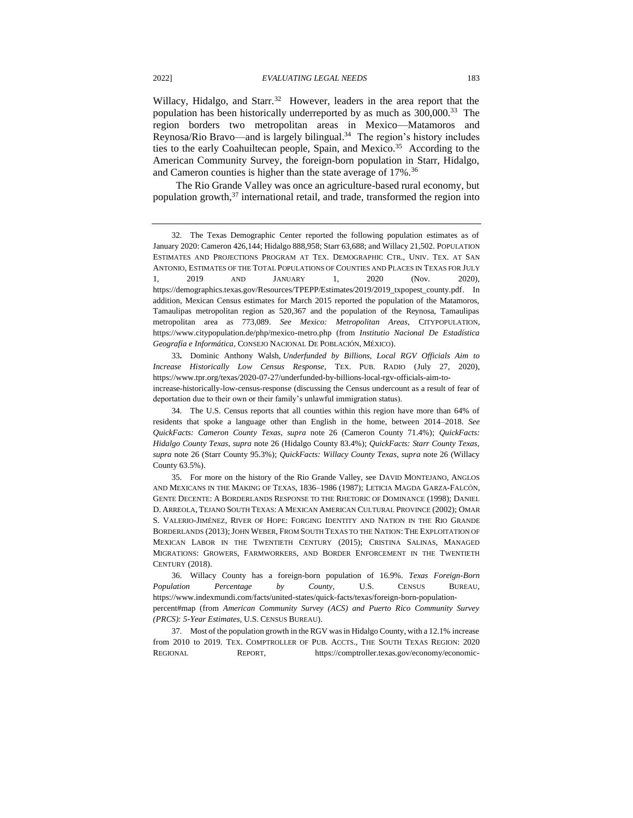Willacy, Hidalgo, and Starr.<sup>32</sup> However, leaders in the area report that the population has been historically underreported by as much as  $300,000$ .<sup>33</sup> The region borders two metropolitan areas in Mexico—Matamoros and Reynosa/Rio Bravo—and is largely bilingual.<sup>34</sup> The region's history includes ties to the early Coahuiltecan people, Spain, and Mexico.<sup>35</sup> According to the American Community Survey, the foreign-born population in Starr, Hidalgo, and Cameron counties is higher than the state average of 17%.<sup>36</sup>

The Rio Grande Valley was once an agriculture-based rural economy, but population growth,<sup>37</sup> international retail, and trade, transformed the region into

33**.** Dominic Anthony Walsh, *Underfunded by Billions, Local RGV Officials Aim to Increase Historically Low Census Response*, TEX. PUB. RADIO (July 27, 2020), https://www.tpr.org/texas/2020-07-27/underfunded-by-billions-local-rgv-officials-aim-toincrease-historically-low-census-response (discussing the Census undercount as a result of fear of deportation due to their own or their family's unlawful immigration status).

36. Willacy County has a foreign-born population of 16.9%. *Texas Foreign-Born Population Percentage by County*, U.S. CENSUS BUREAU, [https://www.indexmundi.com/facts/united-states/quick-facts/texas/foreign-born-population](https://www.indexmundi.com/facts/united-states/quick-facts/texas/foreign-born-population-percent#map)[percent#map](https://www.indexmundi.com/facts/united-states/quick-facts/texas/foreign-born-population-percent#map) (from *American Community Survey (ACS) and Puerto Rico Community Survey (PRCS): 5-Year Estimates*, U.S. CENSUS BUREAU).

37. Most of the population growth in the RGV was in Hidalgo County, with a 12.1% increase from 2010 to 2019. TEX. COMPTROLLER OF PUB. ACCTS., THE SOUTH TEXAS REGION: 2020 REGIONAL REPORT, https://comptroller.texas.gov/economy/economic-

<sup>32.</sup> The Texas Demographic Center reported the following population estimates as of January 2020: Cameron 426,144; Hidalgo 888,958; Starr 63,688; and Willacy 21,502. POPULATION ESTIMATES AND PROJECTIONS PROGRAM AT TEX. DEMOGRAPHIC CTR., UNIV. TEX. AT SAN ANTONIO, ESTIMATES OF THE TOTAL POPULATIONS OF COUNTIES AND PLACES IN TEXAS FOR JULY 1, 2019 AND JANUARY 1, 2020 (Nov. 2020), https://demographics.texas.gov/Resources/TPEPP/Estimates/2019/2019\_txpopest\_county.pdf. In addition, Mexican Census estimates for March 2015 reported the population of the Matamoros, Tamaulipas metropolitan region as 520,367 and the population of the Reynosa, Tamaulipas metropolitan area as 773,089. *See Mexico: Metropolitan Areas*, CITYPOPULATION, https://www.citypopulation.de/php/mexico-metro.php (from *Institutio Nacional De Estadística Geografía e Informática*, CONSEJO NACIONAL DE POBLACIÓN, MÉXICO).

<sup>34.</sup> The U.S. Census reports that all counties within this region have more than 64% of residents that spoke a language other than English in the home, between 2014–2018. *See QuickFacts: Cameron County Texas*, *supra* note 26 (Cameron County 71.4%); *QuickFacts: Hidalgo County Texas*, *supra* note 26 (Hidalgo County 83.4%); *QuickFacts: Starr County Texas*, *supra* note 26 (Starr County 95.3%); *QuickFacts: Willacy County Texas*, *supra* note 26 (Willacy County 63.5%).

<sup>35.</sup> For more on the history of the Rio Grande Valley, see DAVID MONTEJANO, ANGLOS AND MEXICANS IN THE MAKING OF TEXAS, 1836–1986 (1987); LETICIA MAGDA GARZA-FALCÓN, GENTE DECENTE: A BORDERLANDS RESPONSE TO THE RHETORIC OF DOMINANCE (1998); DANIEL D. ARREOLA, TEJANO SOUTH TEXAS: A MEXICAN AMERICAN CULTURAL PROVINCE (2002); OMAR S. VALERIO-JIMÉNEZ, RIVER OF HOPE: FORGING IDENTITY AND NATION IN THE RIO GRANDE BORDERLANDS (2013); JOHN WEBER, FROM SOUTH TEXAS TO THE NATION: THE EXPLOITATION OF MEXICAN LABOR IN THE TWENTIETH CENTURY (2015); CRISTINA SALINAS, MANAGED MIGRATIONS: GROWERS, FARMWORKERS, AND BORDER ENFORCEMENT IN THE TWENTIETH CENTURY (2018).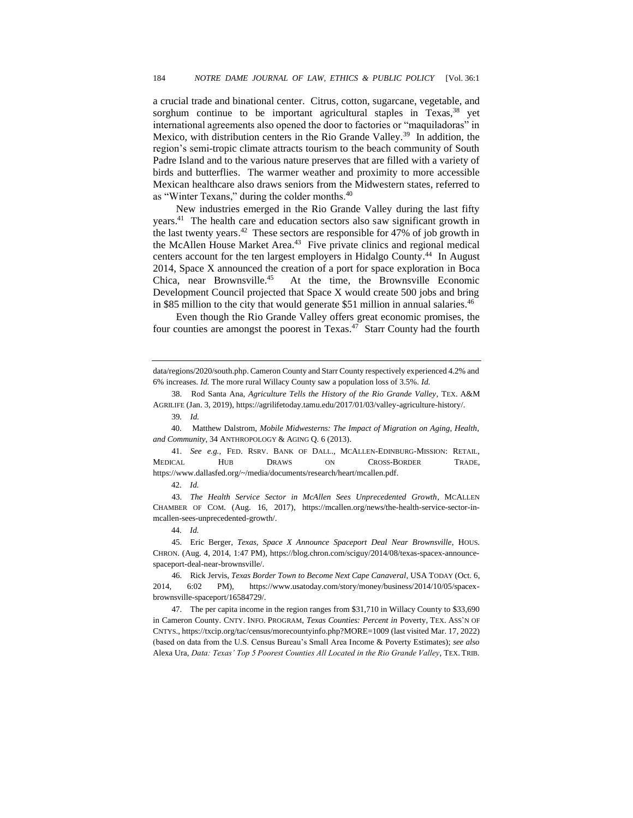a crucial trade and binational center. Citrus, cotton, sugarcane, vegetable, and sorghum continue to be important agricultural staples in Texas,  $38$  yet international agreements also opened the door to factories or "maquiladoras" in Mexico, with distribution centers in the Rio Grande Valley.<sup>39</sup> In addition, the region's semi-tropic climate attracts tourism to the beach community of South Padre Island and to the various nature preserves that are filled with a variety of birds and butterflies. The warmer weather and proximity to more accessible Mexican healthcare also draws seniors from the Midwestern states, referred to as "Winter Texans," during the colder months.<sup>40</sup>

New industries emerged in the Rio Grande Valley during the last fifty years.<sup>41</sup> The health care and education sectors also saw significant growth in the last twenty years.<sup>42</sup> These sectors are responsible for 47% of job growth in the McAllen House Market Area.<sup>43</sup> Five private clinics and regional medical centers account for the ten largest employers in Hidalgo County. 44 In August 2014, Space X announced the creation of a port for space exploration in Boca Chica, near Brownsville.<sup>45</sup> At the time, the Brownsville Economic Development Council projected that Space X would create 500 jobs and bring in \$85 million to the city that would generate \$51 million in annual salaries.<sup>46</sup>

Even though the Rio Grande Valley offers great economic promises, the four counties are amongst the poorest in Texas.<sup>47</sup> Starr County had the fourth

40. Matthew Dalstrom, *Mobile Midwesterns: The Impact of Migration on Aging, Health, and Community*, 34 ANTHROPOLOGY & AGING Q. 6 (2013).

41. *See e.g.*, FED. RSRV. BANK OF DALL., MCALLEN-EDINBURG-MISSION: RETAIL, MEDICAL HUB DRAWS ON CROSS-BORDER TRADE, https://www.dallasfed.org/~/media/documents/research/heart/mcallen.pdf.

43. *The Health Service Sector in McAllen Sees Unprecedented Growth*, MCALLEN CHAMBER OF COM. (Aug. 16, 2017), https://mcallen.org/news/the-health-service-sector-inmcallen-sees-unprecedented-growth/.

44. *Id.* 

45. Eric Berger, *Texas, Space X Announce Spaceport Deal Near Brownsville*, HOUS. CHRON. (Aug. 4, 2014, 1:47 PM), https://blog.chron.com/sciguy/2014/08/texas-spacex-announcespaceport-deal-near-brownsville/.

46. Rick Jervis, *Texas Border Town to Become Next Cape Canaveral*, USA TODAY (Oct. 6, 2014, 6:02 PM), https://www.usatoday.com/story/money/business/2014/10/05/spacexbrownsville-spaceport/16584729/.

47. The per capita income in the region ranges from \$31,710 in Willacy County to \$33,690 in Cameron County. CNTY. INFO. PROGRAM*, Texas Counties: Percent in* Poverty, TEX. ASS'N OF CNTYS., https://txcip.org/tac/census/morecountyinfo.php?MORE=1009 (last visited Mar. 17, 2022) (based on data from the U.S. Census Bureau's Small Area Income & Poverty Estimates); *see also* Alexa Ura, *Data: Texas' Top 5 Poorest Counties All Located in the Rio Grande Valley*, TEX. TRIB.

data/regions/2020/south.php. Cameron County and Starr County respectively experienced 4.2% and 6% increases. *Id.* The more rural Willacy County saw a population loss of 3.5%. *Id.* 

 <sup>38.</sup> Rod Santa Ana, *Agriculture Tells the History of the Rio Grande Valley*, TEX. A&M AGRILIFE (Jan. 3, 2019), https://agrilifetoday.tamu.edu/2017/01/03/valley-agriculture-history/.

<sup>39</sup>*. Id.*

<sup>42.</sup> *Id.*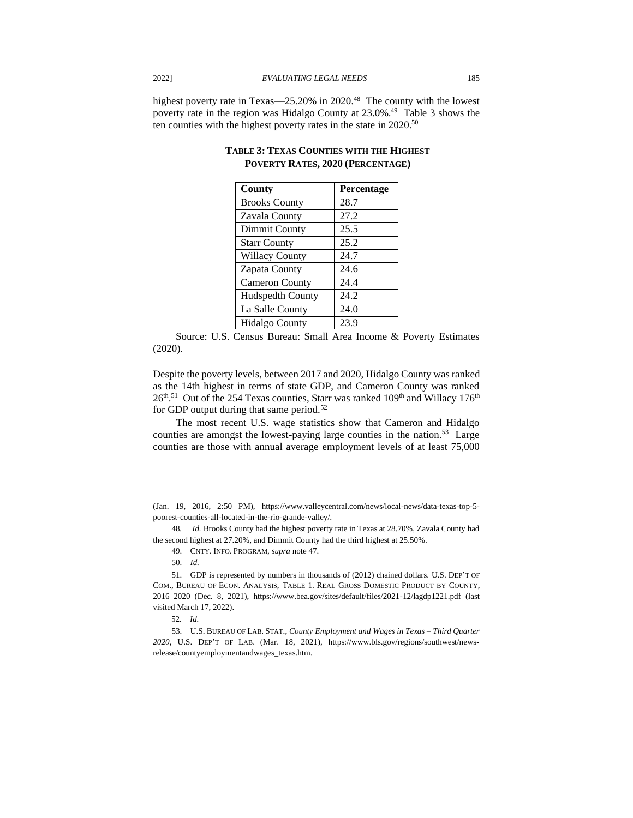highest poverty rate in Texas—25.20% in 2020.<sup>48</sup> The county with the lowest poverty rate in the region was Hidalgo County at 23.0%. 49 Table 3 shows the ten counties with the highest poverty rates in the state in 2020. 50

| County                  | Percentage |
|-------------------------|------------|
| <b>Brooks County</b>    | 28.7       |
| Zavala County           | 27.2       |
| Dimmit County           | 25.5       |
| <b>Starr County</b>     | 25.2       |
| <b>Willacy County</b>   | 24.7       |
| Zapata County           | 24.6       |
| <b>Cameron County</b>   | 24.4       |
| <b>Hudspedth County</b> | 24.2       |
| La Salle County         | 24.0       |
| <b>Hidalgo County</b>   | 23.9       |

# **TABLE 3: TEXAS COUNTIES WITH THE HIGHEST POVERTY RATES, 2020 (PERCENTAGE)**

Source: U.S. Census Bureau: Small Area Income & Poverty Estimates (2020).

Despite the poverty levels, between 2017 and 2020, Hidalgo County was ranked as the 14th highest in terms of state GDP, and Cameron County was ranked  $26^{\text{th}}$ .<sup>51</sup> Out of the 254 Texas counties, Starr was ranked 109<sup>th</sup> and Willacy 176<sup>th</sup> for GDP output during that same period.<sup>52</sup>

The most recent U.S. wage statistics show that Cameron and Hidalgo counties are amongst the lowest-paying large counties in the nation.<sup>53</sup> Large counties are those with annual average employment levels of at least 75,000

48*. Id.* Brooks County had the highest poverty rate in Texas at 28.70%, Zavala County had the second highest at 27.20%, and Dimmit County had the third highest at 25.50%.

- 49. CNTY. INFO. PROGRAM, *supra* note 47.
- 50. *Id.*

<sup>(</sup>Jan. 19, 2016, 2:50 PM), https://www.valleycentral.com/news/local-news/data-texas-top-5 poorest-counties-all-located-in-the-rio-grande-valley/*.*

<sup>51.</sup> GDP is represented by numbers in thousands of (2012) chained dollars. U.S. DEP'T OF COM., BUREAU OF ECON. ANALYSIS, TABLE 1. REAL GROSS DOMESTIC PRODUCT BY COUNTY, 2016–2020 (Dec. 8, 2021), https://www.bea.gov/sites/default/files/2021-12/lagdp1221.pdf (last visited March 17, 2022).

<sup>52.</sup> *Id.* 

<sup>53.</sup> U.S. BUREAU OF LAB. STAT., *County Employment and Wages in Texas – Third Quarter 2020*, U.S. DEP'T OF LAB. (Mar. 18, 2021), https://www.bls.gov/regions/southwest/newsrelease/countyemploymentandwages\_texas.htm.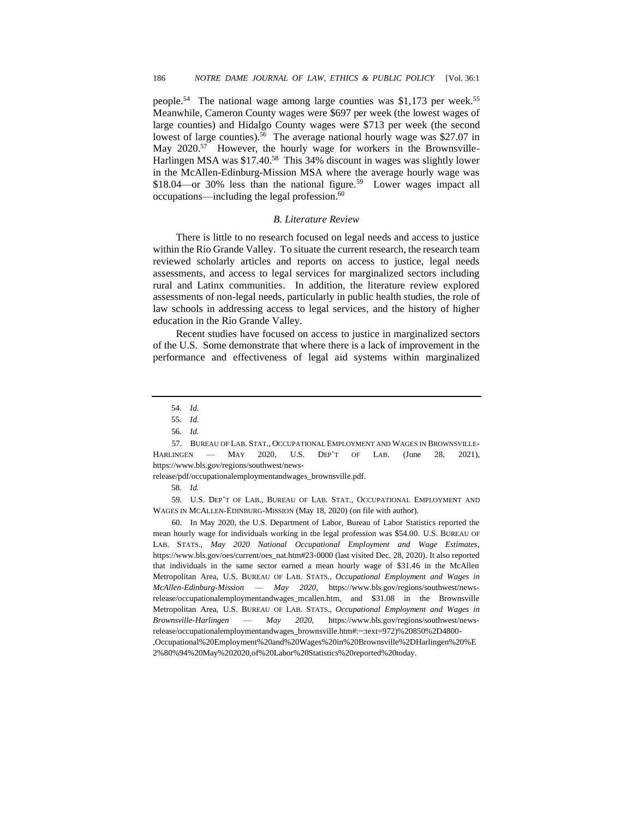people.<sup>54</sup> The national wage among large counties was \$1,173 per week.<sup>55</sup> Meanwhile, Cameron County wages were \$697 per week (the lowest wages of large counties) and Hidalgo County wages were \$713 per week (the second lowest of large counties). 56 The average national hourly wage was \$27.07 in May 2020.<sup>57</sup> However, the hourly wage for workers in the Brownsville-Harlingen MSA was \$17.40.<sup>58</sup> This 34% discount in wages was slightly lower in the McAllen-Edinburg-Mission MSA where the average hourly wage was \$18.04—or 30% less than the national figure.<sup>59</sup> Lower wages impact all occupations––including the legal profession.<sup>60</sup>

#### *B. Literature Review*

There is little to no research focused on legal needs and access to justice within the Rio Grande Valley. To situate the current research, the research team reviewed scholarly articles and reports on access to justice, legal needs assessments, and access to legal services for marginalized sectors including rural and Latinx communities. In addition, the literature review explored assessments of non-legal needs, particularly in public health studies, the role of law schools in addressing access to legal services, and the history of higher education in the Rio Grande Valley.

Recent studies have focused on access to justice in marginalized sectors of the U.S. Some demonstrate that where there is a lack of improvement in the performance and effectiveness of legal aid systems within marginalized

release/pdf/occupationalemploymentandwages\_brownsville.pdf.

59. U.S. DEP'T OF LAB., BUREAU OF LAB. STAT., OCCUPATIONAL EMPLOYMENT AND WAGES IN MCALLEN-EDINBURG-MISSION (May 18, 2020) (on file with author).

60. In May 2020, the U.S. Department of Labor, Bureau of Labor Statistics reported the mean hourly wage for individuals working in the legal profession was \$54.00. U.S. BUREAU OF LAB. STATS., *May 2020 National Occupational Employment and Wage Estimates*, [https://www.bls.gov/oes/current/oes\\_nat.htm#23-0000](https://www.bls.gov/oes/current/oes_nat.htm#23-0000) (last visited Dec. 28, 2020). It also reported that individuals in the same sector earned a mean hourly wage of \$31.46 in the McAllen Metropolitan Area, U.S. BUREAU OF LAB. STATS., *Occupational Employment and Wages in McAllen-Edinburg-Mission –– May 2020*, https://www.bls.gov/regions/southwest/newsrelease/occupationalemploymentandwages\_mcallen.htm, and \$31.08 in the Brownsville Metropolitan Area, U.S. BUREAU OF LAB. STATS., *Occupational Employment and Wages in Brownsville-Harlingen –– May 2020*, https://www.bls.gov/regions/southwest/newsrelease/occupationalemploymentandwages\_brownsville.htm#:~:text=972)%20850%2D4800- ,Occupational%20Employment%20and%20Wages%20in%20Brownsville%2DHarlingen%20%E 2%80%94%20May%202020,of%20Labor%20Statistics%20reported%20today.

<sup>54.</sup> *Id.*

<sup>55.</sup> *Id.*

<sup>56.</sup> *Id.*

<sup>57.</sup> BUREAU OF LAB. STAT., OCCUPATIONAL EMPLOYMENT AND WAGES IN BROWNSVILLE-HARLINGEN –– MAY 2020, U.S. DEP'T OF LAB. (June 28, 2021), https://www.bls.gov/regions/southwest/news-

<sup>58.</sup> *Id.*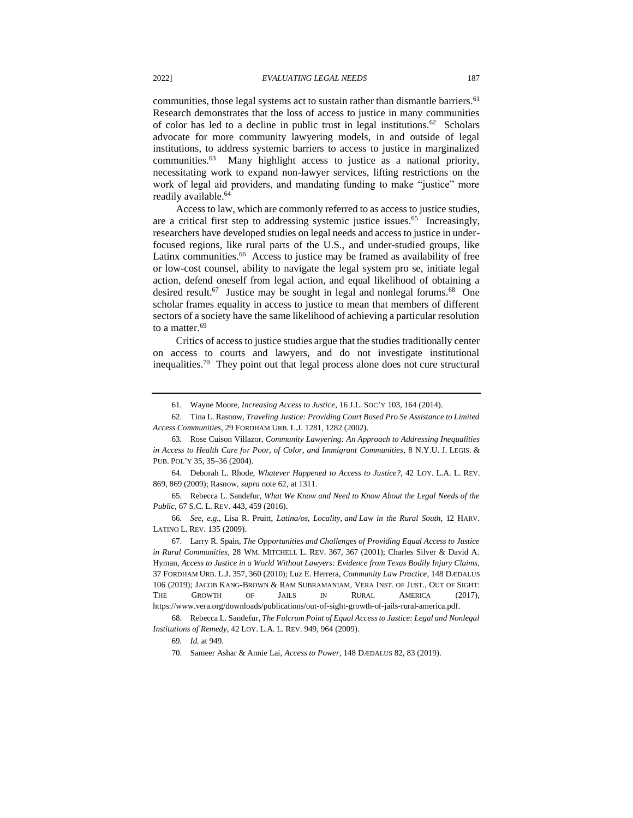communities, those legal systems act to sustain rather than dismantle barriers.<sup>61</sup> Research demonstrates that the loss of access to justice in many communities of color has led to a decline in public trust in legal institutions.<sup>62</sup> Scholars advocate for more community lawyering models, in and outside of legal institutions, to address systemic barriers to access to justice in marginalized communities.<sup>63</sup> Many highlight access to justice as a national priority, necessitating work to expand non-lawyer services, lifting restrictions on the work of legal aid providers, and mandating funding to make "justice" more readily available.<sup>64</sup>

Access to law, which are commonly referred to as access to justice studies, are a critical first step to addressing systemic justice issues.<sup>65</sup> Increasingly, researchers have developed studies on legal needs and access to justice in underfocused regions, like rural parts of the U.S., and under-studied groups, like Latinx communities.<sup>66</sup> Access to justice may be framed as availability of free or low-cost counsel, ability to navigate the legal system pro se, initiate legal action, defend oneself from legal action, and equal likelihood of obtaining a desired result.<sup>67</sup> Justice may be sought in legal and nonlegal forums.<sup>68</sup> One scholar frames equality in access to justice to mean that members of different sectors of a society have the same likelihood of achieving a particular resolution to a matter.<sup>69</sup>

Critics of access to justice studies argue that the studies traditionally center on access to courts and lawyers, and do not investigate institutional inequalities.<sup>70</sup> They point out that legal process alone does not cure structural

<sup>61.</sup> Wayne Moore, *Increasing Access to Justice*, 16 J.L. SOC'Y 103, 164 (2014).

<sup>62.</sup> Tina L. Rasnow, *Traveling Justice: Providing Court Based Pro Se Assistance to Limited Access Communities*, 29 FORDHAM URB. L.J. 1281, 1282 (2002).

<sup>63.</sup> Rose Cuison Villazor, *Community Lawyering: An Approach to Addressing Inequalities in Access to Health Care for Poor, of Color, and Immigrant Communities*, 8 N.Y.U. J. LEGIS. & PUB. POL'Y 35, 35–36 (2004).

<sup>64.</sup> Deborah L. Rhode, *Whatever Happened to Access to Justice?*, 42 LOY. L.A. L. REV. 869, 869 (2009); Rasnow, *supra* note 62, at 1311.

<sup>65.</sup> Rebecca L. Sandefur, *What We Know and Need to Know About the Legal Needs of the Public*, 67 S.C. L. REV. 443, 459 (2016).

<sup>66</sup>*. See, e.g.*, Lisa R. Pruitt, *Latina/os, Locality, and Law in the Rural South*, 12 HARV. LATINO L. REV. 135 (2009).

<sup>67.</sup> Larry R. Spain, *The Opportunities and Challenges of Providing Equal Access to Justice in Rural Communities*, 28 WM. MITCHELL L. REV. 367, 367 (2001); Charles Silver & David A. Hyman, *Access to Justice in a World Without Lawyers: Evidence from Texas Bodily Injury Claims*, 37 FORDHAM URB. L.J. 357, 360 (2010); Luz E. Herrera, *Community Law Practice*, 148 DÆDALUS 106 (2019); JACOB KANG-BROWN & RAM SUBRAMANIAM, VERA INST. OF JUST., OUT OF SIGHT: THE GROWTH OF JAILS IN RURAL AMERICA (2017), https://www.vera.org/downloads/publications/out-of-sight-growth-of-jails-rural-america.pdf.

<sup>68.</sup> Rebecca L. Sandefur, *The Fulcrum Point of Equal Access to Justice: Legal and Nonlegal Institutions of Remedy*, 42 LOY. L.A. L. REV. 949, 964 (2009).

<sup>69</sup>*. Id.* at 949.

<sup>70.</sup> Sameer Ashar & Annie Lai, *Access to Power*, 148 DÆDALUS 82, 83 (2019).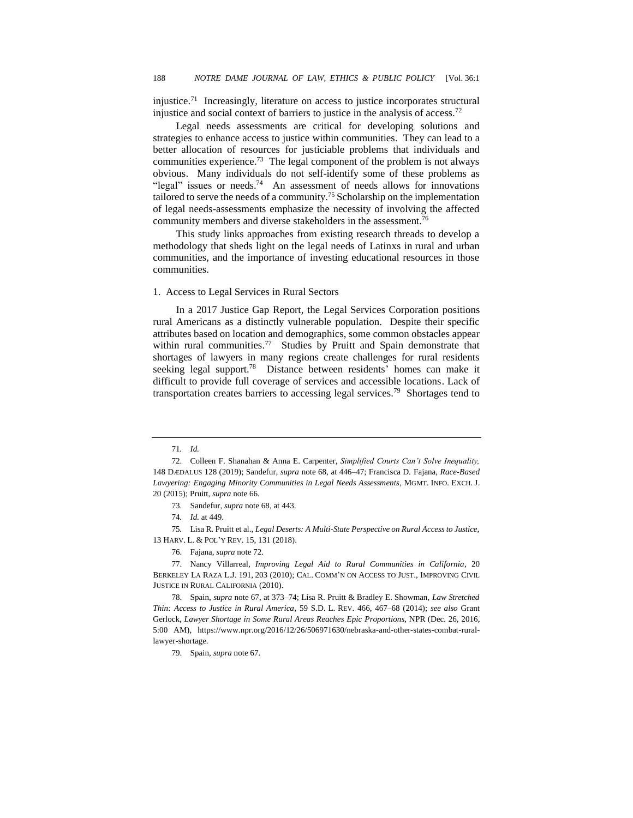injustice.<sup>71</sup> Increasingly, literature on access to justice incorporates structural injustice and social context of barriers to justice in the analysis of access.<sup>72</sup>

Legal needs assessments are critical for developing solutions and strategies to enhance access to justice within communities. They can lead to a better allocation of resources for justiciable problems that individuals and communities experience.<sup>73</sup> The legal component of the problem is not always obvious. Many individuals do not self-identify some of these problems as "legal" issues or needs.<sup>74</sup> An assessment of needs allows for innovations tailored to serve the needs of a community.<sup>75</sup>Scholarship on the implementation of legal needs-assessments emphasize the necessity of involving the affected community members and diverse stakeholders in the assessment.<sup>76</sup>

This study links approaches from existing research threads to develop a methodology that sheds light on the legal needs of Latinxs in rural and urban communities, and the importance of investing educational resources in those communities.

#### 1. Access to Legal Services in Rural Sectors

In a 2017 Justice Gap Report, the Legal Services Corporation positions rural Americans as a distinctly vulnerable population. Despite their specific attributes based on location and demographics, some common obstacles appear within rural communities.<sup>77</sup> Studies by Pruitt and Spain demonstrate that shortages of lawyers in many regions create challenges for rural residents seeking legal support.<sup>78</sup> Distance between residents' homes can make it difficult to provide full coverage of services and accessible locations. Lack of transportation creates barriers to accessing legal services.<sup>79</sup> Shortages tend to

75*.* Lisa R. Pruitt et al., *Legal Deserts: A Multi-State Perspective on Rural Access to Justice,*  13 HARV. L. & POL'Y REV. 15, 131 (2018).

76. Fajana, *supra* note 72.

77. Nancy Villarreal*, Improving Legal Aid to Rural Communities in California*, 20 BERKELEY LA RAZA L.J. 191, 203 (2010); CAL. COMM'N ON ACCESS TO JUST., IMPROVING CIVIL JUSTICE IN RURAL CALIFORNIA (2010).

78. Spain, *supra* note 67, at 373–74; Lisa R. Pruitt & Bradley E. Showman, *Law Stretched Thin: Access to Justice in Rural America*, 59 S.D. L. REV. 466, 467–68 (2014); *see also* Grant Gerlock, *Lawyer Shortage in Some Rural Areas Reaches Epic Proportions*, NPR (Dec. 26, 2016, 5:00 AM), https://www.npr.org/2016/12/26/506971630/nebraska-and-other-states-combat-rurallawyer-shortage.

79. Spain, *supra* note 67.

<sup>71</sup>*. Id.*

<sup>72.</sup> Colleen F. Shanahan & Anna E. Carpenter, *Simplified Courts Can't Solve Inequality,* 148 DÆDALUS 128 (2019); Sandefur, *supra* note 68, at 446–47; Francisca D. Fajana, *Race-Based Lawyering: Engaging Minority Communities in Legal Needs Assessments*, MGMT. INFO. EXCH. J. 20 (2015); Pruitt, *supra* note 66.

<sup>73.</sup> Sandefur, *supra* note 68, at 443.

<sup>74</sup>*. Id.* at 449.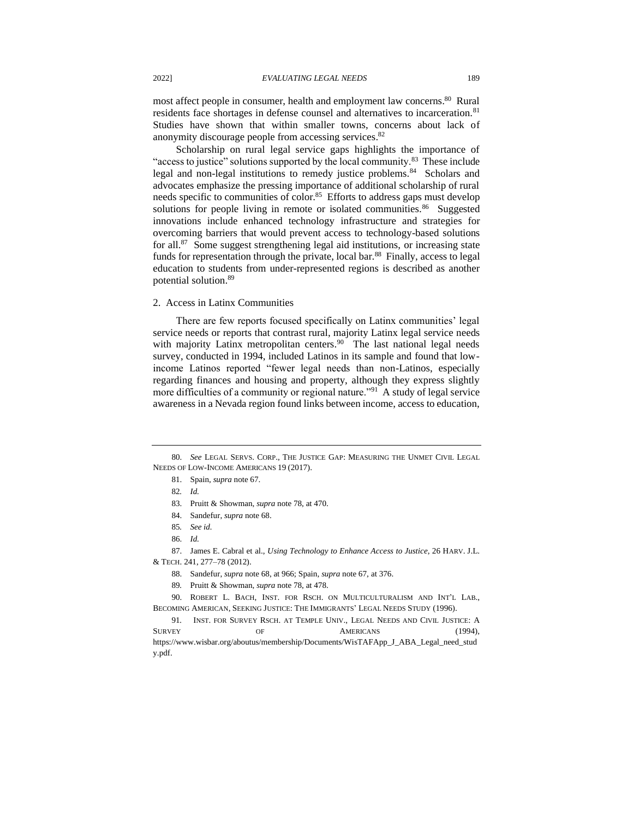most affect people in consumer, health and employment law concerns.<sup>80</sup> Rural residents face shortages in defense counsel and alternatives to incarceration.<sup>81</sup> Studies have shown that within smaller towns, concerns about lack of anonymity discourage people from accessing services. 82

Scholarship on rural legal service gaps highlights the importance of "access to justice" solutions supported by the local community.<sup>83</sup> These include legal and non-legal institutions to remedy justice problems.<sup>84</sup> Scholars and advocates emphasize the pressing importance of additional scholarship of rural needs specific to communities of color.<sup>85</sup> Efforts to address gaps must develop solutions for people living in remote or isolated communities.<sup>86</sup> Suggested innovations include enhanced technology infrastructure and strategies for overcoming barriers that would prevent access to technology-based solutions for all. 87 Some suggest strengthening legal aid institutions, or increasing state funds for representation through the private, local bar.<sup>88</sup> Finally, access to legal education to students from under-represented regions is described as another potential solution. 89

#### 2. Access in Latinx Communities

There are few reports focused specifically on Latinx communities' legal service needs or reports that contrast rural, majority Latinx legal service needs with majority Latinx metropolitan centers.<sup>90</sup> The last national legal needs survey, conducted in 1994, included Latinos in its sample and found that lowincome Latinos reported "fewer legal needs than non-Latinos, especially regarding finances and housing and property, although they express slightly more difficulties of a community or regional nature."<sup>91</sup> A study of legal service awareness in a Nevada region found links between income, access to education,

90. ROBERT L. BACH, INST. FOR RSCH. ON MULTICULTURALISM AND INT'L LAB., BECOMING AMERICAN, SEEKING JUSTICE: THE IMMIGRANTS' LEGAL NEEDS STUDY (1996).

91*.* INST. FOR SURVEY RSCH. AT TEMPLE UNIV., LEGAL NEEDS AND CIVIL JUSTICE: A SURVEY OF OF AMERICANS (1994), https://www.wisbar.org/aboutus/membership/Documents/WisTAFApp\_J\_ABA\_Legal\_need\_stud y.pdf.

<sup>80.</sup> *See* LEGAL SERVS. CORP., THE JUSTICE GAP: MEASURING THE UNMET CIVIL LEGAL NEEDS OF LOW-INCOME AMERICANS 19 (2017).

<sup>81.</sup> Spain, *supra* note 67.

<sup>82</sup>*. Id.*

<sup>83.</sup> Pruitt & Showman, *supra* note 78, at 470.

<sup>84.</sup> Sandefur, *supra* note 68.

<sup>85</sup>*. See id.*

<sup>86.</sup> *Id.*

<sup>87.</sup> James E. Cabral et al., *Using Technology to Enhance Access to Justice*, 26 HARV. J.L. & TECH. 241, 277–78 (2012).

<sup>88.</sup> Sandefur, *supra* note 68, at 966; Spain, *supra* note 67, at 376.

<sup>89</sup>*.* Pruitt & Showman, *supra* note 78, at 478.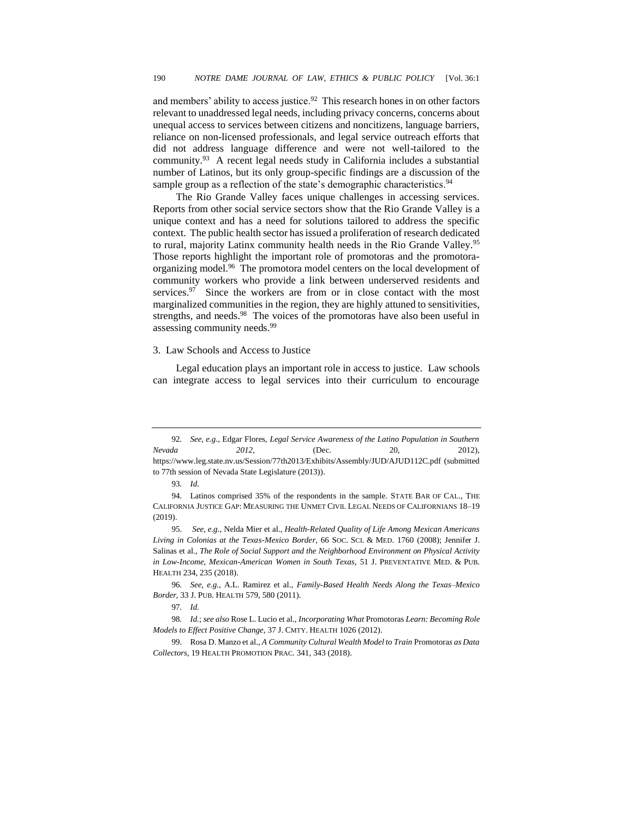and members' ability to access justice. $92$  This research hones in on other factors relevant to unaddressed legal needs, including privacy concerns, concerns about unequal access to services between citizens and noncitizens, language barriers, reliance on non-licensed professionals, and legal service outreach efforts that did not address language difference and were not well-tailored to the community.<sup>93</sup> A recent legal needs study in California includes a substantial number of Latinos, but its only group-specific findings are a discussion of the sample group as a reflection of the state's demographic characteristics.<sup>94</sup>

The Rio Grande Valley faces unique challenges in accessing services. Reports from other social service sectors show that the Rio Grande Valley is a unique context and has a need for solutions tailored to address the specific context. The public health sector has issued a proliferation of research dedicated to rural, majority Latinx community health needs in the Rio Grande Valley.<sup>95</sup> Those reports highlight the important role of promotoras and the promotoraorganizing model.<sup>96</sup> The promotora model centers on the local development of community workers who provide a link between underserved residents and services.<sup>97</sup> Since the workers are from or in close contact with the most marginalized communities in the region, they are highly attuned to sensitivities, strengths, and needs.<sup>98</sup> The voices of the promotoras have also been useful in assessing community needs.<sup>99</sup>

#### 3. Law Schools and Access to Justice

Legal education plays an important role in access to justice. Law schools can integrate access to legal services into their curriculum to encourage

<sup>92</sup>*. See, e.g.*, Edgar Flores, *Legal Service Awareness of the Latino Population in Southern Nevada 2012*, (Dec. 20, 2012), https://www.leg.state.nv.us/Session/77th2013/Exhibits/Assembly/JUD/AJUD112C.pdf (submitted to 77th session of Nevada State Legislature (2013)).

<sup>93</sup>*. Id.* 

<sup>94.</sup> Latinos comprised 35% of the respondents in the sample. STATE BAR OF CAL., THE CALIFORNIA JUSTICE GAP: MEASURING THE UNMET CIVIL LEGAL NEEDS OF CALIFORNIANS 18–19 (2019).

<sup>95.</sup> *See, e.g.*, [Nelda Mier](https://pubmed.ncbi.nlm.nih.gov/?term=Mier+N&cauthor_id=18261832) et al., *Health-Related Quality of Life Among Mexican Americans Living in Colonias at the Texas-Mexico Border*, 66 SOC. SCI. & MED. 1760 (2008); [Jennifer J.](https://pubmed.ncbi.nlm.nih.gov/?term=Salinas+JJ&cauthor_id=30286595)  [Salinas](https://pubmed.ncbi.nlm.nih.gov/?term=Salinas+JJ&cauthor_id=30286595) et al., *The Role of Social Support and the Neighborhood Environment on Physical Activity in Low-Income, Mexican-American Women in South Texas*, 51 J. PREVENTATIVE MED. & PUB. HEALTH 234, 235 (2018).

<sup>96</sup>*. See, e.g.*, A.L. Ramirez et al., *Family-Based Health Needs Along the Texas–Mexico Border,* 33 J. PUB. HEALTH 579, 580 (2011).

<sup>97</sup>*. Id.*

<sup>98</sup>*. Id.*; *see also* Rose L. Lucio et al., *Incorporating What* Promotoras *Learn: Becoming Role Models to Effect Positive Change,* 37 J. CMTY. HEALTH 1026 (2012).

<sup>99.</sup> Rosa D. Manzo et al., *A Community Cultural Wealth Model to Train* Promotora*s as Data Collectors*, 19 HEALTH PROMOTION PRAC. 341, 343 (2018).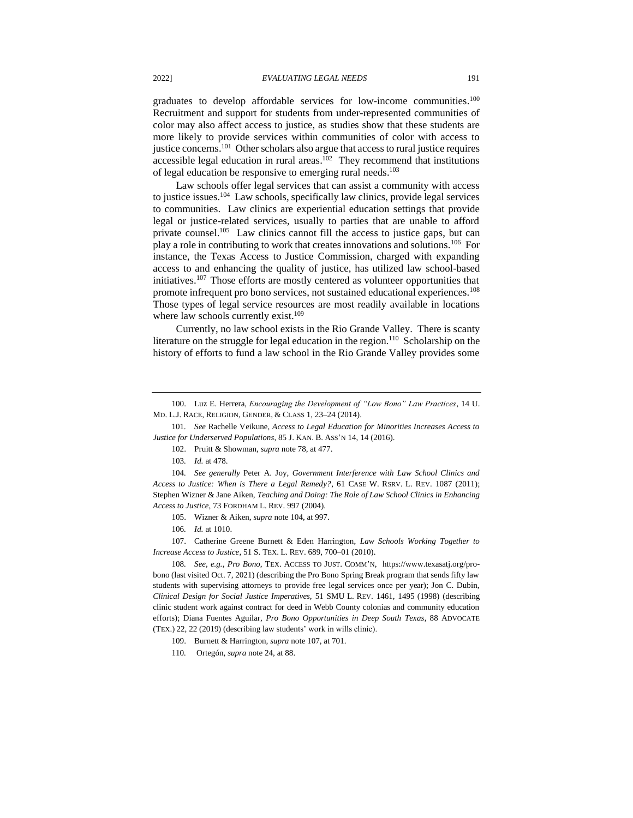graduates to develop affordable services for low-income communities.<sup>100</sup> Recruitment and support for students from under-represented communities of color may also affect access to justice, as studies show that these students are more likely to provide services within communities of color with access to justice concerns.<sup>101</sup> Other scholars also argue that access to rural justice requires accessible legal education in rural areas.<sup>102</sup> They recommend that institutions of legal education be responsive to emerging rural needs.<sup>103</sup>

Law schools offer legal services that can assist a community with access to justice issues.<sup>104</sup> Law schools, specifically law clinics, provide legal services to communities. Law clinics are experiential education settings that provide legal or justice-related services, usually to parties that are unable to afford private counsel.<sup>105</sup> Law clinics cannot fill the access to justice gaps, but can play a role in contributing to work that creates innovations and solutions.<sup>106</sup> For instance, the Texas Access to Justice Commission, charged with expanding access to and enhancing the quality of justice, has utilized law school-based initiatives.<sup>107</sup> Those efforts are mostly centered as volunteer opportunities that promote infrequent pro bono services, not sustained educational experiences.<sup>108</sup> Those types of legal service resources are most readily available in locations where law schools currently exist.<sup>109</sup>

Currently, no law school exists in the Rio Grande Valley. There is scanty literature on the struggle for legal education in the region.<sup>110</sup> Scholarship on the history of efforts to fund a law school in the Rio Grande Valley provides some

- 105. Wizner & Aiken, *supra* note 104, at 997.
- 106*. Id.* at 1010.

107. Catherine Greene Burnett & Eden Harrington, *Law Schools Working Together to Increase Access to Justice*, 51 S. TEX. L. REV. 689, 700–01 (2010).

108*. See, e.g.*, *Pro Bono*, TEX. ACCESS TO JUST. COMM'N, https://www.texasatj.org/probono (last visited Oct. 7, 2021) (describing the Pro Bono Spring Break program that sends fifty law students with supervising attorneys to provide free legal services once per year); Jon C. Dubin, *Clinical Design for Social Justice Imperatives,* 51 SMU L. REV. 1461, 1495 (1998) (describing clinic student work against contract for deed in Webb County colonias and community education efforts); Diana Fuentes Aguilar, *Pro Bono Opportunities in Deep South Texas*, 88 ADVOCATE (TEX.) 22, 22 (2019) (describing law students' work in wills clinic).

<sup>100.</sup> Luz E. Herrera, *Encouraging the Development of "Low Bono" Law Practices*, 14 U. MD. L.J. RACE, RELIGION, GENDER, & CLASS 1, 23–24 (2014).

<sup>101</sup>*. See* Rachelle Veikune, *Access to Legal Education for Minorities Increases Access to Justice for Underserved Populations*, 85 J. KAN. B. ASS'N 14, 14 (2016).

<sup>102.</sup> Pruitt & Showman, *supra* note 78, at 477.

<sup>103</sup>*. Id.* at 478.

<sup>104</sup>*. See generally* Peter A. Joy, *Government Interference with Law School Clinics and Access to Justice: When is There a Legal Remedy?*, 61 CASE W. RSRV. L. REV. 1087 (2011); Stephen Wizner & Jane Aiken, *Teaching and Doing: The Role of Law School Clinics in Enhancing Access to Justice*, 73 FORDHAM L. REV. 997 (2004).

<sup>109.</sup> Burnett & Harrington, *supra* note 107, at 701.

<sup>110</sup>*.* Ortegón, *supra* note 24, at 88.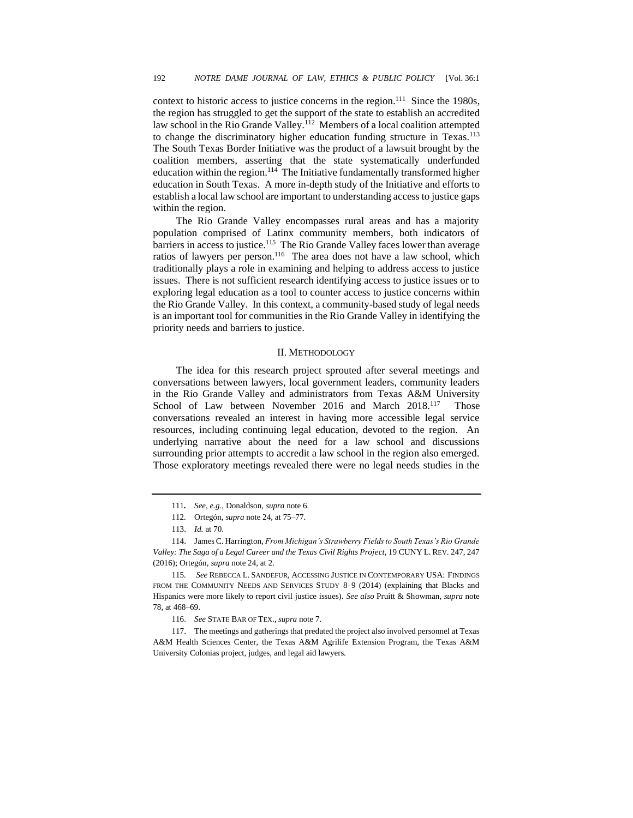context to historic access to justice concerns in the region.<sup>111</sup> Since the 1980s, the region has struggled to get the support of the state to establish an accredited law school in the Rio Grande Valley.<sup>112</sup> Members of a local coalition attempted to change the discriminatory higher education funding structure in Texas.<sup>113</sup> The South Texas Border Initiative was the product of a lawsuit brought by the coalition members, asserting that the state systematically underfunded education within the region.<sup>114</sup> The Initiative fundamentally transformed higher education in South Texas. A more in-depth study of the Initiative and efforts to establish a local law school are important to understanding access to justice gaps within the region.

The Rio Grande Valley encompasses rural areas and has a majority population comprised of Latinx community members, both indicators of barriers in access to justice.<sup>115</sup> The Rio Grande Valley faces lower than average ratios of lawyers per person.<sup>116</sup> The area does not have a law school, which traditionally plays a role in examining and helping to address access to justice issues. There is not sufficient research identifying access to justice issues or to exploring legal education as a tool to counter access to justice concerns within the Rio Grande Valley. In this context, a community-based study of legal needs is an important tool for communities in the Rio Grande Valley in identifying the priority needs and barriers to justice.

#### II. METHODOLOGY

The idea for this research project sprouted after several meetings and conversations between lawyers, local government leaders, community leaders in the Rio Grande Valley and administrators from Texas A&M University School of Law between November 2016 and March 2018.<sup>117</sup> Those conversations revealed an interest in having more accessible legal service resources, including continuing legal education, devoted to the region. An underlying narrative about the need for a law school and discussions surrounding prior attempts to accredit a law school in the region also emerged. Those exploratory meetings revealed there were no legal needs studies in the

<sup>111</sup>*. See, e.g.*, Donaldson, *supra* note 6.

<sup>112</sup>*.* Ortegón, *supra* note 24, at 75–77.

<sup>113.</sup> *Id.* at 70.

<sup>114.</sup> James C. Harrington, *From Michigan's Strawberry Fields to South Texas's Rio Grande Valley: The Saga of a Legal Career and the Texas Civil Rights Project*, 19 CUNY L. REV. 247, 247 (2016); Ortegón, *supra* note 24, at 2.

<sup>115</sup>*. See* REBECCA L. SANDEFUR, ACCESSING JUSTICE IN CONTEMPORARY USA: FINDINGS FROM THE COMMUNITY NEEDS AND SERVICES STUDY 8–9 (2014) (explaining that Blacks and Hispanics were more likely to report civil justice issues). *See also* Pruitt & Showman, *supra* note 78, at 468–69.

<sup>116.</sup> *See* STATE BAR OF TEX., *supra* note 7.

<sup>117.</sup> The meetings and gatherings that predated the project also involved personnel at Texas A&M Health Sciences Center, the Texas A&M Agrilife Extension Program, the Texas A&M University Colonias project, judges, and legal aid lawyers.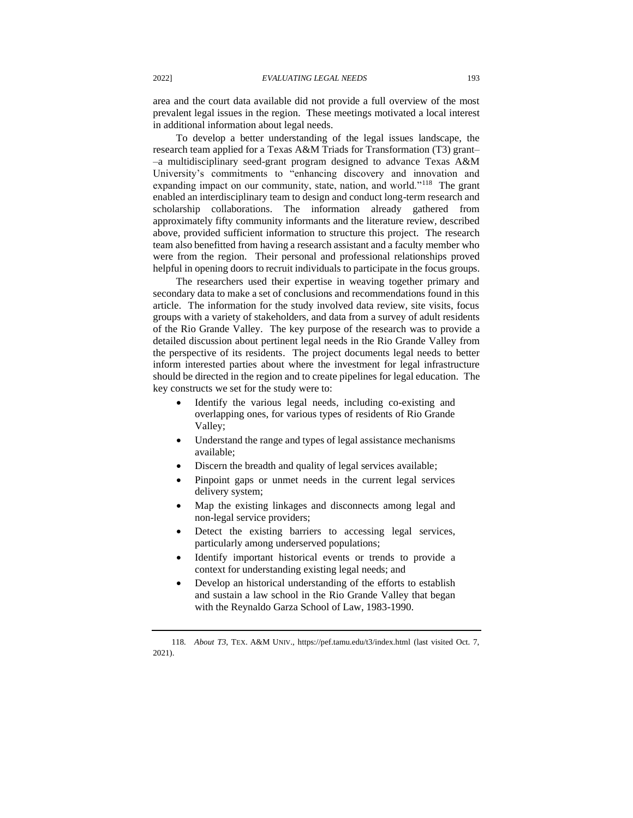area and the court data available did not provide a full overview of the most prevalent legal issues in the region. These meetings motivated a local interest in additional information about legal needs.

To develop a better understanding of the legal issues landscape, the research team applied for a Texas A&M Triads for Transformation (T3) grant– –a multidisciplinary seed-grant program designed to advance Texas A&M University's commitments to "enhancing discovery and innovation and expanding impact on our community, state, nation, and world."<sup>118</sup> The grant enabled an interdisciplinary team to design and conduct long-term research and scholarship collaborations. The information already gathered from approximately fifty community informants and the literature review, described above, provided sufficient information to structure this project. The research team also benefitted from having a research assistant and a faculty member who were from the region. Their personal and professional relationships proved helpful in opening doors to recruit individuals to participate in the focus groups.

The researchers used their expertise in weaving together primary and secondary data to make a set of conclusions and recommendations found in this article. The information for the study involved data review, site visits, focus groups with a variety of stakeholders, and data from a survey of adult residents of the Rio Grande Valley. The key purpose of the research was to provide a detailed discussion about pertinent legal needs in the Rio Grande Valley from the perspective of its residents. The project documents legal needs to better inform interested parties about where the investment for legal infrastructure should be directed in the region and to create pipelines for legal education. The key constructs we set for the study were to:

- Identify the various legal needs, including co-existing and overlapping ones, for various types of residents of Rio Grande Valley;
- Understand the range and types of legal assistance mechanisms available;
- Discern the breadth and quality of legal services available;
- Pinpoint gaps or unmet needs in the current legal services delivery system;
- Map the existing linkages and disconnects among legal and non-legal service providers;
- Detect the existing barriers to accessing legal services, particularly among underserved populations;
- Identify important historical events or trends to provide a context for understanding existing legal needs; and
- Develop an historical understanding of the efforts to establish and sustain a law school in the Rio Grande Valley that began with the Reynaldo Garza School of Law, 1983-1990.

<sup>118</sup>*. About T3*, TEX. A&M UNIV., https://pef.tamu.edu/t3/index.html (last visited Oct. 7, 2021).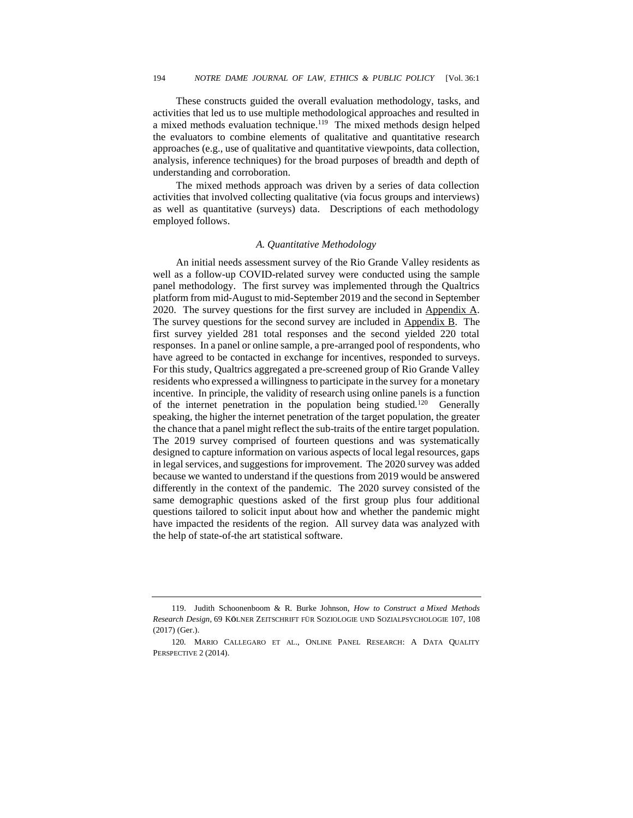These constructs guided the overall evaluation methodology, tasks, and activities that led us to use multiple methodological approaches and resulted in a mixed methods evaluation technique.<sup>119</sup> The mixed methods design helped the evaluators to combine elements of qualitative and quantitative research approaches (e.g., use of qualitative and quantitative viewpoints, data collection, analysis, inference techniques) for the broad purposes of breadth and depth of understanding and corroboration.

The mixed methods approach was driven by a series of data collection activities that involved collecting qualitative (via focus groups and interviews) as well as quantitative (surveys) data. Descriptions of each methodology employed follows.

#### *A. Quantitative Methodology*

An initial needs assessment survey of the Rio Grande Valley residents as well as a follow-up COVID-related survey were conducted using the sample panel methodology. The first survey was implemented through the Qualtrics platform from mid-August to mid-September 2019 and the second in September 2020. The survey questions for the first survey are included in Appendix  $\overline{A}$ . The survey questions for the second survey are included in Appendix B. The first survey yielded 281 total responses and the second yielded 220 total responses. In a panel or online sample, a pre-arranged pool of respondents, who have agreed to be contacted in exchange for incentives, responded to surveys. For this study, Qualtrics aggregated a pre-screened group of Rio Grande Valley residents who expressed a willingness to participate in the survey for a monetary incentive. In principle, the validity of research using online panels is a function of the internet penetration in the population being studied.<sup>120</sup> Generally speaking, the higher the internet penetration of the target population, the greater the chance that a panel might reflect the sub-traits of the entire target population. The 2019 survey comprised of fourteen questions and was systematically designed to capture information on various aspects of local legal resources, gaps in legal services, and suggestions for improvement. The 2020 survey was added because we wanted to understand if the questions from 2019 would be answered differently in the context of the pandemic. The 2020 survey consisted of the same demographic questions asked of the first group plus four additional questions tailored to solicit input about how and whether the pandemic might have impacted the residents of the region. All survey data was analyzed with the help of state-of-the art statistical software.

<sup>119.</sup> Judith Schoonenboom & R. Burke Johnson, *How to Construct a Mixed Methods Research Design*, 69 K**Ö**LNER ZEITSCHRIFT FÜR SOZIOLOGIE UND SOZIALPSYCHOLOGIE 107, 108 (2017) (Ger.).

<sup>120</sup>*.* MARIO CALLEGARO ET AL., ONLINE PANEL RESEARCH: A DATA QUALITY PERSPECTIVE 2 (2014).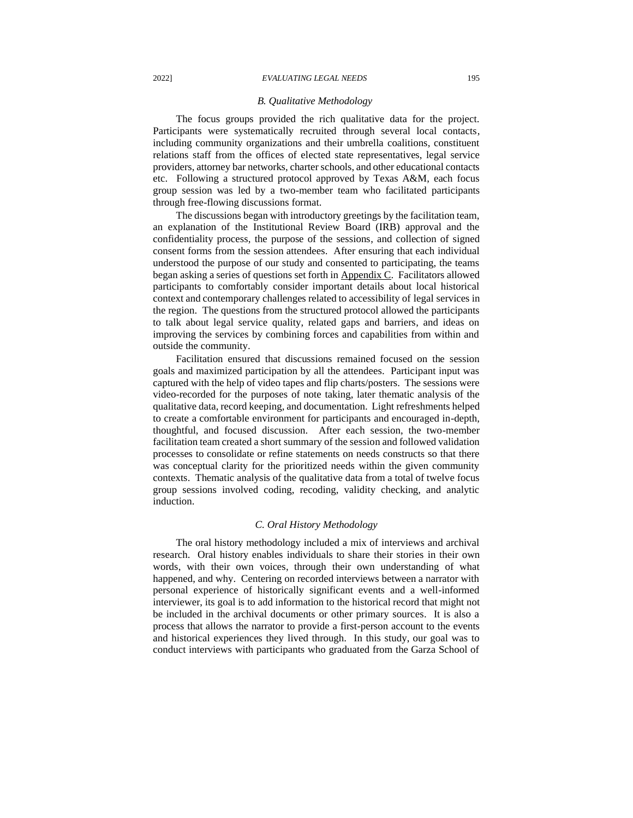#### *B. Qualitative Methodology*

The focus groups provided the rich qualitative data for the project. Participants were systematically recruited through several local contacts, including community organizations and their umbrella coalitions, constituent relations staff from the offices of elected state representatives, legal service providers, attorney bar networks, charter schools, and other educational contacts etc. Following a structured protocol approved by Texas A&M, each focus group session was led by a two-member team who facilitated participants through free-flowing discussions format.

The discussions began with introductory greetings by the facilitation team, an explanation of the Institutional Review Board (IRB) approval and the confidentiality process, the purpose of the sessions, and collection of signed consent forms from the session attendees. After ensuring that each individual understood the purpose of our study and consented to participating, the teams began asking a series of questions set forth in Appendix C. Facilitators allowed participants to comfortably consider important details about local historical context and contemporary challenges related to accessibility of legal services in the region. The questions from the structured protocol allowed the participants to talk about legal service quality, related gaps and barriers, and ideas on improving the services by combining forces and capabilities from within and outside the community.

Facilitation ensured that discussions remained focused on the session goals and maximized participation by all the attendees. Participant input was captured with the help of video tapes and flip charts/posters. The sessions were video-recorded for the purposes of note taking, later thematic analysis of the qualitative data, record keeping, and documentation. Light refreshments helped to create a comfortable environment for participants and encouraged in-depth, thoughtful, and focused discussion. After each session, the two-member facilitation team created a short summary of the session and followed validation processes to consolidate or refine statements on needs constructs so that there was conceptual clarity for the prioritized needs within the given community contexts. Thematic analysis of the qualitative data from a total of twelve focus group sessions involved coding, recoding, validity checking, and analytic induction.

#### *C. Oral History Methodology*

The oral history methodology included a mix of interviews and archival research. Oral history enables individuals to share their stories in their own words, with their own voices, through their own understanding of what happened, and why. Centering on recorded interviews between a narrator with personal experience of historically significant events and a well-informed interviewer, its goal is to add information to the historical record that might not be included in the archival documents or other primary sources. It is also a process that allows the narrator to provide a first-person account to the events and historical experiences they lived through. In this study, our goal was to conduct interviews with participants who graduated from the Garza School of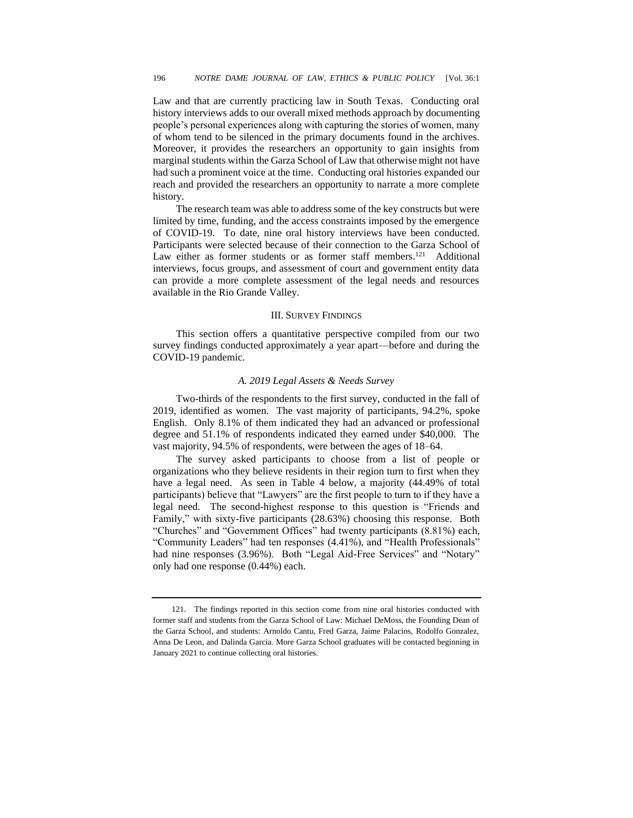Law and that are currently practicing law in South Texas. Conducting oral history interviews adds to our overall mixed methods approach by documenting people's personal experiences along with capturing the stories of women, many of whom tend to be silenced in the primary documents found in the archives. Moreover, it provides the researchers an opportunity to gain insights from marginal students within the Garza School of Law that otherwise might not have had such a prominent voice at the time. Conducting oral histories expanded our reach and provided the researchers an opportunity to narrate a more complete history.

The research team was able to address some of the key constructs but were limited by time, funding, and the access constraints imposed by the emergence of COVID-19. To date, nine oral history interviews have been conducted. Participants were selected because of their connection to the Garza School of Law either as former students or as former staff members.<sup>121</sup> Additional interviews, focus groups, and assessment of court and government entity data can provide a more complete assessment of the legal needs and resources available in the Rio Grande Valley.

#### III.SURVEY FINDINGS

This section offers a quantitative perspective compiled from our two survey findings conducted approximately a year apart—before and during the COVID-19 pandemic.

#### *A. 2019 Legal Assets & Needs Survey*

Two-thirds of the respondents to the first survey, conducted in the fall of 2019, identified as women. The vast majority of participants, 94.2%, spoke English. Only 8.1% of them indicated they had an advanced or professional degree and 51.1% of respondents indicated they earned under \$40,000. The vast majority, 94.5% of respondents, were between the ages of 18–64.

The survey asked participants to choose from a list of people or organizations who they believe residents in their region turn to first when they have a legal need. As seen in Table 4 below, a majority (44.49% of total participants) believe that "Lawyers" are the first people to turn to if they have a legal need. The second-highest response to this question is "Friends and Family," with sixty-five participants (28.63%) choosing this response. Both "Churches" and "Government Offices" had twenty participants (8.81%) each, "Community Leaders" had ten responses (4.41%), and "Health Professionals" had nine responses (3.96%). Both "Legal Aid-Free Services" and "Notary" only had one response (0.44%) each.

<sup>121.</sup> The findings reported in this section come from nine oral histories conducted with former staff and students from the Garza School of Law: Michael DeMoss, the Founding Dean of the Garza School, and students: Arnoldo Cantu, Fred Garza, Jaime Palacios, Rodolfo Gonzalez, Anna De Leon, and Dalinda Garcia. More Garza School graduates will be contacted beginning in January 2021 to continue collecting oral histories.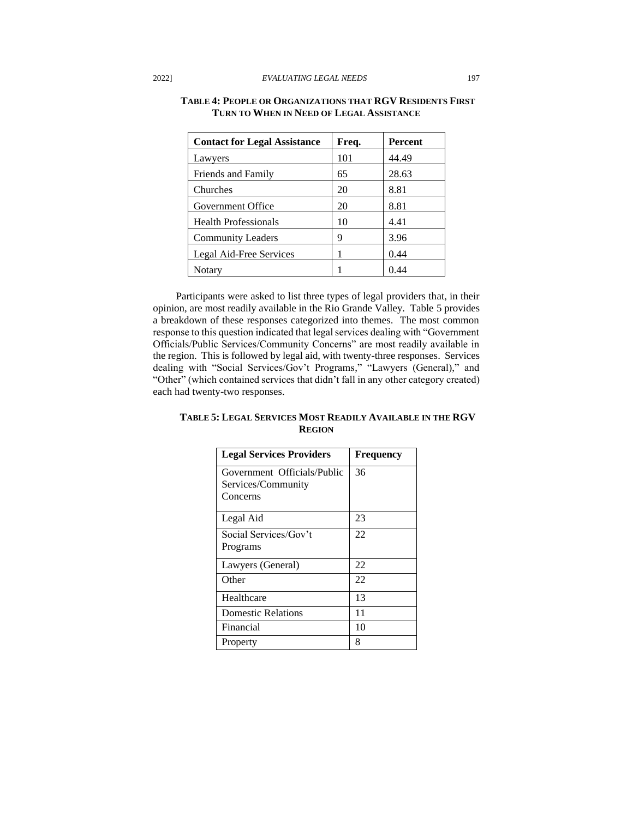| <b>Contact for Legal Assistance</b> | Freq. | Percent |
|-------------------------------------|-------|---------|
| Lawyers                             | 101   | 44.49   |
| Friends and Family                  | 65    | 28.63   |
| Churches                            | 20    | 8.81    |
| Government Office                   | 20    | 8.81    |
| <b>Health Professionals</b>         | 10    | 4.41    |
| <b>Community Leaders</b>            | 9     | 3.96    |
| Legal Aid-Free Services             | 1     | 0.44    |
| Notary                              |       | 0.44    |

# **TABLE 4: PEOPLE OR ORGANIZATIONS THAT RGV RESIDENTS FIRST TURN TO WHEN IN NEED OF LEGAL ASSISTANCE**

Participants were asked to list three types of legal providers that, in their opinion, are most readily available in the Rio Grande Valley. Table 5 provides a breakdown of these responses categorized into themes. The most common response to this question indicated that legal services dealing with "Government Officials/Public Services/Community Concerns" are most readily available in the region. This is followed by legal aid, with twenty-three responses. Services dealing with "Social Services/Gov't Programs," "Lawyers (General)," and "Other" (which contained services that didn't fall in any other category created) each had twenty-two responses.

# **TABLE 5: LEGAL SERVICES MOST READILY AVAILABLE IN THE RGV REGION**

| <b>Legal Services Providers</b> | <b>Frequency</b> |
|---------------------------------|------------------|
| Government Officials/Public     | 36               |
| Services/Community              |                  |
| Concerns                        |                  |
|                                 |                  |
| Legal Aid                       | 23               |
| Social Services/Gov't           | 22               |
| Programs                        |                  |
| Lawyers (General)               | 22               |
| Other                           | 22               |
| Healthcare                      | 13               |
| Domestic Relations              | 11               |
| Financial                       | 10               |
| Property                        | 8                |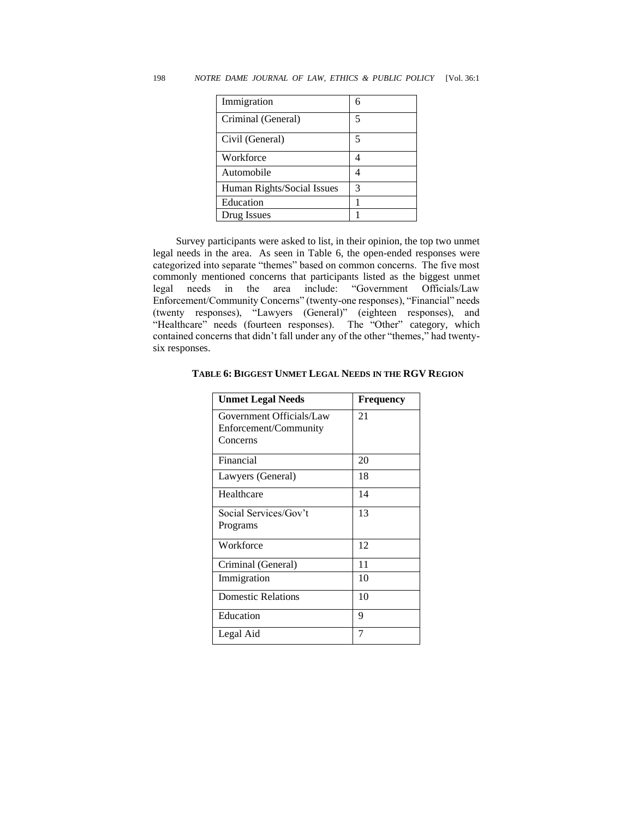| Immigration                |   |
|----------------------------|---|
| Criminal (General)         | 5 |
| Civil (General)            | 5 |
| Workforce                  |   |
| Automobile                 |   |
| Human Rights/Social Issues | 3 |
| Education                  |   |
| Drug Issues                |   |

Survey participants were asked to list, in their opinion, the top two unmet legal needs in the area. As seen in Table 6, the open-ended responses were categorized into separate "themes" based on common concerns. The five most commonly mentioned concerns that participants listed as the biggest unmet legal needs in the area include: "Government Officials/Law Enforcement/Community Concerns" (twenty-one responses), "Financial" needs (twenty responses), "Lawyers (General)" (eighteen responses), and "Healthcare" needs (fourteen responses). The "Other" category, which contained concerns that didn't fall under any of the other "themes," had twentysix responses.

| <b>Unmet Legal Needs</b>                                      | Frequency |
|---------------------------------------------------------------|-----------|
| Government Officials/Law<br>Enforcement/Community<br>Concerns | 21        |
| Financial                                                     | 20        |
| Lawyers (General)                                             | 18        |
| Healthcare                                                    | 14        |
| Social Services/Gov't<br>Programs                             | 13        |
| Workforce                                                     | 12        |
| Criminal (General)                                            | 11        |
| Immigration                                                   | 10        |
| <b>Domestic Relations</b>                                     | 10        |
| Education                                                     | 9         |
| Legal Aid                                                     | 7         |

#### **TABLE 6: BIGGEST UNMET LEGAL NEEDS IN THE RGV REGION**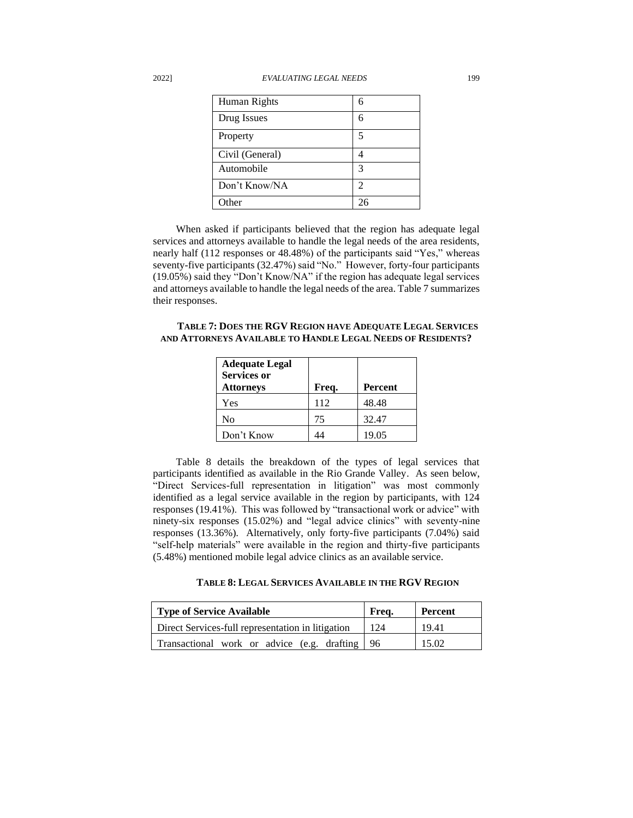| Human Rights    | 6  |
|-----------------|----|
| Drug Issues     | 6  |
| Property        | 5  |
| Civil (General) |    |
| Automobile      | 3  |
| Don't Know/NA   | 2  |
| $O$ ther        | 26 |

When asked if participants believed that the region has adequate legal services and attorneys available to handle the legal needs of the area residents, nearly half (112 responses or 48.48%) of the participants said "Yes," whereas seventy-five participants (32.47%) said "No." However, forty-four participants (19.05%) said they "Don't Know/NA" if the region has adequate legal services and attorneys available to handle the legal needs of the area. Table 7 summarizes their responses.

**TABLE 7: DOES THE RGV REGION HAVE ADEQUATE LEGAL SERVICES AND ATTORNEYS AVAILABLE TO HANDLE LEGAL NEEDS OF RESIDENTS?**

| <b>Adequate Legal</b><br><b>Services or</b><br><b>Attorneys</b> | Freq. | <b>Percent</b> |
|-----------------------------------------------------------------|-------|----------------|
| Yes                                                             | 112   | 48.48          |
| No                                                              | 75    | 32.47          |
| Don't Know                                                      | 44    | 19.05          |

Table 8 details the breakdown of the types of legal services that participants identified as available in the Rio Grande Valley. As seen below, "Direct Services-full representation in litigation" was most commonly identified as a legal service available in the region by participants, with 124 responses (19.41%). This was followed by "transactional work or advice" with ninety-six responses (15.02%) and "legal advice clinics" with seventy-nine responses (13.36%). Alternatively, only forty-five participants (7.04%) said "self-help materials" were available in the region and thirty-five participants (5.48%) mentioned mobile legal advice clinics as an available service.

| Type of Service Available                         | Freq. | Percent |
|---------------------------------------------------|-------|---------|
| Direct Services-full representation in litigation | -124  | 19.41   |
| Transactional work or advice (e.g. drafting   96  |       | 15.02   |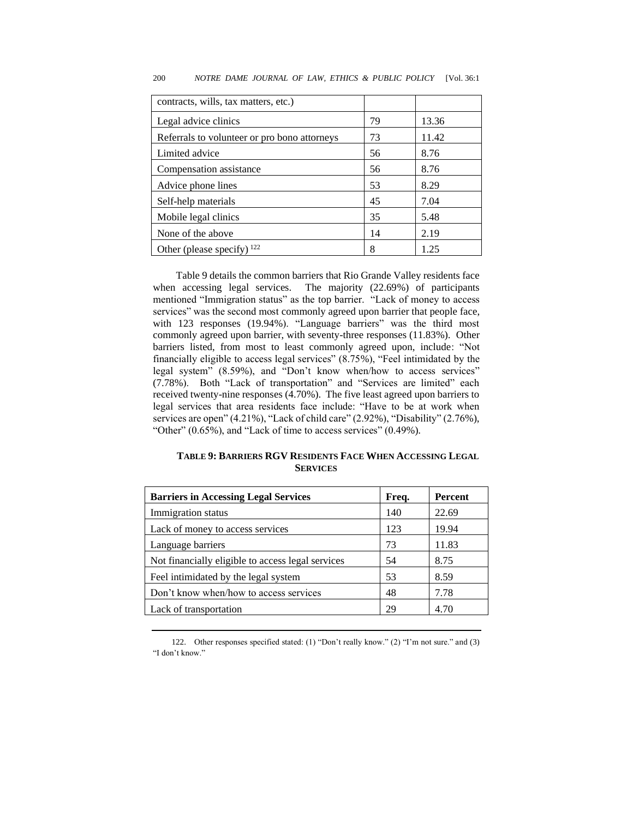| contracts, wills, tax matters, etc.)         |    |       |
|----------------------------------------------|----|-------|
| Legal advice clinics                         | 79 | 13.36 |
| Referrals to volunteer or pro bono attorneys | 73 | 11.42 |
| Limited advice                               | 56 | 8.76  |
| Compensation assistance                      | 56 | 8.76  |
| Advice phone lines                           | 53 | 8.29  |
| Self-help materials                          | 45 | 7.04  |
| Mobile legal clinics                         | 35 | 5.48  |
| None of the above                            | 14 | 2.19  |
| Other (please specify) $^{122}$              | 8  | 1.25  |

#### 200 *NOTRE DAME JOURNAL OF LAW, ETHICS & PUBLIC POLICY* [Vol. 36:1

Table 9 details the common barriers that Rio Grande Valley residents face when accessing legal services. The majority (22.69%) of participants mentioned "Immigration status" as the top barrier. "Lack of money to access services" was the second most commonly agreed upon barrier that people face, with 123 responses (19.94%). "Language barriers" was the third most commonly agreed upon barrier, with seventy-three responses (11.83%). Other barriers listed, from most to least commonly agreed upon, include: "Not financially eligible to access legal services" (8.75%), "Feel intimidated by the legal system" (8.59%), and "Don't know when/how to access services" (7.78%). Both "Lack of transportation" and "Services are limited" each received twenty-nine responses (4.70%). The five least agreed upon barriers to legal services that area residents face include: "Have to be at work when services are open" (4.21%), "Lack of child care" (2.92%), "Disability" (2.76%), "Other" (0.65%), and "Lack of time to access services" (0.49%).

# **TABLE 9: BARRIERS RGV RESIDENTS FACE WHEN ACCESSING LEGAL SERVICES**

| <b>Barriers in Accessing Legal Services</b>       | Freq. | <b>Percent</b> |
|---------------------------------------------------|-------|----------------|
| Immigration status                                | 140   | 22.69          |
| Lack of money to access services                  | 123   | 19.94          |
| Language barriers                                 | 73    | 11.83          |
| Not financially eligible to access legal services | 54    | 8.75           |
| Feel intimidated by the legal system              | 53    | 8.59           |
| Don't know when/how to access services            | 48    | 7.78           |
| Lack of transportation                            | 29    | 4.70           |
|                                                   |       |                |

122. Other responses specified stated: (1) "Don't really know." (2) "I'm not sure." and (3) "I don't know."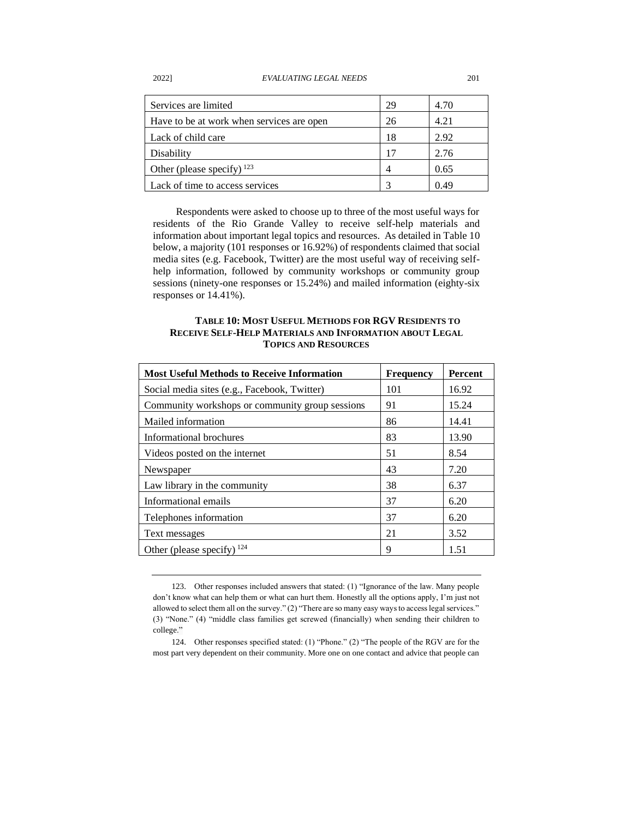| Services are limited                      | 29 | 4.70 |
|-------------------------------------------|----|------|
| Have to be at work when services are open | 26 | 4.21 |
| Lack of child care                        | 18 | 2.92 |
| Disability                                | 17 | 2.76 |
| Other (please specify) $^{123}$           |    | 0.65 |
| Lack of time to access services           |    | 0.49 |

Respondents were asked to choose up to three of the most useful ways for residents of the Rio Grande Valley to receive self-help materials and information about important legal topics and resources. As detailed in Table 10 below, a majority (101 responses or 16.92%) of respondents claimed that social media sites (e.g. Facebook, Twitter) are the most useful way of receiving selfhelp information, followed by community workshops or community group sessions (ninety-one responses or 15.24%) and mailed information (eighty-six responses or 14.41%).

# **TABLE 10: MOST USEFUL METHODS FOR RGV RESIDENTS TO RECEIVE SELF-HELP MATERIALS AND INFORMATION ABOUT LEGAL TOPICS AND RESOURCES**

| <b>Most Useful Methods to Receive Information</b> | <b>Frequency</b> | <b>Percent</b> |
|---------------------------------------------------|------------------|----------------|
| Social media sites (e.g., Facebook, Twitter)      | 101              | 16.92          |
| Community workshops or community group sessions   | 91               | 15.24          |
| Mailed information                                | 86               | 14.41          |
| Informational brochures                           | 83               | 13.90          |
| Videos posted on the internet                     | 51               | 8.54           |
| Newspaper                                         | 43               | 7.20           |
| Law library in the community                      | 38               | 6.37           |
| Informational emails                              | 37               | 6.20           |
| Telephones information                            | 37               | 6.20           |
| Text messages                                     | 21               | 3.52           |
| Other (please specify) $^{124}$                   | 9                | 1.51           |

<sup>123.</sup> Other responses included answers that stated: (1) "Ignorance of the law. Many people don't know what can help them or what can hurt them. Honestly all the options apply, I'm just not allowed to select them all on the survey." (2) "There are so many easy ways to access legal services." (3) "None." (4) "middle class families get screwed (financially) when sending their children to college."

<sup>124.</sup> Other responses specified stated: (1) "Phone." (2) "The people of the RGV are for the most part very dependent on their community. More one on one contact and advice that people can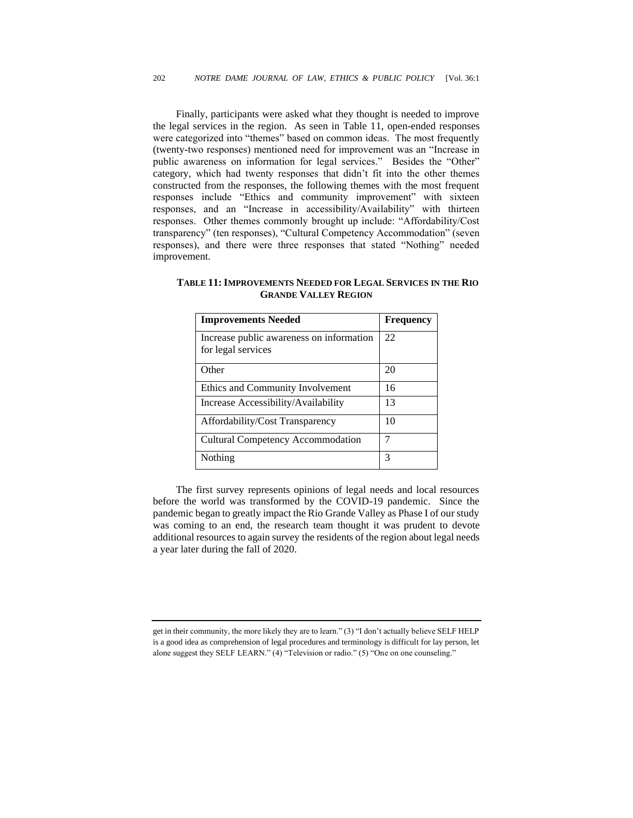Finally, participants were asked what they thought is needed to improve the legal services in the region. As seen in Table 11, open-ended responses were categorized into "themes" based on common ideas. The most frequently (twenty-two responses) mentioned need for improvement was an "Increase in public awareness on information for legal services." Besides the "Other" category, which had twenty responses that didn't fit into the other themes constructed from the responses, the following themes with the most frequent responses include "Ethics and community improvement" with sixteen responses, and an "Increase in accessibility/Availability" with thirteen responses. Other themes commonly brought up include: "Affordability/Cost transparency" (ten responses), "Cultural Competency Accommodation" (seven responses), and there were three responses that stated "Nothing" needed improvement.

| <b>Improvements Needed</b>                                     | <b>Frequency</b> |
|----------------------------------------------------------------|------------------|
| Increase public awareness on information<br>for legal services | 22               |
| Other                                                          | 20               |
| Ethics and Community Involvement                               | 16               |
| Increase Accessibility/Availability                            | 13               |
| Affordability/Cost Transparency                                | 10               |
| Cultural Competency Accommodation                              | 7                |
| Nothing                                                        | 3                |

**TABLE 11:IMPROVEMENTS NEEDED FOR LEGAL SERVICES IN THE RIO GRANDE VALLEY REGION**

The first survey represents opinions of legal needs and local resources before the world was transformed by the COVID-19 pandemic. Since the pandemic began to greatly impact the Rio Grande Valley as Phase I of our study was coming to an end, the research team thought it was prudent to devote additional resources to again survey the residents of the region about legal needs a year later during the fall of 2020.

get in their community, the more likely they are to learn." (3) "I don't actually believe SELF HELP is a good idea as comprehension of legal procedures and terminology is difficult for lay person, let alone suggest they SELF LEARN." (4) "Television or radio." (5) "One on one counseling."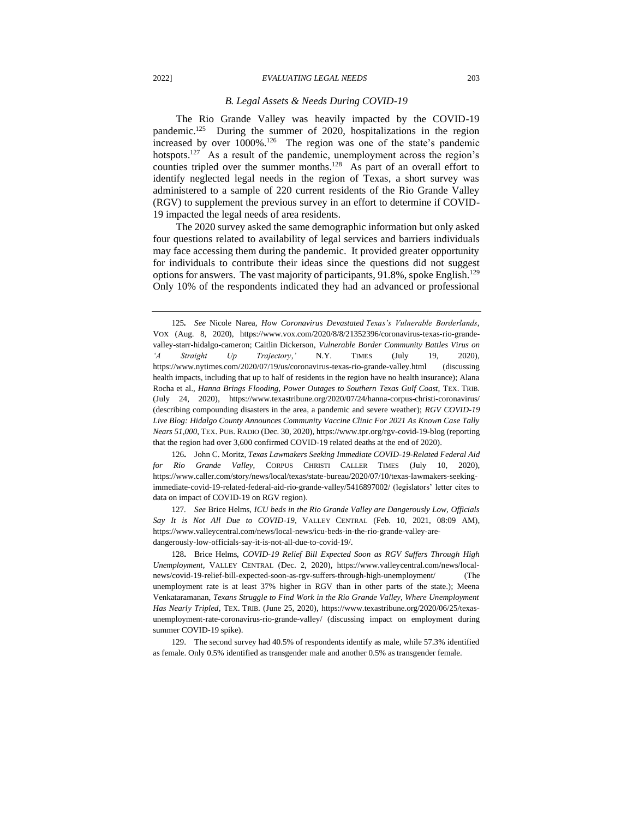#### *B. Legal Assets & Needs During COVID-19*

The Rio Grande Valley was heavily impacted by the COVID-19 pandemic.<sup>125</sup> During the summer of 2020, hospitalizations in the region increased by over 1000%.<sup>126</sup> The region was one of the state's pandemic hotspots.<sup>127</sup> As a result of the pandemic, unemployment across the region's counties tripled over the summer months.<sup>128</sup> As part of an overall effort to identify neglected legal needs in the region of Texas, a short survey was administered to a sample of 220 current residents of the Rio Grande Valley (RGV) to supplement the previous survey in an effort to determine if COVID-19 impacted the legal needs of area residents.

The 2020 survey asked the same demographic information but only asked four questions related to availability of legal services and barriers individuals may face accessing them during the pandemic. It provided greater opportunity for individuals to contribute their ideas since the questions did not suggest options for answers. The vast majority of participants, 91.8%, spoke English.<sup>129</sup> Only 10% of the respondents indicated they had an advanced or professional

126**.** John C. Moritz, *Texas Lawmakers Seeking Immediate COVID-19-Related Federal Aid for Rio Grande Valley*, CORPUS CHRISTI CALLER TIMES (July 10, 2020), https://www.caller.com/story/news/local/texas/state-bureau/2020/07/10/texas-lawmakers-seekingimmediate-covid-19-related-federal-aid-rio-grande-valley/5416897002/ (legislators' letter cites to data on impact of COVID-19 on RGV region).

127*. See* Brice Helms, *ICU beds in the Rio Grande Valley are Dangerously Low, Officials Say It is Not All Due to COVID-19,* VALLEY CENTRAL (Feb. 10, 2021, 08:09 AM), https://www.valleycentral.com/news/local-news/icu-beds-in-the-rio-grande-valley-aredangerously-low-officials-say-it-is-not-all-due-to-covid-19/.

128**.** Brice Helms, *COVID-19 Relief Bill Expected Soon as RGV Suffers Through High Unemployment*, VALLEY CENTRAL (Dec. 2, 2020), https://www.valleycentral.com/news/localnews/covid-19-relief-bill-expected-soon-as-rgv-suffers-through-high-unemployment/ (The unemployment rate is at least 37% higher in RGV than in other parts of the state.); Meena Venkataramanan, *Texans Struggle to Find Work in the Rio Grande Valley, Where Unemployment Has Nearly Tripled*, TEX. TRIB. (June 25, 2020), https://www.texastribune.org/2020/06/25/texasunemployment-rate-coronavirus-rio-grande-valley/ (discussing impact on employment during summer COVID-19 spike).

129. The second survey had 40.5% of respondents identify as male, while 57.3% identified as female. Only 0.5% identified as transgender male and another 0.5% as transgender female.

<sup>125</sup>*. See* Nicole Narea, *How Coronavirus Devastated Texas's Vulnerable Borderlands*, VOX (Aug. 8, 2020), https://www.vox.com/2020/8/8/21352396/coronavirus-texas-rio-grandevalley-starr-hidalgo-cameron; Caitlin Dickerson, *Vulnerable Border Community Battles Virus on 'A Straight Up Trajectory*,*'* N.Y. TIMES (July 19, 2020), https://www.nytimes.com/2020/07/19/us/coronavirus-texas-rio-grande-valley.html (discussing health impacts, including that up to half of residents in the region have no health insurance); Alana Rocha et al., *Hanna Brings Flooding, Power Outages to Southern Texas Gulf Coast,* TEX. TRIB. (July 24, 2020), https://www.texastribune.org/2020/07/24/hanna-corpus-christi-coronavirus/ (describing compounding disasters in the area, a pandemic and severe weather); *RGV COVID-19 Live Blog: Hidalgo County Announces Community Vaccine Clinic For 2021 As Known Case Tally Nears 51,000*, TEX. PUB. RADIO (Dec. 30, 2020), https://www.tpr.org/rgv-covid-19-blog (reporting that the region had over 3,600 confirmed COVID-19 related deaths at the end of 2020).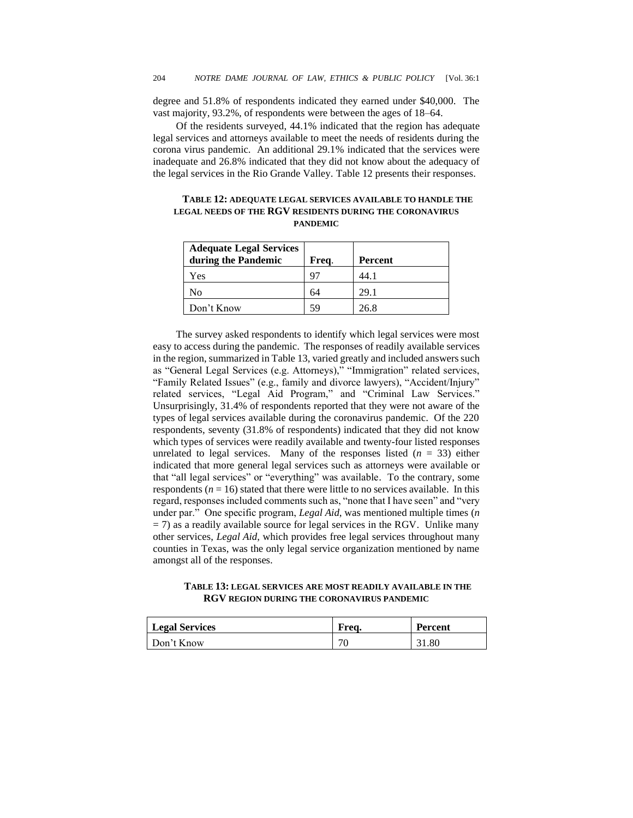degree and 51.8% of respondents indicated they earned under \$40,000. The vast majority, 93.2%, of respondents were between the ages of 18–64.

Of the residents surveyed, 44.1% indicated that the region has adequate legal services and attorneys available to meet the needs of residents during the corona virus pandemic. An additional 29.1% indicated that the services were inadequate and 26.8% indicated that they did not know about the adequacy of the legal services in the Rio Grande Valley. Table 12 presents their responses.

| TABLE 12: ADEQUATE LEGAL SERVICES AVAILABLE TO HANDLE THE      |
|----------------------------------------------------------------|
| <b>LEGAL NEEDS OF THE RGV RESIDENTS DURING THE CORONAVIRUS</b> |
| <b>PANDEMIC</b>                                                |

| <b>Adequate Legal Services</b> |       |         |
|--------------------------------|-------|---------|
| during the Pandemic            | Freq. | Percent |
| Yes                            | 97    | 44.1    |
| No                             | 64    | 29.1    |
| Don't Know                     | 59    | 26.8    |

The survey asked respondents to identify which legal services were most easy to access during the pandemic. The responses of readily available services in the region, summarized in Table 13, varied greatly and included answers such as "General Legal Services (e.g. Attorneys)," "Immigration" related services, "Family Related Issues" (e.g., family and divorce lawyers), "Accident/Injury" related services, "Legal Aid Program," and "Criminal Law Services." Unsurprisingly, 31.4% of respondents reported that they were not aware of the types of legal services available during the coronavirus pandemic. Of the 220 respondents, seventy (31.8% of respondents) indicated that they did not know which types of services were readily available and twenty-four listed responses unrelated to legal services. Many of the responses listed  $(n = 33)$  either indicated that more general legal services such as attorneys were available or that "all legal services" or "everything" was available. To the contrary, some respondents ( $n = 16$ ) stated that there were little to no services available. In this regard, responses included comments such as, "none that I have seen" and "very under par." One specific program, *Legal Aid*, was mentioned multiple times (*n*  $=$  7) as a readily available source for legal services in the RGV. Unlike many other services, *Legal Aid*, which provides free legal services throughout many counties in Texas, was the only legal service organization mentioned by name amongst all of the responses.

# **TABLE 13: LEGAL SERVICES ARE MOST READILY AVAILABLE IN THE RGV REGION DURING THE CORONAVIRUS PANDEMIC**

| <b>Legal Services</b> | Frea. | <b>Percent</b> |
|-----------------------|-------|----------------|
| $\Box$ Don't Know     | 70    | 31.80          |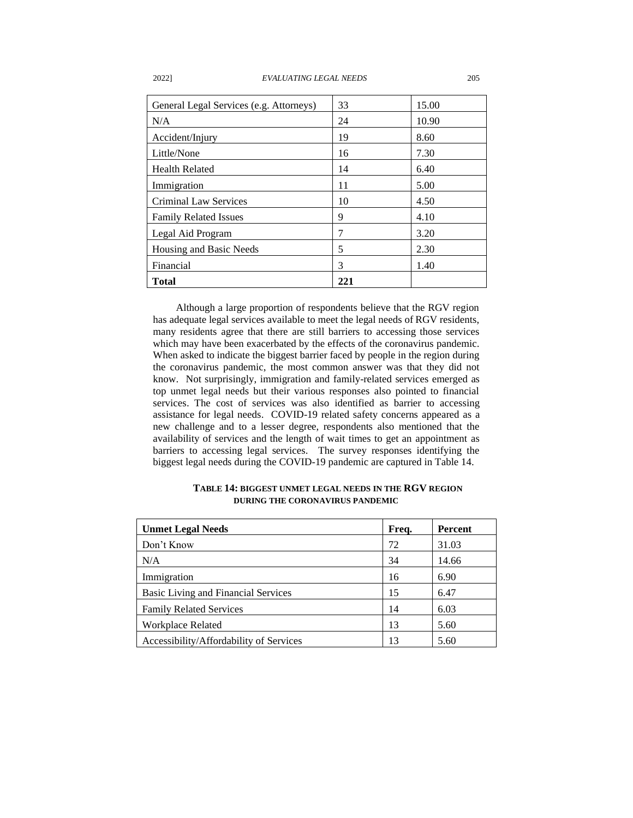| General Legal Services (e.g. Attorneys) | 33  | 15.00 |
|-----------------------------------------|-----|-------|
| N/A                                     | 24  | 10.90 |
| Accident/Injury                         | 19  | 8.60  |
| Little/None                             | 16  | 7.30  |
| <b>Health Related</b>                   | 14  | 6.40  |
| Immigration                             | 11  | 5.00  |
| <b>Criminal Law Services</b>            | 10  | 4.50  |
| <b>Family Related Issues</b>            | 9   | 4.10  |
| Legal Aid Program                       | 7   | 3.20  |
| Housing and Basic Needs                 | 5   | 2.30  |
| Financial                               | 3   | 1.40  |
| <b>Total</b>                            | 221 |       |

Although a large proportion of respondents believe that the RGV region has adequate legal services available to meet the legal needs of RGV residents, many residents agree that there are still barriers to accessing those services which may have been exacerbated by the effects of the coronavirus pandemic. When asked to indicate the biggest barrier faced by people in the region during the coronavirus pandemic, the most common answer was that they did not know. Not surprisingly, immigration and family-related services emerged as top unmet legal needs but their various responses also pointed to financial services. The cost of services was also identified as barrier to accessing assistance for legal needs. COVID-19 related safety concerns appeared as a new challenge and to a lesser degree, respondents also mentioned that the availability of services and the length of wait times to get an appointment as barriers to accessing legal services. The survey responses identifying the biggest legal needs during the COVID-19 pandemic are captured in Table 14.

| <b>Unmet Legal Needs</b>                | Freq. | Percent |
|-----------------------------------------|-------|---------|
| Don't Know                              | 72    | 31.03   |
| N/A                                     | 34    | 14.66   |
| Immigration                             | 16    | 6.90    |
| Basic Living and Financial Services     | 15    | 6.47    |
| <b>Family Related Services</b>          | 14    | 6.03    |
| <b>Workplace Related</b>                | 13    | 5.60    |
| Accessibility/Affordability of Services | 13    | 5.60    |

# **TABLE 14: BIGGEST UNMET LEGAL NEEDS IN THE RGV REGION DURING THE CORONAVIRUS PANDEMIC**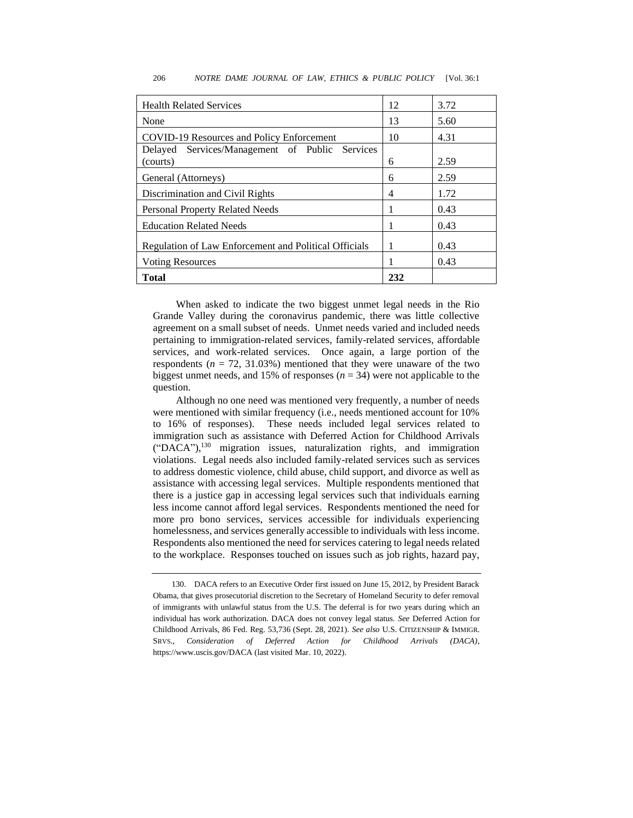| <b>Health Related Services</b>                        | 12  | 3.72 |
|-------------------------------------------------------|-----|------|
| None                                                  | 13  | 5.60 |
| COVID-19 Resources and Policy Enforcement             | 10  | 4.31 |
| Delayed Services/Management of Public Services        |     |      |
| (courts)                                              | 6   | 2.59 |
| General (Attorneys)                                   | 6   | 2.59 |
| Discrimination and Civil Rights                       | 4   | 1.72 |
| Personal Property Related Needs                       |     | 0.43 |
| <b>Education Related Needs</b>                        |     | 0.43 |
| Regulation of Law Enforcement and Political Officials |     | 0.43 |
| <b>Voting Resources</b>                               |     | 0.43 |
| <b>Total</b>                                          | 232 |      |

#### 206 *NOTRE DAME JOURNAL OF LAW, ETHICS & PUBLIC POLICY* [Vol. 36:1

When asked to indicate the two biggest unmet legal needs in the Rio Grande Valley during the coronavirus pandemic, there was little collective agreement on a small subset of needs. Unmet needs varied and included needs pertaining to immigration-related services, family-related services, affordable services, and work-related services. Once again, a large portion of the respondents ( $n = 72, 31.03\%$ ) mentioned that they were unaware of the two biggest unmet needs, and 15% of responses  $(n = 34)$  were not applicable to the question.

Although no one need was mentioned very frequently, a number of needs were mentioned with similar frequency (i.e., needs mentioned account for 10% to 16% of responses). These needs included legal services related to immigration such as assistance with Deferred Action for Childhood Arrivals ("DACA"),<sup>130</sup> migration issues, naturalization rights, and immigration violations. Legal needs also included family-related services such as services to address domestic violence, child abuse, child support, and divorce as well as assistance with accessing legal services. Multiple respondents mentioned that there is a justice gap in accessing legal services such that individuals earning less income cannot afford legal services. Respondents mentioned the need for more pro bono services, services accessible for individuals experiencing homelessness, and services generally accessible to individuals with less income. Respondents also mentioned the need for services catering to legal needs related to the workplace. Responses touched on issues such as job rights, hazard pay,

<sup>130.</sup> DACA refers to an Executive Order first issued on June 15, 2012, by President Barack Obama, that gives prosecutorial discretion to the Secretary of Homeland Security to defer removal of immigrants with unlawful status from the U.S. The deferral is for two years during which an individual has work authorization. DACA does not convey legal status. *See* Deferred Action for Childhood Arrivals, 86 Fed. Reg. 53,736 (Sept. 28, 2021). *See also* U.S. CITIZENSHIP & IMMIGR. SRVS., *Consideration of Deferred Action for Childhood Arrivals (DACA)*, https://www.uscis.gov/DACA (last visited Mar. 10, 2022).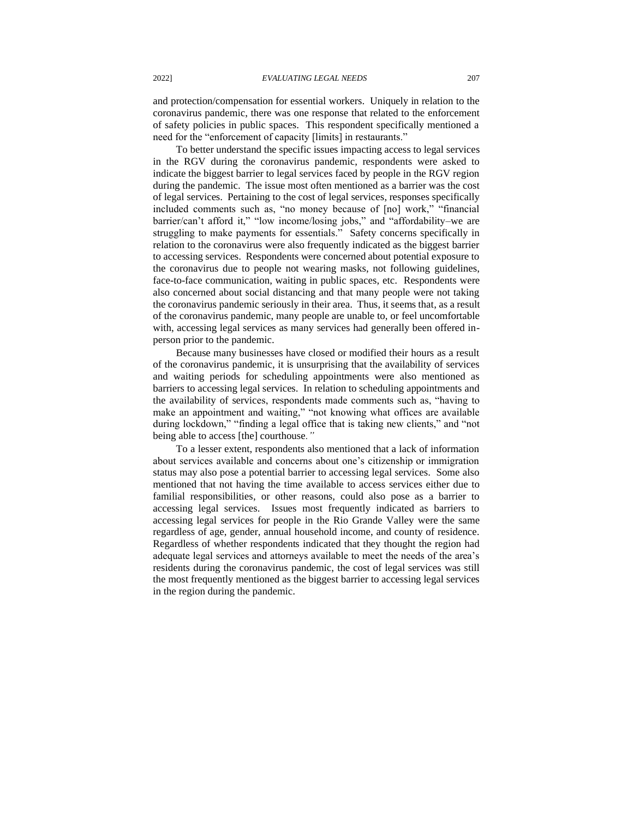and protection/compensation for essential workers. Uniquely in relation to the coronavirus pandemic, there was one response that related to the enforcement of safety policies in public spaces. This respondent specifically mentioned a need for the "enforcement of capacity [limits] in restaurants."

To better understand the specific issues impacting access to legal services in the RGV during the coronavirus pandemic, respondents were asked to indicate the biggest barrier to legal services faced by people in the RGV region during the pandemic. The issue most often mentioned as a barrier was the cost of legal services. Pertaining to the cost of legal services, responses specifically included comments such as, "no money because of [no] work," "financial barrier/can't afford it," "low income/losing jobs," and "affordability–we are struggling to make payments for essentials." Safety concerns specifically in relation to the coronavirus were also frequently indicated as the biggest barrier to accessing services. Respondents were concerned about potential exposure to the coronavirus due to people not wearing masks, not following guidelines, face-to-face communication, waiting in public spaces, etc*.* Respondents were also concerned about social distancing and that many people were not taking the coronavirus pandemic seriously in their area. Thus, it seems that, as a result of the coronavirus pandemic, many people are unable to, or feel uncomfortable with, accessing legal services as many services had generally been offered inperson prior to the pandemic.

Because many businesses have closed or modified their hours as a result of the coronavirus pandemic, it is unsurprising that the availability of services and waiting periods for scheduling appointments were also mentioned as barriers to accessing legal services. In relation to scheduling appointments and the availability of services, respondents made comments such as, "having to make an appointment and waiting," "not knowing what offices are available during lockdown," "finding a legal office that is taking new clients," and "not being able to access [the] courthouse*."* 

To a lesser extent, respondents also mentioned that a lack of information about services available and concerns about one's citizenship or immigration status may also pose a potential barrier to accessing legal services. Some also mentioned that not having the time available to access services either due to familial responsibilities, or other reasons, could also pose as a barrier to accessing legal services. Issues most frequently indicated as barriers to accessing legal services for people in the Rio Grande Valley were the same regardless of age, gender, annual household income, and county of residence. Regardless of whether respondents indicated that they thought the region had adequate legal services and attorneys available to meet the needs of the area's residents during the coronavirus pandemic, the cost of legal services was still the most frequently mentioned as the biggest barrier to accessing legal services in the region during the pandemic.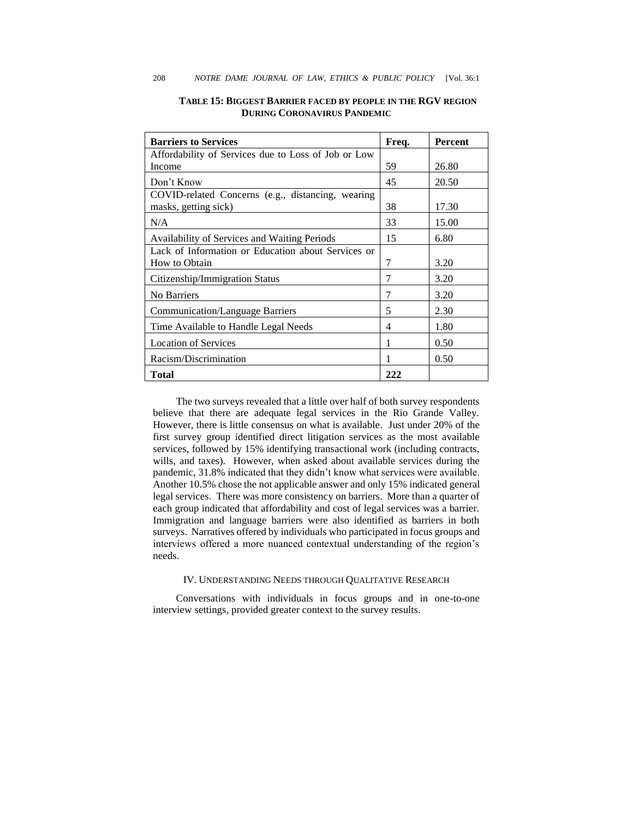| <b>Barriers to Services</b>                         | Freq. | <b>Percent</b> |
|-----------------------------------------------------|-------|----------------|
| Affordability of Services due to Loss of Job or Low |       |                |
| Income                                              | 59    | 26.80          |
| Don't Know                                          | 45    | 20.50          |
| COVID-related Concerns (e.g., distancing, wearing   |       |                |
| masks, getting sick)                                | 38    | 17.30          |
| N/A                                                 | 33    | 15.00          |
| Availability of Services and Waiting Periods        | 15    | 6.80           |
| Lack of Information or Education about Services or  |       |                |
| How to Obtain                                       | 7     | 3.20           |
| Citizenship/Immigration Status                      | 7     | 3.20           |
| No Barriers                                         | 7     | 3.20           |
| Communication/Language Barriers                     | 5     | 2.30           |
| Time Available to Handle Legal Needs                | 4     | 1.80           |
| <b>Location of Services</b>                         |       | 0.50           |
| Racism/Discrimination                               | 1     | 0.50           |
| Total                                               | 222   |                |

# **TABLE 15: BIGGEST BARRIER FACED BY PEOPLE IN THE RGV REGION DURING CORONAVIRUS PANDEMIC**

The two surveys revealed that a little over half of both survey respondents believe that there are adequate legal services in the Rio Grande Valley. However, there is little consensus on what is available. Just under 20% of the first survey group identified direct litigation services as the most available services, followed by 15% identifying transactional work (including contracts, wills, and taxes). However, when asked about available services during the pandemic, 31.8% indicated that they didn't know what services were available. Another 10.5% chose the not applicable answer and only 15% indicated general legal services. There was more consistency on barriers. More than a quarter of each group indicated that affordability and cost of legal services was a barrier. Immigration and language barriers were also identified as barriers in both surveys. Narratives offered by individuals who participated in focus groups and interviews offered a more nuanced contextual understanding of the region's needs.

### IV. UNDERSTANDING NEEDS THROUGH QUALITATIVE RESEARCH

Conversations with individuals in focus groups and in one-to-one interview settings, provided greater context to the survey results.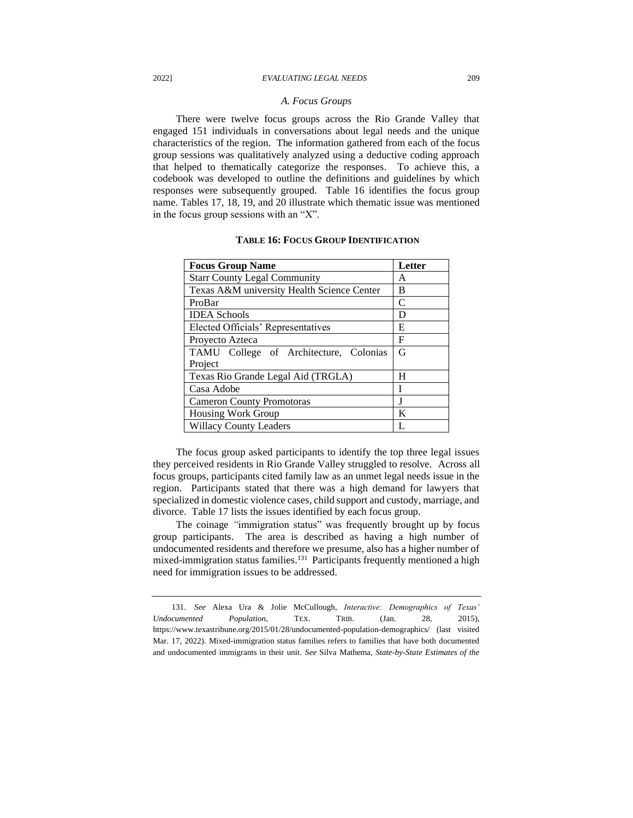#### *A. Focus Groups*

There were twelve focus groups across the Rio Grande Valley that engaged 151 individuals in conversations about legal needs and the unique characteristics of the region. The information gathered from each of the focus group sessions was qualitatively analyzed using a deductive coding approach that helped to thematically categorize the responses. To achieve this, a codebook was developed to outline the definitions and guidelines by which responses were subsequently grouped. Table 16 identifies the focus group name. Tables 17, 18, 19, and 20 illustrate which thematic issue was mentioned in the focus group sessions with an "X".

| <b>Focus Group Name</b>                    | Letter |
|--------------------------------------------|--------|
| <b>Starr County Legal Community</b>        | A      |
| Texas A&M university Health Science Center | В      |
| ProBar                                     | C      |
| <b>IDEA</b> Schools                        | D      |
| Elected Officials' Representatives         | E      |
| Proyecto Azteca                            | F      |
| TAMU College of Architecture, Colonias     | G      |
| Project                                    |        |
| Texas Rio Grande Legal Aid (TRGLA)         | н      |
| Casa Adobe                                 | I      |
| <b>Cameron County Promotoras</b>           | I      |
| Housing Work Group                         | K      |
| <b>Willacy County Leaders</b>              |        |

# **TABLE 16: FOCUS GROUP IDENTIFICATION**

The focus group asked participants to identify the top three legal issues they perceived residents in Rio Grande Valley struggled to resolve. Across all focus groups, participants cited family law as an unmet legal needs issue in the region. Participants stated that there was a high demand for lawyers that specialized in domestic violence cases, child support and custody, marriage, and divorce. Table 17 lists the issues identified by each focus group.

The coinage *"*immigration status" was frequently brought up by focus group participants. The area is described as having a high number of undocumented residents and therefore we presume, also has a higher number of mixed-immigration status families.<sup>131</sup> Participants frequently mentioned a high need for immigration issues to be addressed.

<sup>131.</sup> *See* Alexa Ura & Jolie McCullough, *Interactive: Demographics of Texas' Undocumented Population*, TEX. TRIB. (Jan. 28, 2015), https://www.texastribune.org/2015/01/28/undocumented-population-demographics/ (last visited Mar. 17, 2022). Mixed-immigration status families refers to families that have both documented and undocumented immigrants in their unit. *See* Silva Mathema, *State-by-State Estimates of the*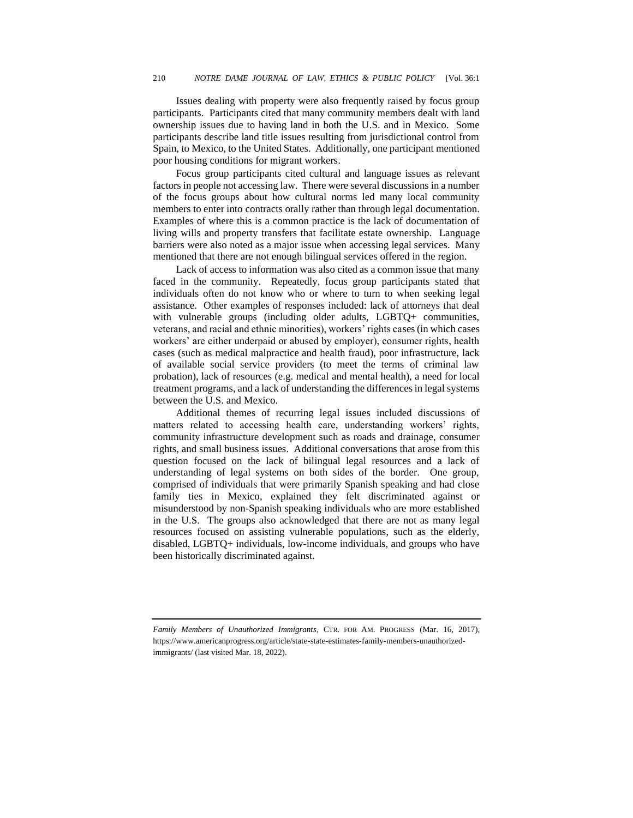Issues dealing with property were also frequently raised by focus group participants. Participants cited that many community members dealt with land ownership issues due to having land in both the U.S. and in Mexico. Some participants describe land title issues resulting from jurisdictional control from Spain, to Mexico, to the United States. Additionally, one participant mentioned poor housing conditions for migrant workers.

Focus group participants cited cultural and language issues as relevant factors in people not accessing law. There were several discussions in a number of the focus groups about how cultural norms led many local community members to enter into contracts orally rather than through legal documentation. Examples of where this is a common practice is the lack of documentation of living wills and property transfers that facilitate estate ownership. Language barriers were also noted as a major issue when accessing legal services. Many mentioned that there are not enough bilingual services offered in the region.

Lack of access to information was also cited as a common issue that many faced in the community. Repeatedly, focus group participants stated that individuals often do not know who or where to turn to when seeking legal assistance. Other examples of responses included: lack of attorneys that deal with vulnerable groups (including older adults, LGBTQ+ communities, veterans, and racial and ethnic minorities), workers' rights cases (in which cases workers' are either underpaid or abused by employer), consumer rights, health cases (such as medical malpractice and health fraud), poor infrastructure, lack of available social service providers (to meet the terms of criminal law probation), lack of resources (e.g. medical and mental health), a need for local treatment programs, and a lack of understanding the differences in legal systems between the U.S. and Mexico.

Additional themes of recurring legal issues included discussions of matters related to accessing health care, understanding workers' rights, community infrastructure development such as roads and drainage, consumer rights, and small business issues. Additional conversations that arose from this question focused on the lack of bilingual legal resources and a lack of understanding of legal systems on both sides of the border. One group, comprised of individuals that were primarily Spanish speaking and had close family ties in Mexico, explained they felt discriminated against or misunderstood by non-Spanish speaking individuals who are more established in the U.S. The groups also acknowledged that there are not as many legal resources focused on assisting vulnerable populations, such as the elderly, disabled, LGBTQ+ individuals, low-income individuals, and groups who have been historically discriminated against.

*Family Members of Unauthorized Immigrants*, CTR. FOR AM. PROGRESS (Mar. 16, 2017), https://www.americanprogress.org/article/state-state-estimates-family-members-unauthorizedimmigrants/ (last visited Mar. 18, 2022).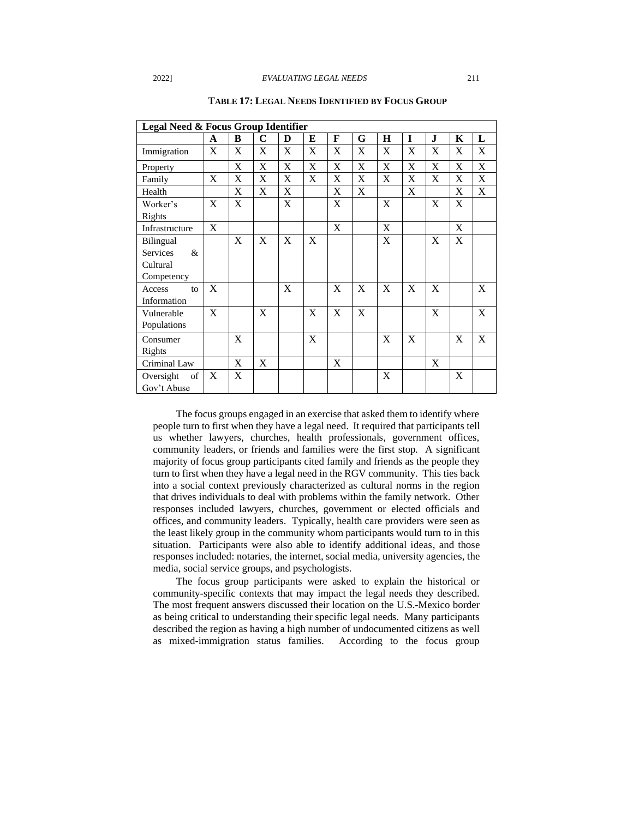| Legal Need & Focus Group Identifier |                           |   |             |   |   |                           |   |             |   |             |   |             |
|-------------------------------------|---------------------------|---|-------------|---|---|---------------------------|---|-------------|---|-------------|---|-------------|
|                                     | A                         | B | $\mathbf C$ | D | E | F                         | G | $\bf H$     | I | ${\bf J}$   | K | L           |
| Immigration                         | X                         | X | X           | X | X | X                         | X | X           | X | X           | X | X           |
| Property                            |                           | X | X           | X | X | X                         | X | X           | X | X           | X | X           |
| Family                              | X                         | X | X           | X | X | X                         | X | X           | X | X           | X | X           |
| Health                              |                           | X | X           | X |   | X                         | X |             | X |             | X | X           |
| Worker's                            | X                         | X |             | X |   | X                         |   | X           |   | X           | X |             |
| Rights                              |                           |   |             |   |   |                           |   |             |   |             |   |             |
| Infrastructure                      | $\boldsymbol{\mathrm{X}}$ |   |             |   |   | $\boldsymbol{\mathrm{X}}$ |   | $\mathbf X$ |   |             | X |             |
| <b>Bilingual</b>                    |                           | X | X           | X | X |                           |   | X           |   | X           | X |             |
| <b>Services</b><br>$\&$             |                           |   |             |   |   |                           |   |             |   |             |   |             |
| Cultural                            |                           |   |             |   |   |                           |   |             |   |             |   |             |
| Competency                          |                           |   |             |   |   |                           |   |             |   |             |   |             |
| Access<br>to                        | X                         |   |             | X |   | X                         | X | X           | X | X           |   | X           |
| Information                         |                           |   |             |   |   |                           |   |             |   |             |   |             |
| Vulnerable                          | X                         |   | $\mathbf X$ |   | X | X                         | X |             |   | $\mathbf X$ |   | $\mathbf X$ |
| Populations                         |                           |   |             |   |   |                           |   |             |   |             |   |             |
| Consumer                            |                           | X |             |   | X |                           |   | X           | X |             | X | X           |
| Rights                              |                           |   |             |   |   |                           |   |             |   |             |   |             |
| Criminal Law                        |                           | X | X           |   |   | X                         |   |             |   | X           |   |             |
| of<br>Oversight                     | X                         | X |             |   |   |                           |   | $\mathbf X$ |   |             | X |             |
| Gov't Abuse                         |                           |   |             |   |   |                           |   |             |   |             |   |             |

**TABLE 17: LEGAL NEEDS IDENTIFIED BY FOCUS GROUP**

The focus groups engaged in an exercise that asked them to identify where people turn to first when they have a legal need. It required that participants tell us whether lawyers, churches, health professionals, government offices, community leaders, or friends and families were the first stop. A significant majority of focus group participants cited family and friends as the people they turn to first when they have a legal need in the RGV community. This ties back into a social context previously characterized as cultural norms in the region that drives individuals to deal with problems within the family network. Other responses included lawyers, churches, government or elected officials and offices, and community leaders. Typically, health care providers were seen as the least likely group in the community whom participants would turn to in this situation. Participants were also able to identify additional ideas, and those responses included: notaries, the internet, social media, university agencies, the media, social service groups, and psychologists.

The focus group participants were asked to explain the historical or community-specific contexts that may impact the legal needs they described. The most frequent answers discussed their location on the U.S.-Mexico border as being critical to understanding their specific legal needs. Many participants described the region as having a high number of undocumented citizens as well as mixed-immigration status families. According to the focus group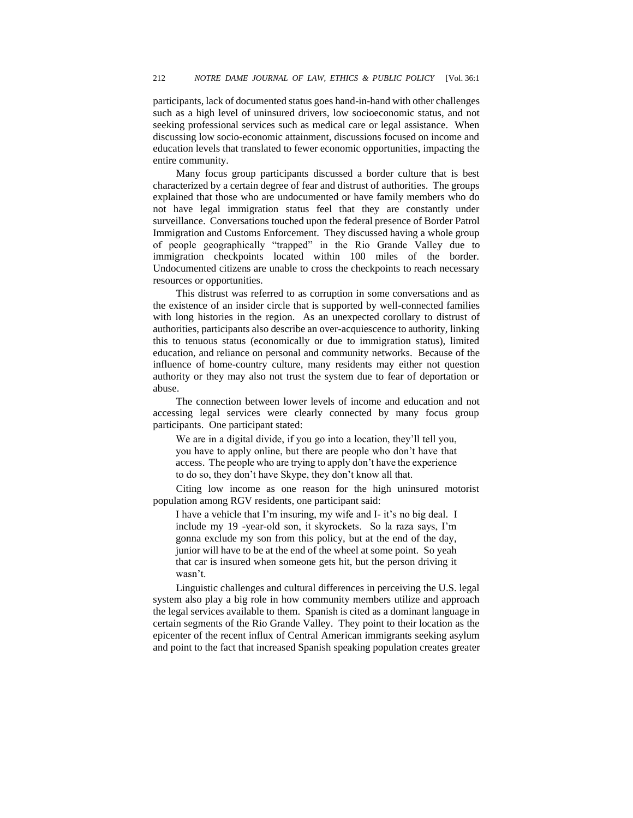participants, lack of documented status goes hand-in-hand with other challenges such as a high level of uninsured drivers, low socioeconomic status, and not seeking professional services such as medical care or legal assistance. When discussing low socio-economic attainment, discussions focused on income and education levels that translated to fewer economic opportunities, impacting the entire community.

Many focus group participants discussed a border culture that is best characterized by a certain degree of fear and distrust of authorities. The groups explained that those who are undocumented or have family members who do not have legal immigration status feel that they are constantly under surveillance. Conversations touched upon the federal presence of Border Patrol Immigration and Customs Enforcement. They discussed having a whole group of people geographically "trapped" in the Rio Grande Valley due to immigration checkpoints located within 100 miles of the border. Undocumented citizens are unable to cross the checkpoints to reach necessary resources or opportunities.

This distrust was referred to as corruption in some conversations and as the existence of an insider circle that is supported by well-connected families with long histories in the region. As an unexpected corollary to distrust of authorities, participants also describe an over-acquiescence to authority, linking this to tenuous status (economically or due to immigration status), limited education, and reliance on personal and community networks. Because of the influence of home-country culture, many residents may either not question authority or they may also not trust the system due to fear of deportation or abuse.

The connection between lower levels of income and education and not accessing legal services were clearly connected by many focus group participants. One participant stated:

We are in a digital divide, if you go into a location, they'll tell you, you have to apply online, but there are people who don't have that access. The people who are trying to apply don't have the experience to do so, they don't have Skype, they don't know all that.

Citing low income as one reason for the high uninsured motorist population among RGV residents, one participant said:

I have a vehicle that I'm insuring, my wife and I- it's no big deal. I include my 19 -year-old son, it skyrockets. So la raza says, I'm gonna exclude my son from this policy, but at the end of the day, junior will have to be at the end of the wheel at some point. So yeah that car is insured when someone gets hit, but the person driving it wasn't.

Linguistic challenges and cultural differences in perceiving the U.S. legal system also play a big role in how community members utilize and approach the legal services available to them. Spanish is cited as a dominant language in certain segments of the Rio Grande Valley. They point to their location as the epicenter of the recent influx of Central American immigrants seeking asylum and point to the fact that increased Spanish speaking population creates greater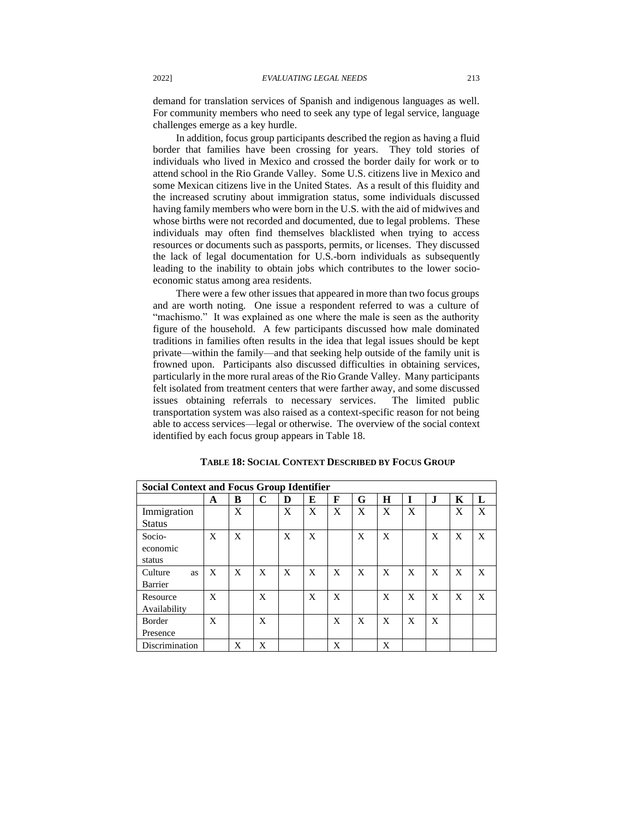demand for translation services of Spanish and indigenous languages as well. For community members who need to seek any type of legal service, language challenges emerge as a key hurdle.

In addition, focus group participants described the region as having a fluid border that families have been crossing for years. They told stories of individuals who lived in Mexico and crossed the border daily for work or to attend school in the Rio Grande Valley. Some U.S. citizens live in Mexico and some Mexican citizens live in the United States. As a result of this fluidity and the increased scrutiny about immigration status, some individuals discussed having family members who were born in the U.S. with the aid of midwives and whose births were not recorded and documented, due to legal problems. These individuals may often find themselves blacklisted when trying to access resources or documents such as passports, permits, or licenses. They discussed the lack of legal documentation for U.S.-born individuals as subsequently leading to the inability to obtain jobs which contributes to the lower socioeconomic status among area residents.

There were a few other issues that appeared in more than two focus groups and are worth noting. One issue a respondent referred to was a culture of "machismo." It was explained as one where the male is seen as the authority figure of the household. A few participants discussed how male dominated traditions in families often results in the idea that legal issues should be kept private––within the family––and that seeking help outside of the family unit is frowned upon. Participants also discussed difficulties in obtaining services, particularly in the more rural areas of the Rio Grande Valley. Many participants felt isolated from treatment centers that were farther away, and some discussed issues obtaining referrals to necessary services. The limited public transportation system was also raised as a context-specific reason for not being able to access services––legal or otherwise. The overview of the social context identified by each focus group appears in Table 18.

| <b>Social Context and Focus Group Identifier</b> |   |   |   |   |   |   |   |   |   |              |   |   |
|--------------------------------------------------|---|---|---|---|---|---|---|---|---|--------------|---|---|
|                                                  | A | B | C | D | E | F | G | H |   | $\mathbf{J}$ | Κ | L |
| Immigration                                      |   | X |   | X | X | X | X | X | X |              | X | X |
| <b>Status</b>                                    |   |   |   |   |   |   |   |   |   |              |   |   |
| Socio-                                           | X | X |   | X | X |   | X | X |   | X            | X | X |
| economic                                         |   |   |   |   |   |   |   |   |   |              |   |   |
| status                                           |   |   |   |   |   |   |   |   |   |              |   |   |
| Culture<br>as                                    | X | X | X | X | X | X | X | X | X | X            | X | X |
| Barrier                                          |   |   |   |   |   |   |   |   |   |              |   |   |
| Resource                                         | X |   | X |   | X | X |   | X | X | X            | X | X |
| Availability                                     |   |   |   |   |   |   |   |   |   |              |   |   |
| Border                                           | X |   | X |   |   | X | X | X | X | X            |   |   |
| Presence                                         |   |   |   |   |   |   |   |   |   |              |   |   |
| Discrimination                                   |   | X | X |   |   | X |   | X |   |              |   |   |

#### **TABLE 18:SOCIAL CONTEXT DESCRIBED BY FOCUS GROUP**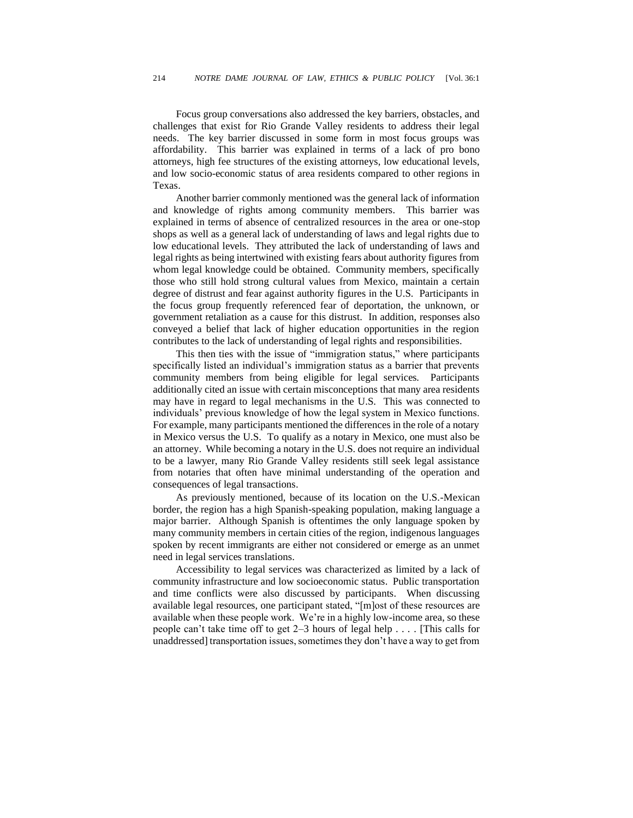Focus group conversations also addressed the key barriers, obstacles, and challenges that exist for Rio Grande Valley residents to address their legal needs. The key barrier discussed in some form in most focus groups was affordability. This barrier was explained in terms of a lack of pro bono attorneys, high fee structures of the existing attorneys, low educational levels, and low socio-economic status of area residents compared to other regions in Texas.

Another barrier commonly mentioned was the general lack of information and knowledge of rights among community members. This barrier was explained in terms of absence of centralized resources in the area or one-stop shops as well as a general lack of understanding of laws and legal rights due to low educational levels. They attributed the lack of understanding of laws and legal rights as being intertwined with existing fears about authority figures from whom legal knowledge could be obtained. Community members, specifically those who still hold strong cultural values from Mexico, maintain a certain degree of distrust and fear against authority figures in the U.S. Participants in the focus group frequently referenced fear of deportation, the unknown, or government retaliation as a cause for this distrust. In addition, responses also conveyed a belief that lack of higher education opportunities in the region contributes to the lack of understanding of legal rights and responsibilities.

This then ties with the issue of "immigration status," where participants specifically listed an individual's immigration status as a barrier that prevents community members from being eligible for legal services. Participants additionally cited an issue with certain misconceptions that many area residents may have in regard to legal mechanisms in the U.S. This was connected to individuals' previous knowledge of how the legal system in Mexico functions. For example, many participants mentioned the differences in the role of a notary in Mexico versus the U.S. To qualify as a notary in Mexico, one must also be an attorney. While becoming a notary in the U.S. does not require an individual to be a lawyer, many Rio Grande Valley residents still seek legal assistance from notaries that often have minimal understanding of the operation and consequences of legal transactions.

As previously mentioned, because of its location on the U.S.-Mexican border, the region has a high Spanish-speaking population, making language a major barrier. Although Spanish is oftentimes the only language spoken by many community members in certain cities of the region, indigenous languages spoken by recent immigrants are either not considered or emerge as an unmet need in legal services translations.

Accessibility to legal services was characterized as limited by a lack of community infrastructure and low socioeconomic status. Public transportation and time conflicts were also discussed by participants. When discussing available legal resources, one participant stated, "[m]ost of these resources are available when these people work. We're in a highly low-income area, so these people can't take time off to get 2–3 hours of legal help . . . . [This calls for unaddressed] transportation issues, sometimes they don't have a way to get from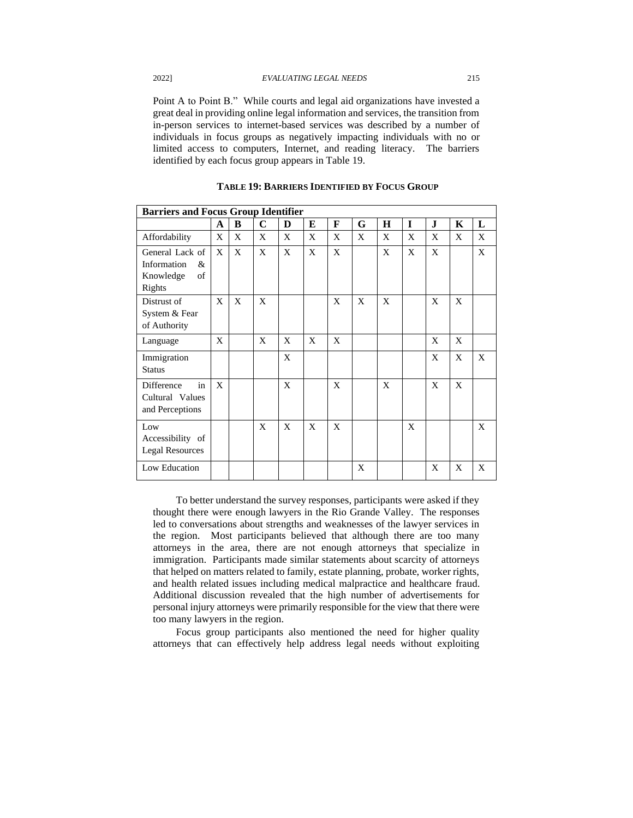Point A to Point B." While courts and legal aid organizations have invested a great deal in providing online legal information and services, the transition from in-person services to internet-based services was described by a number of individuals in focus groups as negatively impacting individuals with no or limited access to computers, Internet, and reading literacy. The barriers identified by each focus group appears in Table 19.

| <b>Barriers and Focus Group Identifier</b>                       |   |   |   |   |   |   |   |         |             |    |   |   |
|------------------------------------------------------------------|---|---|---|---|---|---|---|---------|-------------|----|---|---|
|                                                                  | A | B | C | D | E | F | G | $\bf H$ | $\mathbf I$ | J. | K | L |
| Affordability                                                    | X | X | X | X | X | X | X | X       | X           | X  | X | X |
| General Lack of<br>Information<br>&<br>Knowledge<br>of<br>Rights | X | X | X | X | X | X |   | X       | X           | X  |   | X |
| Distrust of<br>System & Fear<br>of Authority                     | X | X | X |   |   | X | X | X       |             | X  | X |   |
| Language                                                         | X |   | X | X | X | X |   |         |             | X  | X |   |
| Immigration<br><b>Status</b>                                     |   |   |   | X |   |   |   |         |             | X  | X | X |
| Difference<br>in<br>Cultural Values<br>and Perceptions           | X |   |   | X |   | X |   | X       |             | X  | X |   |
| Low<br>Accessibility of<br><b>Legal Resources</b>                |   |   | X | X | X | X |   |         | X           |    |   | X |
| Low Education                                                    |   |   |   |   |   |   | X |         |             | X  | X | X |

**TABLE 19: BARRIERS IDENTIFIED BY FOCUS GROUP**

To better understand the survey responses, participants were asked if they thought there were enough lawyers in the Rio Grande Valley. The responses led to conversations about strengths and weaknesses of the lawyer services in the region. Most participants believed that although there are too many attorneys in the area, there are not enough attorneys that specialize in immigration. Participants made similar statements about scarcity of attorneys that helped on matters related to family, estate planning, probate, worker rights, and health related issues including medical malpractice and healthcare fraud. Additional discussion revealed that the high number of advertisements for personal injury attorneys were primarily responsible for the view that there were too many lawyers in the region.

Focus group participants also mentioned the need for higher quality attorneys that can effectively help address legal needs without exploiting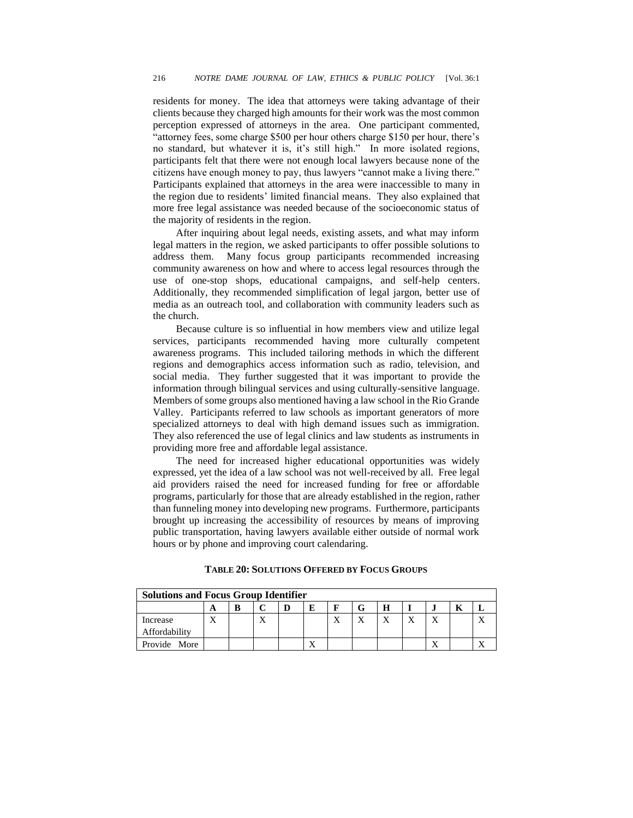residents for money. The idea that attorneys were taking advantage of their clients because they charged high amounts for their work was the most common perception expressed of attorneys in the area. One participant commented, "attorney fees, some charge \$500 per hour others charge \$150 per hour, there's no standard, but whatever it is, it's still high." In more isolated regions, participants felt that there were not enough local lawyers because none of the citizens have enough money to pay, thus lawyers "cannot make a living there." Participants explained that attorneys in the area were inaccessible to many in the region due to residents' limited financial means. They also explained that more free legal assistance was needed because of the socioeconomic status of the majority of residents in the region.

After inquiring about legal needs, existing assets, and what may inform legal matters in the region, we asked participants to offer possible solutions to address them. Many focus group participants recommended increasing community awareness on how and where to access legal resources through the use of one-stop shops, educational campaigns, and self-help centers. Additionally, they recommended simplification of legal jargon, better use of media as an outreach tool, and collaboration with community leaders such as the church.

Because culture is so influential in how members view and utilize legal services, participants recommended having more culturally competent awareness programs. This included tailoring methods in which the different regions and demographics access information such as radio, television, and social media. They further suggested that it was important to provide the information through bilingual services and using culturally-sensitive language. Members of some groups also mentioned having a law school in the Rio Grande Valley. Participants referred to law schools as important generators of more specialized attorneys to deal with high demand issues such as immigration. They also referenced the use of legal clinics and law students as instruments in providing more free and affordable legal assistance.

The need for increased higher educational opportunities was widely expressed, yet the idea of a law school was not well-received by all. Free legal aid providers raised the need for increased funding for free or affordable programs, particularly for those that are already established in the region, rather than funneling money into developing new programs. Furthermore, participants brought up increasing the accessibility of resources by means of improving public transportation, having lawyers available either outside of normal work hours or by phone and improving court calendaring.

| <b>Solutions and Focus Group Identifier</b> |  |   |                    |  |   |  |  |              |  |              |  |
|---------------------------------------------|--|---|--------------------|--|---|--|--|--------------|--|--------------|--|
|                                             |  | B | $\curvearrowright$ |  | E |  |  | H            |  |              |  |
| Increase<br>Affordability                   |  |   | Δ                  |  |   |  |  | $\mathbf{v}$ |  | $\mathbf{v}$ |  |
| Provide More                                |  |   |                    |  |   |  |  |              |  |              |  |

#### **TABLE 20:SOLUTIONS OFFERED BY FOCUS GROUPS**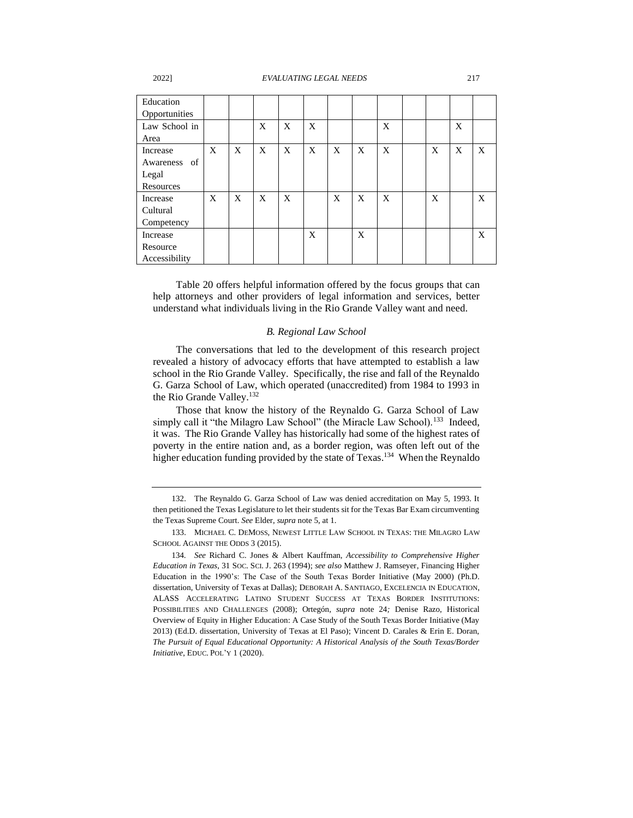#### 2022] *EVALUATING LEGAL NEEDS* 217

| Education     |   |   |   |   |   |   |   |   |   |   |   |
|---------------|---|---|---|---|---|---|---|---|---|---|---|
| Opportunities |   |   |   |   |   |   |   |   |   |   |   |
| Law School in |   |   | X | X | X |   |   | X |   | X |   |
| Area          |   |   |   |   |   |   |   |   |   |   |   |
| Increase      | X | X | X | X | X | X | X | X | X | X | X |
| Awareness of  |   |   |   |   |   |   |   |   |   |   |   |
| Legal         |   |   |   |   |   |   |   |   |   |   |   |
| Resources     |   |   |   |   |   |   |   |   |   |   |   |
| Increase      | X | X | X | X |   | X | X | X | X |   | X |
| Cultural      |   |   |   |   |   |   |   |   |   |   |   |
| Competency    |   |   |   |   |   |   |   |   |   |   |   |
| Increase      |   |   |   |   | X |   | X |   |   |   | X |
| Resource      |   |   |   |   |   |   |   |   |   |   |   |
| Accessibility |   |   |   |   |   |   |   |   |   |   |   |

Table 20 offers helpful information offered by the focus groups that can help attorneys and other providers of legal information and services, better understand what individuals living in the Rio Grande Valley want and need.

#### *B. Regional Law School*

The conversations that led to the development of this research project revealed a history of advocacy efforts that have attempted to establish a law school in the Rio Grande Valley. Specifically, the rise and fall of the Reynaldo G. Garza School of Law, which operated (unaccredited) from 1984 to 1993 in the Rio Grande Valley.<sup>132</sup>

Those that know the history of the Reynaldo G. Garza School of Law simply call it "the Milagro Law School" (the Miracle Law School).<sup>133</sup> Indeed, it was. The Rio Grande Valley has historically had some of the highest rates of poverty in the entire nation and, as a border region, was often left out of the higher education funding provided by the state of Texas.<sup>134</sup> When the Reynaldo

<sup>132.</sup> The Reynaldo G. Garza School of Law was denied accreditation on May 5, 1993. It then petitioned the Texas Legislature to let their students sit for the Texas Bar Exam circumventing the Texas Supreme Court. *See* Elder*, supra* note 5, at 1.

<sup>133.</sup> MICHAEL C. DEMOSS, NEWEST LITTLE LAW SCHOOL IN TEXAS: THE MILAGRO LAW SCHOOL AGAINST THE ODDS 3 (2015).

<sup>134</sup>*. See* Richard C. Jones & Albert Kauffman, *Accessibility to Comprehensive Higher Education in Texas*, 31 SOC. SCI. J. 263 (1994); *see also* Matthew J. Ramseyer, Financing Higher Education in the 1990's: The Case of the South Texas Border Initiative (May 2000) (Ph.D. dissertation, University of Texas at Dallas); DEBORAH A. SANTIAGO, EXCELENCIA IN EDUCATION, ALASS ACCELERATING LATINO STUDENT SUCCESS AT TEXAS BORDER INSTITUTIONS: POSSIBILITIES AND CHALLENGES (2008); Ortegón*, supra* note 24*;* Denise Razo, Historical Overview of Equity in Higher Education: A Case Study of the South Texas Border Initiative (May 2013) (Ed.D. dissertation, University of Texas at El Paso); Vincent D. Carales & Erin E. Doran, *The Pursuit of Equal Educational Opportunity: A Historical Analysis of the South Texas/Border Initiative*, EDUC. POL'Y 1 (2020).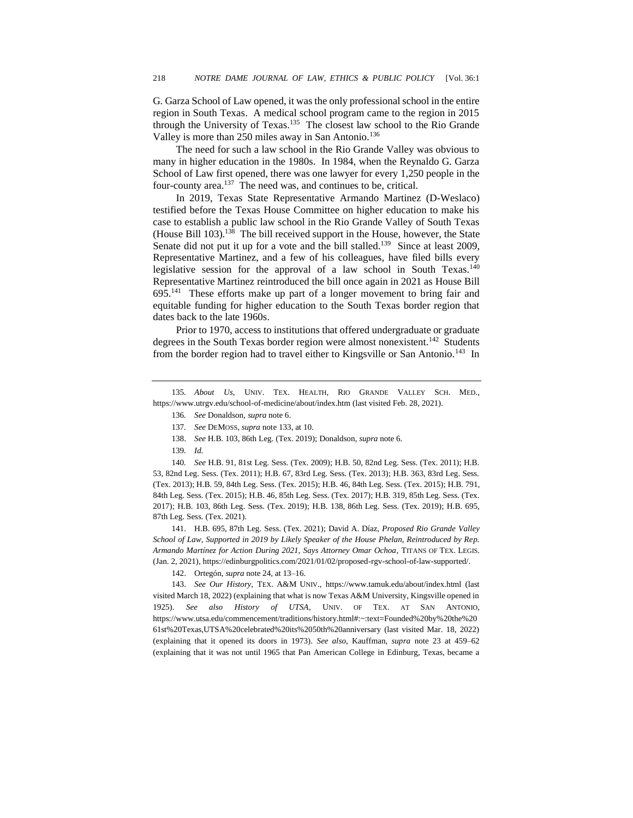G. Garza School of Law opened, it was the only professional school in the entire region in South Texas. A medical school program came to the region in 2015 through the University of Texas.<sup>135</sup> The closest law school to the Rio Grande Valley is more than 250 miles away in San Antonio.<sup>136</sup>

The need for such a law school in the Rio Grande Valley was obvious to many in higher education in the 1980s. In 1984, when the Reynaldo G. Garza School of Law first opened, there was one lawyer for every 1,250 people in the four-county area.<sup>137</sup> The need was, and continues to be, critical.

In 2019, Texas State Representative Armando Martinez (D-Weslaco) testified before the Texas House Committee on higher education to make his case to establish a public law school in the Rio Grande Valley of South Texas (House Bill 103).<sup>138</sup> The bill received support in the House, however, the State Senate did not put it up for a vote and the bill stalled.<sup>139</sup> Since at least 2009, Representative Martinez, and a few of his colleagues, have filed bills every legislative session for the approval of a law school in South Texas.<sup>140</sup> Representative Martinez reintroduced the bill once again in 2021 as House Bill 695.<sup>141</sup> These efforts make up part of a longer movement to bring fair and equitable funding for higher education to the South Texas border region that dates back to the late 1960s.

Prior to 1970, access to institutions that offered undergraduate or graduate degrees in the South Texas border region were almost nonexistent.<sup>142</sup> Students from the border region had to travel either to Kingsville or San Antonio.<sup>143</sup> In

135*. About Us*, UNIV. TEX. HEALTH, RIO GRANDE VALLEY SCH. MED., https://www.utrgv.edu/school-of-medicine/about/index.htm (last visited Feb. 28, 2021).

- 136*. See* Donaldson, *supra* note 6.
- 137*. See* DEMOSS, *supra* note 133, at 10.
- 138. *See* H.B. 103, 86th Leg. (Tex. 2019); Donaldson, *supra* note 6.
- 139*. Id.*

140*. See* H.B. 91, 81st Leg. Sess. (Tex. 2009); H.B. 50, 82nd Leg. Sess. (Tex. 2011); H.B. 53, 82nd Leg. Sess. (Tex. 2011); H.B. 67, 83rd Leg. Sess. (Tex. 2013); H.B. 363, 83rd Leg. Sess. (Tex. 2013); H.B. 59, 84th Leg. Sess. (Tex. 2015); H.B. 46, 84th Leg. Sess. (Tex. 2015); H.B. 791, 84th Leg. Sess. (Tex. 2015); H.B. 46, 85th Leg. Sess. (Tex. 2017); H.B. 319, 85th Leg. Sess. (Tex. 2017); H.B. 103, 86th Leg. Sess. (Tex. 2019); H.B. 138, 86th Leg. Sess. (Tex. 2019); H.B. 695, 87th Leg. Sess. (Tex. 2021).

141. H.B. 695, 87th Leg. Sess. (Tex. 2021); David A. Díaz, *Proposed Rio Grande Valley School of Law, Supported in 2019 by Likely Speaker of the House Phelan, Reintroduced by Rep. Armando Martínez for Action During 2021, Says Attorney Omar Ochoa*, TITANS OF TEX. LEGIS. (Jan. 2, 2021), https://edinburgpolitics.com/2021/01/02/proposed-rgv-school-of-law-supported/.

142. Ortegón, *supra* note 24, at 13–16.

143. *See Our History*, TEX. A&M UNIV., https://www.tamuk.edu/about/index.html (last visited March 18, 2022) (explaining that what is now Texas A&M University, Kingsville opened in 1925). *See also History of UTSA*, UNIV. OF TEX. AT SAN ANTONIO, https://www.utsa.edu/commencement/traditions/history.html#:~:text=Founded%20by%20the%20 61st%20Texas,UTSA%20celebrated%20its%2050th%20anniversary (last visited Mar. 18, 2022) (explaining that it opened its doors in 1973). *See also,* Kauffman, *supra* note 23 at 459–62 (explaining that it was not until 1965 that Pan American College in Edinburg, Texas, became a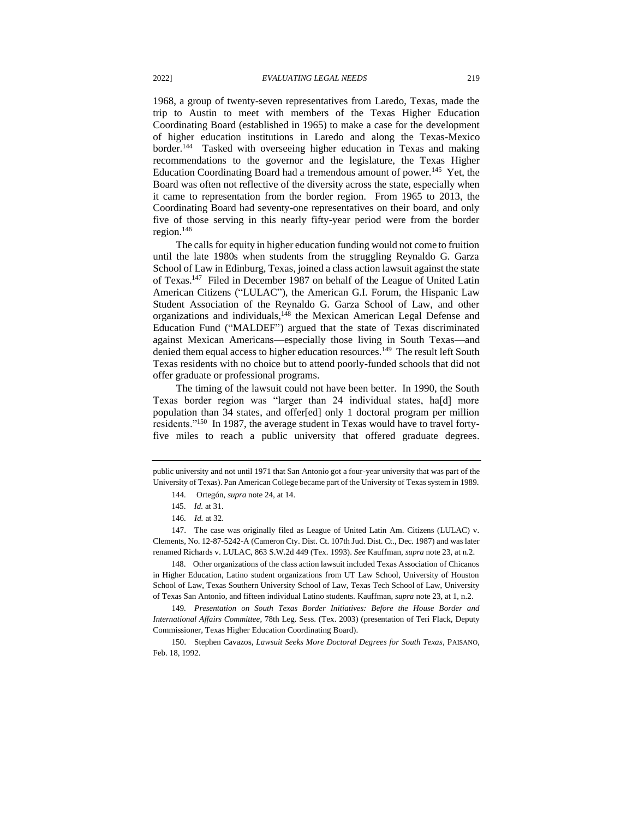1968, a group of twenty-seven representatives from Laredo, Texas, made the trip to Austin to meet with members of the Texas Higher Education Coordinating Board (established in 1965) to make a case for the development of higher education institutions in Laredo and along the Texas-Mexico border.<sup>144</sup> Tasked with overseeing higher education in Texas and making recommendations to the governor and the legislature, the Texas Higher Education Coordinating Board had a tremendous amount of power.<sup>145</sup> Yet, the Board was often not reflective of the diversity across the state, especially when it came to representation from the border region. From 1965 to 2013, the Coordinating Board had seventy-one representatives on their board, and only five of those serving in this nearly fifty-year period were from the border region. $146$ 

The calls for equity in higher education funding would not come to fruition until the late 1980s when students from the struggling Reynaldo G. Garza School of Law in Edinburg, Texas, joined a class action lawsuit against the state of Texas.<sup>147</sup> Filed in December 1987 on behalf of the League of United Latin American Citizens ("LULAC"), the American G.I. Forum, the Hispanic Law Student Association of the Reynaldo G. Garza School of Law, and other organizations and individuals,<sup>148</sup> the Mexican American Legal Defense and Education Fund ("MALDEF") argued that the state of Texas discriminated against Mexican Americans—especially those living in South Texas—and denied them equal access to higher education resources.<sup>149</sup> The result left South Texas residents with no choice but to attend poorly-funded schools that did not offer graduate or professional programs.

The timing of the lawsuit could not have been better. In 1990, the South Texas border region was "larger than 24 individual states, ha[d] more population than 34 states, and offer[ed] only 1 doctoral program per million residents."<sup>150</sup> In 1987, the average student in Texas would have to travel fortyfive miles to reach a public university that offered graduate degrees.

147. The case was originally filed as League of United Latin Am. Citizens (LULAC) v. Clements*,* No. 12-87-5242-A (Cameron Cty. Dist. Ct. 107th Jud. Dist. Ct., Dec. 1987) and was later renamed Richards v. LULAC, 863 S.W.2d 449 (Tex. 1993). *See* Kauffman, *supra* note 23, at n.2.

148. Other organizations of the class action lawsuit included Texas Association of Chicanos in Higher Education, Latino student organizations from UT Law School, University of Houston School of Law, Texas Southern University School of Law, Texas Tech School of Law, University of Texas San Antonio, and fifteen individual Latino students. Kauffman, *supra* note 23, at 1, n.2.

149*. Presentation on South Texas Border Initiatives: Before the House Border and International Affairs Committee*, 78th Leg. Sess. (Tex. 2003) (presentation of Teri Flack, Deputy Commissioner, Texas Higher Education Coordinating Board).

150. Stephen Cavazos, *Lawsuit Seeks More Doctoral Degrees for South Texas*, PAISANO*,* Feb. 18, 1992.

public university and not until 1971 that San Antonio got a four-year university that was part of the University of Texas). Pan American College became part of the University of Texas system in 1989.

<sup>144</sup>*.* Ortegón, *supra* note 24, at 14.

<sup>145.</sup> *Id.* at 31.

<sup>146</sup>*. Id.* at 32.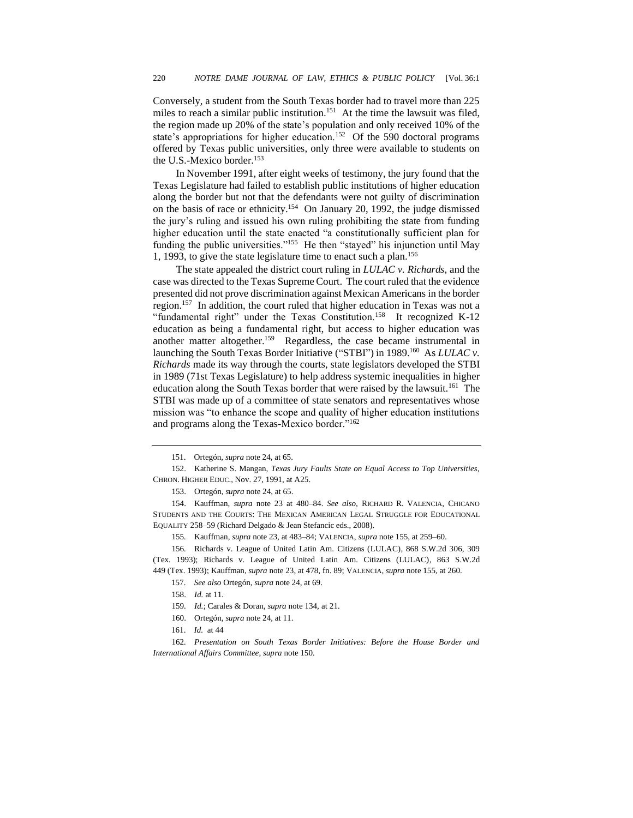Conversely, a student from the South Texas border had to travel more than 225 miles to reach a similar public institution.<sup>151</sup> At the time the lawsuit was filed, the region made up 20% of the state's population and only received 10% of the state's appropriations for higher education.<sup>152</sup> Of the 590 doctoral programs offered by Texas public universities, only three were available to students on the U.S.-Mexico border.<sup>153</sup>

In November 1991, after eight weeks of testimony, the jury found that the Texas Legislature had failed to establish public institutions of higher education along the border but not that the defendants were not guilty of discrimination on the basis of race or ethnicity.<sup>154</sup> On January 20, 1992, the judge dismissed the jury's ruling and issued his own ruling prohibiting the state from funding higher education until the state enacted "a constitutionally sufficient plan for funding the public universities."<sup>155</sup> He then "stayed" his injunction until May 1, 1993, to give the state legislature time to enact such a plan.<sup>156</sup>

The state appealed the district court ruling in *LULAC v. Richards*, and the case was directed to the Texas Supreme Court. The court ruled that the evidence presented did not prove discrimination against Mexican Americans in the border region.<sup>157</sup> In addition, the court ruled that higher education in Texas was not a "fundamental right" under the Texas Constitution.<sup>158</sup> It recognized K-12 education as being a fundamental right, but access to higher education was another matter altogether.<sup>159</sup> Regardless, the case became instrumental in launching the South Texas Border Initiative ("STBI") in 1989.<sup>160</sup> As *LULAC v*. *Richards* made its way through the courts, state legislators developed the STBI in 1989 (71st Texas Legislature) to help address systemic inequalities in higher education along the South Texas border that were raised by the lawsuit.<sup>161</sup> The STBI was made up of a committee of state senators and representatives whose mission was "to enhance the scope and quality of higher education institutions and programs along the Texas-Mexico border."<sup>162</sup>

152. Katherine S. Mangan, *Texas Jury Faults State on Equal Access to Top Universities*, CHRON. HIGHER EDUC., Nov. 27, 1991, at A25.

153. Ortegón, *supra* note 24, at 65.

154. Kauffman, *supra* note 23 at 480–84. *See also,* RICHARD R. VALENCIA, CHICANO STUDENTS AND THE COURTS: THE MEXICAN AMERICAN LEGAL STRUGGLE FOR EDUCATIONAL EQUALITY 258–59 (Richard Delgado & Jean Stefancic eds., 2008).

155*.* Kauffman*, supra* note 23, at 483–84; VALENCIA, *supra* note 155, at 259–60.

<sup>151.</sup> Ortegón, *supra* note 24, at 65.

<sup>156</sup>*.* Richards v. League of United Latin Am. Citizens (LULAC), 868 S.W.2d 306, 309 (Tex. 1993); Richards v. League of United Latin Am. Citizens (LULAC)*,* 863 S.W.2d 449 (Tex. 1993); Kauffman, *supra* note 23, at 478, fn. 89; VALENCIA, *supra* note 155, at 260.

<sup>157.</sup> *See also* Ortegón, *supra* note 24, at 69.

<sup>158.</sup> *Id.* at 11.

<sup>159</sup>*. Id.*; Carales & Doran, *supra* note 134, at 21.

<sup>160.</sup> Ortegón, *supra* note 24, at 11.

<sup>161.</sup> *Id.* at 44

<sup>162</sup>*. Presentation on South Texas Border Initiatives: Before the House Border and International Affairs Committee*, *supra* note 150.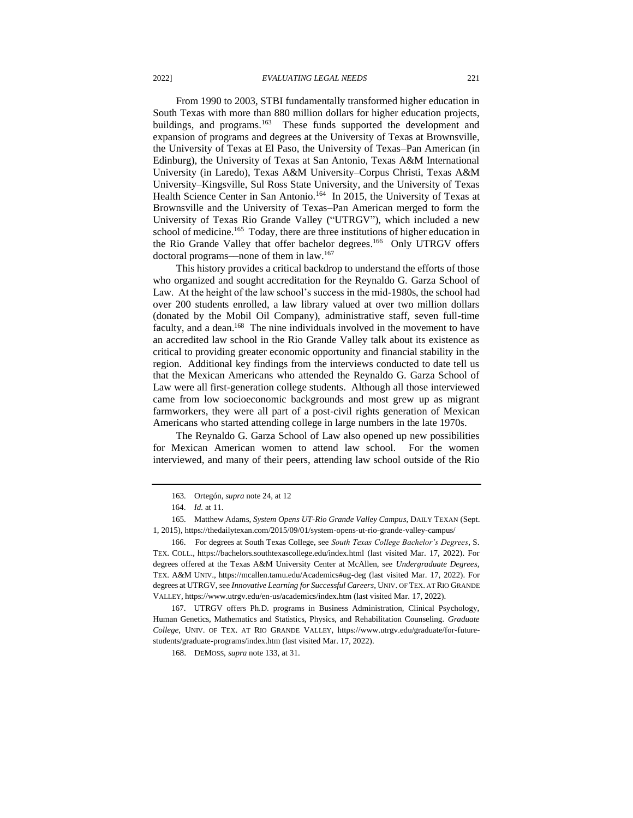From 1990 to 2003, STBI fundamentally transformed higher education in South Texas with more than 880 million dollars for higher education projects, buildings, and programs.<sup>163</sup> These funds supported the development and expansion of programs and degrees at the University of Texas at Brownsville, the University of Texas at El Paso, the University of Texas–Pan American (in Edinburg), the University of Texas at San Antonio, Texas A&M International University (in Laredo), Texas A&M University–Corpus Christi, Texas A&M University–Kingsville, Sul Ross State University, and the University of Texas Health Science Center in San Antonio.<sup>164</sup> In 2015, the University of Texas at Brownsville and the University of Texas–Pan American merged to form the University of Texas Rio Grande Valley ("UTRGV"), which included a new school of medicine.<sup>165</sup> Today, there are three institutions of higher education in the Rio Grande Valley that offer bachelor degrees.<sup>166</sup> Only UTRGV offers doctoral programs—none of them in law.<sup>167</sup>

This history provides a critical backdrop to understand the efforts of those who organized and sought accreditation for the Reynaldo G. Garza School of Law. At the height of the law school's success in the mid-1980s, the school had over 200 students enrolled, a law library valued at over two million dollars (donated by the Mobil Oil Company), administrative staff, seven full-time faculty, and a dean.<sup>168</sup> The nine individuals involved in the movement to have an accredited law school in the Rio Grande Valley talk about its existence as critical to providing greater economic opportunity and financial stability in the region. Additional key findings from the interviews conducted to date tell us that the Mexican Americans who attended the Reynaldo G. Garza School of Law were all first-generation college students. Although all those interviewed came from low socioeconomic backgrounds and most grew up as migrant farmworkers, they were all part of a post-civil rights generation of Mexican Americans who started attending college in large numbers in the late 1970s.

The Reynaldo G. Garza School of Law also opened up new possibilities for Mexican American women to attend law school. For the women interviewed, and many of their peers, attending law school outside of the Rio

167. UTRGV offers Ph.D. programs in Business Administration, Clinical Psychology, Human Genetics, Mathematics and Statistics, Physics, and Rehabilitation Counseling. *Graduate College*, UNIV. OF TEX. AT RIO GRANDE VALLEY, https://www.utrgv.edu/graduate/for-futurestudents/graduate-programs/index.htm (last visited Mar. 17, 2022).

168. DEMOSS, *supra* note 133, at 31.

<sup>163</sup>*.* Ortegón, *supra* note 24, at 12

<sup>164.</sup> *Id.* at 11.

<sup>165</sup>*.* Matthew Adams, *System Opens UT-Rio Grande Valley Campus*, DAILY TEXAN (Sept. 1, 2015), https://thedailytexan.com/2015/09/01/system-opens-ut-rio-grande-valley-campus/

<sup>166.</sup> For degrees at South Texas College, see *South Texas College Bachelor's Degrees*, S. TEX. COLL., https://bachelors.southtexascollege.edu/index.html (last visited Mar. 17, 2022). For degrees offered at the Texas A&M University Center at McAllen, see *Undergraduate Degrees*, TEX. A&M UNIV., https://mcallen.tamu.edu/Academics#ug-deg (last visited Mar. 17, 2022). For degrees at UTRGV, see *Innovative Learning for Successful Careers*, UNIV. OF TEX. AT RIO GRANDE VALLEY, https://www.utrgv.edu/en-us/academics/index.htm (last visited Mar. 17, 2022).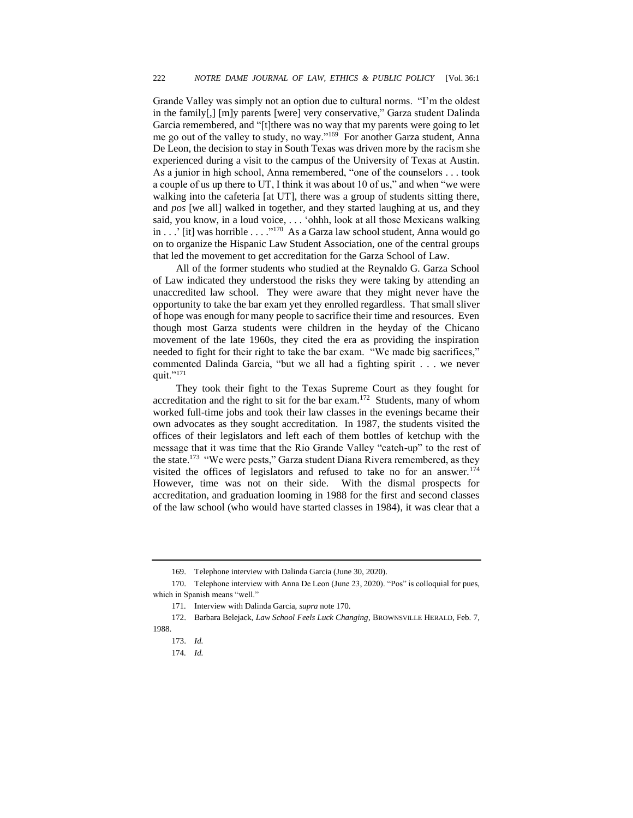Grande Valley was simply not an option due to cultural norms. "I'm the oldest in the family[,] [m]y parents [were] very conservative," Garza student Dalinda Garcia remembered, and "[t]there was no way that my parents were going to let me go out of the valley to study, no way."<sup>169</sup> For another Garza student, Anna De Leon, the decision to stay in South Texas was driven more by the racism she experienced during a visit to the campus of the University of Texas at Austin. As a junior in high school, Anna remembered, "one of the counselors . . . took a couple of us up there to UT, I think it was about 10 of us," and when "we were walking into the cafeteria [at UT], there was a group of students sitting there, and *pos* [we all] walked in together, and they started laughing at us, and they said, you know, in a loud voice, . . . 'ohhh, look at all those Mexicans walking in . . .' [it] was horrible . . . ."<sup>170</sup> As a Garza law school student, Anna would go on to organize the Hispanic Law Student Association, one of the central groups that led the movement to get accreditation for the Garza School of Law.

All of the former students who studied at the Reynaldo G. Garza School of Law indicated they understood the risks they were taking by attending an unaccredited law school. They were aware that they might never have the opportunity to take the bar exam yet they enrolled regardless. That small sliver of hope was enough for many people to sacrifice their time and resources. Even though most Garza students were children in the heyday of the Chicano movement of the late 1960s, they cited the era as providing the inspiration needed to fight for their right to take the bar exam. "We made big sacrifices," commented Dalinda Garcia, "but we all had a fighting spirit . . . we never quit."<sup>171</sup>

They took their fight to the Texas Supreme Court as they fought for accreditation and the right to sit for the bar exam.<sup>172</sup> Students, many of whom worked full-time jobs and took their law classes in the evenings became their own advocates as they sought accreditation. In 1987, the students visited the offices of their legislators and left each of them bottles of ketchup with the message that it was time that the Rio Grande Valley "catch-up" to the rest of the state.<sup>173</sup> "We were pests," Garza student Diana Rivera remembered, as they visited the offices of legislators and refused to take no for an answer.<sup>174</sup> However, time was not on their side. With the dismal prospects for accreditation, and graduation looming in 1988 for the first and second classes of the law school (who would have started classes in 1984), it was clear that a

<sup>169.</sup> Telephone interview with Dalinda Garcia (June 30, 2020).

<sup>170.</sup> Telephone interview with Anna De Leon (June 23, 2020). "Pos" is colloquial for pues, which in Spanish means "well."

<sup>171</sup>*.* Interview with Dalinda Garcia, *supra* note 170.

<sup>172.</sup> Barbara Belejack, *Law School Feels Luck Changing*, BROWNSVILLE HERALD, Feb. 7, 1988.

<sup>173.</sup> *Id.*

<sup>174</sup>*. Id.*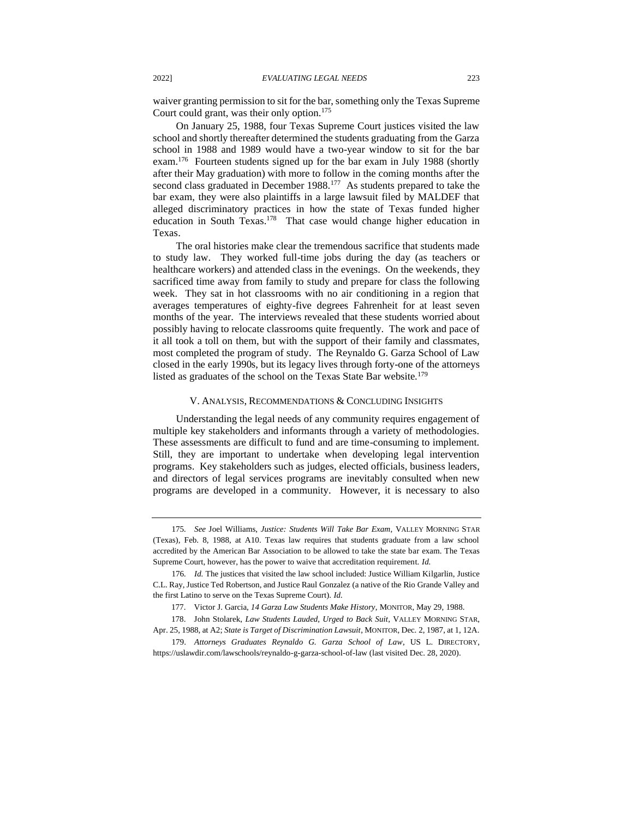waiver granting permission to sit for the bar, something only the Texas Supreme Court could grant, was their only option.<sup>175</sup>

On January 25, 1988, four Texas Supreme Court justices visited the law school and shortly thereafter determined the students graduating from the Garza school in 1988 and 1989 would have a two-year window to sit for the bar exam.<sup>176</sup> Fourteen students signed up for the bar exam in July 1988 (shortly after their May graduation) with more to follow in the coming months after the second class graduated in December 1988.<sup>177</sup> As students prepared to take the bar exam, they were also plaintiffs in a large lawsuit filed by MALDEF that alleged discriminatory practices in how the state of Texas funded higher education in South Texas.<sup>178</sup> That case would change higher education in Texas.

The oral histories make clear the tremendous sacrifice that students made to study law. They worked full-time jobs during the day (as teachers or healthcare workers) and attended class in the evenings. On the weekends, they sacrificed time away from family to study and prepare for class the following week. They sat in hot classrooms with no air conditioning in a region that averages temperatures of eighty-five degrees Fahrenheit for at least seven months of the year. The interviews revealed that these students worried about possibly having to relocate classrooms quite frequently. The work and pace of it all took a toll on them, but with the support of their family and classmates, most completed the program of study. The Reynaldo G. Garza School of Law closed in the early 1990s, but its legacy lives through forty-one of the attorneys listed as graduates of the school on the Texas State Bar website.<sup>179</sup>

#### V. ANALYSIS, RECOMMENDATIONS & CONCLUDING INSIGHTS

Understanding the legal needs of any community requires engagement of multiple key stakeholders and informants through a variety of methodologies. These assessments are difficult to fund and are time-consuming to implement. Still, they are important to undertake when developing legal intervention programs. Key stakeholders such as judges, elected officials, business leaders, and directors of legal services programs are inevitably consulted when new programs are developed in a community. However, it is necessary to also

<sup>175</sup>*. See* Joel Williams, *Justice: Students Will Take Bar Exam*, VALLEY MORNING STAR (Texas)*,* Feb. 8, 1988, at A10. Texas law requires that students graduate from a law school accredited by the American Bar Association to be allowed to take the state bar exam. The Texas Supreme Court, however, has the power to waive that accreditation requirement. *Id.*

<sup>176</sup>*. Id.* The justices that visited the law school included: Justice William Kilgarlin, Justice C.L. Ray, Justice Ted Robertson, and Justice Raul Gonzalez (a native of the Rio Grande Valley and the first Latino to serve on the Texas Supreme Court). *Id.*

<sup>177.</sup> Victor J. Garcia, *14 Garza Law Students Make History*, MONITOR, May 29, 1988.

<sup>178.</sup> John Stolarek, *Law Students Lauded, Urged to Back Suit*, VALLEY MORNING STAR, Apr. 25, 1988, at A2; *State is Target of Discrimination Lawsuit*, MONITOR, Dec. 2, 1987, at 1, 12A.

<sup>179.</sup> *Attorneys Graduates Reynaldo G. Garza School of Law*, US L. DIRECTORY, <https://uslawdir.com/lawschools/reynaldo-g-garza-school-of-law> (last visited Dec. 28, 2020).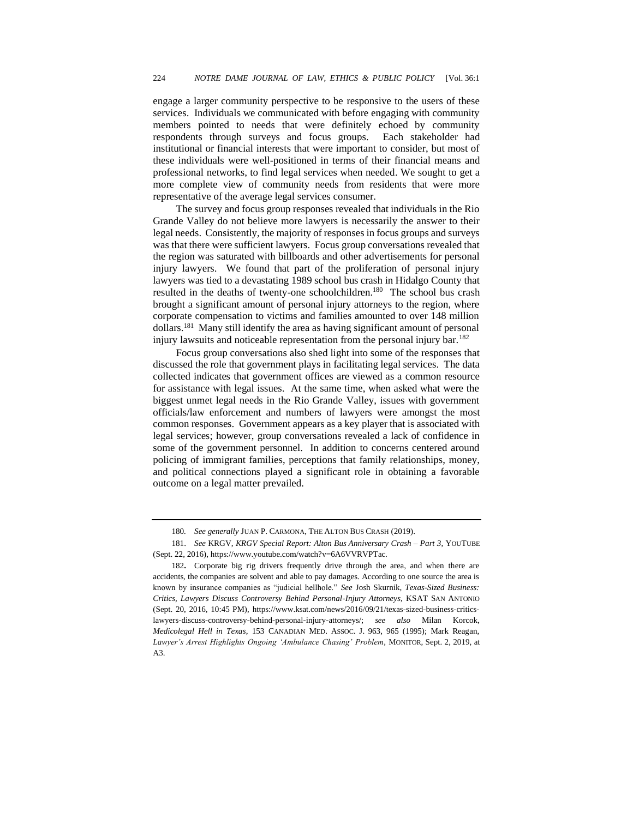engage a larger community perspective to be responsive to the users of these services. Individuals we communicated with before engaging with community members pointed to needs that were definitely echoed by community respondents through surveys and focus groups. Each stakeholder had institutional or financial interests that were important to consider, but most of these individuals were well-positioned in terms of their financial means and professional networks, to find legal services when needed. We sought to get a more complete view of community needs from residents that were more representative of the average legal services consumer.

The survey and focus group responses revealed that individuals in the Rio Grande Valley do not believe more lawyers is necessarily the answer to their legal needs. Consistently, the majority of responses in focus groups and surveys was that there were sufficient lawyers. Focus group conversations revealed that the region was saturated with billboards and other advertisements for personal injury lawyers. We found that part of the proliferation of personal injury lawyers was tied to a devastating 1989 school bus crash in Hidalgo County that resulted in the deaths of twenty-one schoolchildren.<sup>180</sup> The school bus crash brought a significant amount of personal injury attorneys to the region, where corporate compensation to victims and families amounted to over 148 million dollars.<sup>181</sup> Many still identify the area as having significant amount of personal injury lawsuits and noticeable representation from the personal injury bar.<sup>182</sup>

Focus group conversations also shed light into some of the responses that discussed the role that government plays in facilitating legal services. The data collected indicates that government offices are viewed as a common resource for assistance with legal issues. At the same time, when asked what were the biggest unmet legal needs in the Rio Grande Valley, issues with government officials/law enforcement and numbers of lawyers were amongst the most common responses. Government appears as a key player that is associated with legal services; however, group conversations revealed a lack of confidence in some of the government personnel. In addition to concerns centered around policing of immigrant families, perceptions that family relationships, money, and political connections played a significant role in obtaining a favorable outcome on a legal matter prevailed.

<sup>180</sup>*. See generally* JUAN P. CARMONA, THE ALTON BUS CRASH (2019).

<sup>181.</sup> *See* KRGV, *KRGV Special Report: Alton Bus Anniversary Crash – Part 3*, YOUTUBE (Sept. 22, 2016), https://www.youtube.com/watch?v=6A6VVRVPTac.

<sup>182</sup>**.** Corporate big rig drivers frequently drive through the area, and when there are accidents, the companies are solvent and able to pay damages. According to one source the area is known by insurance companies as "judicial hellhole." *See* Josh Skurnik, *Texas-Sized Business: Critics, Lawyers Discuss Controversy Behind Personal-Injury Attorneys*, KSAT SAN ANTONIO (Sept. 20, 2016, 10:45 PM), [https://www.ksat.com/news/2016/09/21/texas-sized-business-critics](https://www.ksat.com/news/2016/09/21/texas-sized-business-critics-lawyers-discuss-controversy-behind-personal-injury-attorneys/)[lawyers-discuss-controversy-behind-personal-injury-attorneys/;](https://www.ksat.com/news/2016/09/21/texas-sized-business-critics-lawyers-discuss-controversy-behind-personal-injury-attorneys/) *see also* Milan Korcok, *Medicolegal Hell in Texas*, 153 CANADIAN MED. ASSOC. J. 963, 965 (1995); Mark Reagan, *Lawyer's Arrest Highlights Ongoing 'Ambulance Chasing' Problem*, MONITOR, Sept. 2, 2019, at A3.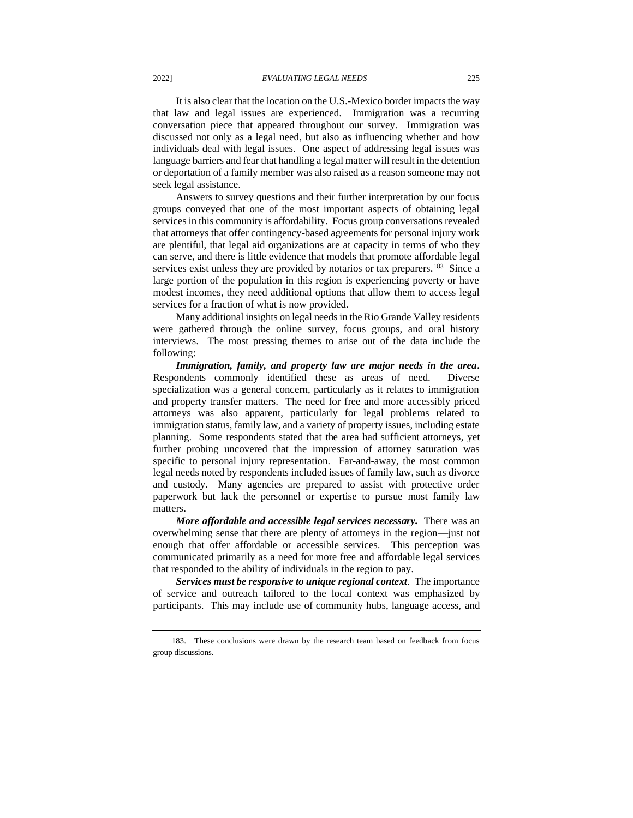It is also clear that the location on the U.S.-Mexico border impacts the way that law and legal issues are experienced. Immigration was a recurring conversation piece that appeared throughout our survey. Immigration was discussed not only as a legal need, but also as influencing whether and how individuals deal with legal issues. One aspect of addressing legal issues was language barriers and fear that handling a legal matter will result in the detention or deportation of a family member was also raised as a reason someone may not seek legal assistance.

Answers to survey questions and their further interpretation by our focus groups conveyed that one of the most important aspects of obtaining legal services in this community is affordability. Focus group conversations revealed that attorneys that offer contingency-based agreements for personal injury work are plentiful, that legal aid organizations are at capacity in terms of who they can serve, and there is little evidence that models that promote affordable legal services exist unless they are provided by notarios or tax preparers.<sup>183</sup> Since a large portion of the population in this region is experiencing poverty or have modest incomes, they need additional options that allow them to access legal services for a fraction of what is now provided.

Many additional insights on legal needs in the Rio Grande Valley residents were gathered through the online survey, focus groups, and oral history interviews. The most pressing themes to arise out of the data include the following:

*Immigration, family, and property law are major needs in the area***.**  Respondents commonly identified these as areas of need. Diverse specialization was a general concern, particularly as it relates to immigration and property transfer matters. The need for free and more accessibly priced attorneys was also apparent, particularly for legal problems related to immigration status, family law, and a variety of property issues, including estate planning. Some respondents stated that the area had sufficient attorneys, yet further probing uncovered that the impression of attorney saturation was specific to personal injury representation. Far-and-away, the most common legal needs noted by respondents included issues of family law, such as divorce and custody. Many agencies are prepared to assist with protective order paperwork but lack the personnel or expertise to pursue most family law matters.

*More affordable and accessible legal services necessary.*There was an overwhelming sense that there are plenty of attorneys in the region––just not enough that offer affordable or accessible services. This perception was communicated primarily as a need for more free and affordable legal services that responded to the ability of individuals in the region to pay.

*Services must be responsive to unique regional context*. The importance of service and outreach tailored to the local context was emphasized by participants. This may include use of community hubs, language access, and

<sup>183.</sup> These conclusions were drawn by the research team based on feedback from focus group discussions.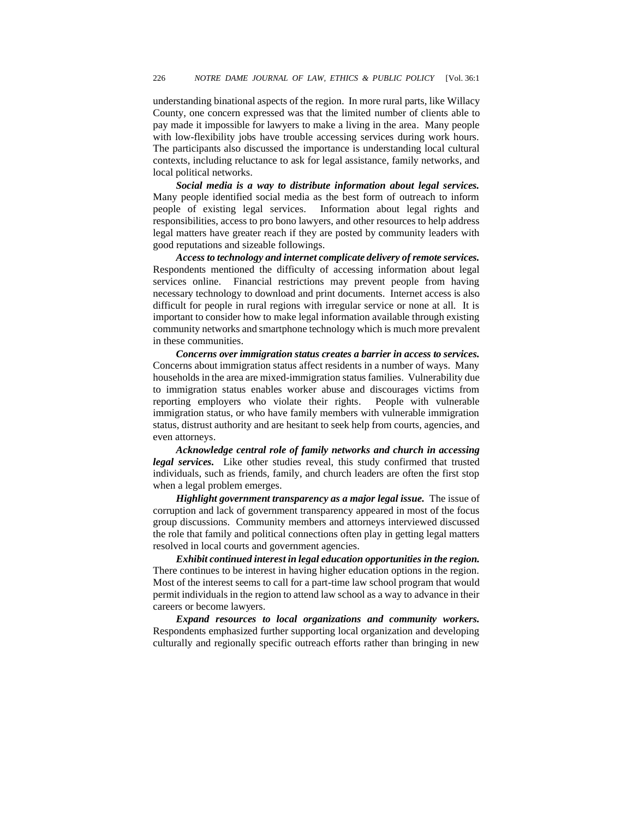understanding binational aspects of the region. In more rural parts, like Willacy County, one concern expressed was that the limited number of clients able to pay made it impossible for lawyers to make a living in the area. Many people with low-flexibility jobs have trouble accessing services during work hours. The participants also discussed the importance is understanding local cultural contexts, including reluctance to ask for legal assistance, family networks, and local political networks.

*Social media is a way to distribute information about legal services.*  Many people identified social media as the best form of outreach to inform people of existing legal services. Information about legal rights and responsibilities, access to pro bono lawyers, and other resources to help address legal matters have greater reach if they are posted by community leaders with good reputations and sizeable followings.

*Access to technology and internet complicate delivery of remote services.*  Respondents mentioned the difficulty of accessing information about legal services online. Financial restrictions may prevent people from having necessary technology to download and print documents. Internet access is also difficult for people in rural regions with irregular service or none at all. It is important to consider how to make legal information available through existing community networks and smartphone technology which is much more prevalent in these communities.

*Concerns over immigration status creates a barrier in access to services.*  Concerns about immigration status affect residents in a number of ways. Many households in the area are mixed-immigration status families. Vulnerability due to immigration status enables worker abuse and discourages victims from reporting employers who violate their rights. People with vulnerable immigration status, or who have family members with vulnerable immigration status, distrust authority and are hesitant to seek help from courts, agencies, and even attorneys.

*Acknowledge central role of family networks and church in accessing legal services.* Like other studies reveal, this study confirmed that trusted individuals, such as friends, family, and church leaders are often the first stop when a legal problem emerges.

*Highlight government transparency as a major legal issue.* The issue of corruption and lack of government transparency appeared in most of the focus group discussions. Community members and attorneys interviewed discussed the role that family and political connections often play in getting legal matters resolved in local courts and government agencies.

*Exhibit continued interest in legal education opportunities in the region.*  There continues to be interest in having higher education options in the region. Most of the interest seems to call for a part-time law school program that would permit individuals in the region to attend law school as a way to advance in their careers or become lawyers.

*Expand resources to local organizations and community workers.*  Respondents emphasized further supporting local organization and developing culturally and regionally specific outreach efforts rather than bringing in new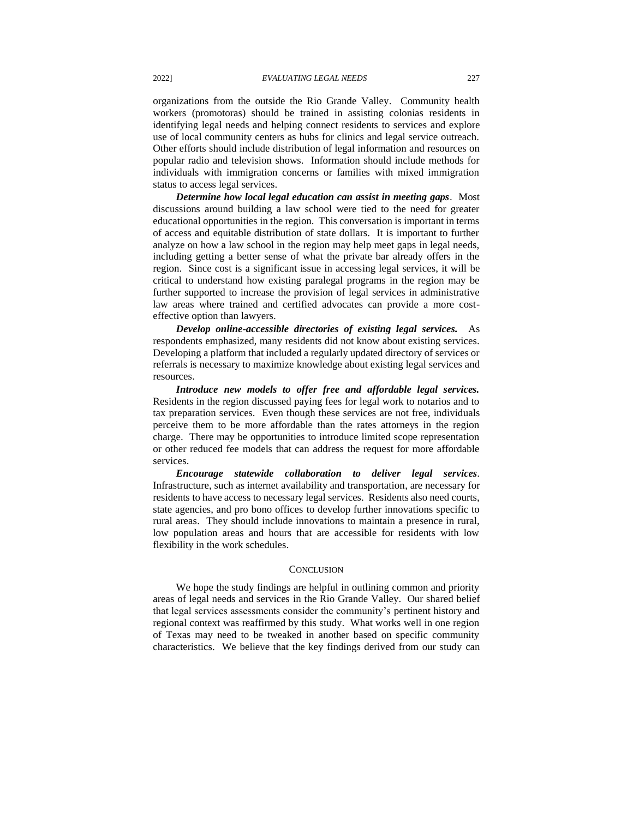organizations from the outside the Rio Grande Valley. Community health workers (promotoras) should be trained in assisting colonias residents in identifying legal needs and helping connect residents to services and explore use of local community centers as hubs for clinics and legal service outreach. Other efforts should include distribution of legal information and resources on popular radio and television shows. Information should include methods for individuals with immigration concerns or families with mixed immigration status to access legal services.

*Determine how local legal education can assist in meeting gaps*. Most discussions around building a law school were tied to the need for greater educational opportunities in the region. This conversation is important in terms of access and equitable distribution of state dollars. It is important to further analyze on how a law school in the region may help meet gaps in legal needs, including getting a better sense of what the private bar already offers in the region. Since cost is a significant issue in accessing legal services, it will be critical to understand how existing paralegal programs in the region may be further supported to increase the provision of legal services in administrative law areas where trained and certified advocates can provide a more costeffective option than lawyers.

*Develop online-accessible directories of existing legal services.* As respondents emphasized, many residents did not know about existing services. Developing a platform that included a regularly updated directory of services or referrals is necessary to maximize knowledge about existing legal services and resources.

*Introduce new models to offer free and affordable legal services.*  Residents in the region discussed paying fees for legal work to notarios and to tax preparation services. Even though these services are not free, individuals perceive them to be more affordable than the rates attorneys in the region charge. There may be opportunities to introduce limited scope representation or other reduced fee models that can address the request for more affordable services.

*Encourage statewide collaboration to deliver legal services.* Infrastructure, such as internet availability and transportation, are necessary for residents to have access to necessary legal services. Residents also need courts, state agencies, and pro bono offices to develop further innovations specific to rural areas. They should include innovations to maintain a presence in rural, low population areas and hours that are accessible for residents with low flexibility in the work schedules.

#### **CONCLUSION**

We hope the study findings are helpful in outlining common and priority areas of legal needs and services in the Rio Grande Valley. Our shared belief that legal services assessments consider the community's pertinent history and regional context was reaffirmed by this study. What works well in one region of Texas may need to be tweaked in another based on specific community characteristics. We believe that the key findings derived from our study can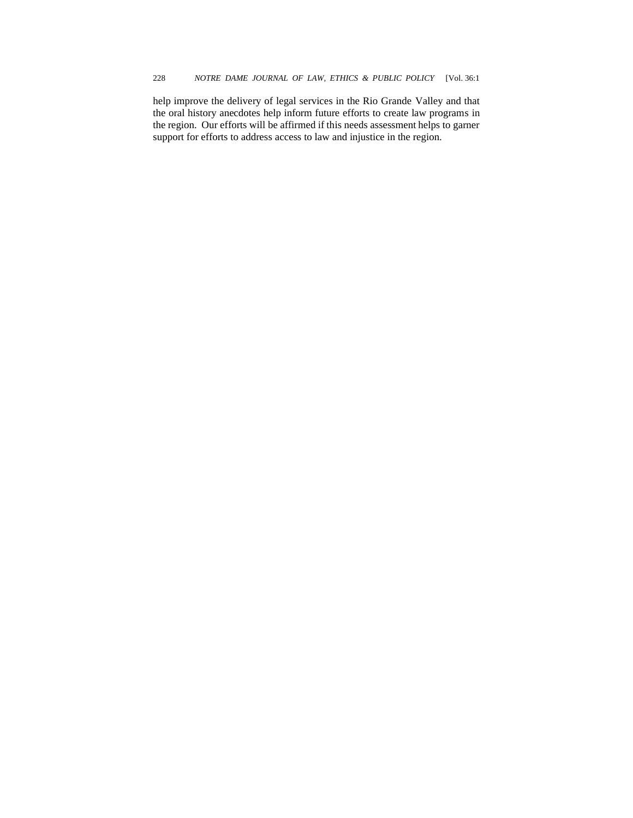help improve the delivery of legal services in the Rio Grande Valley and that the oral history anecdotes help inform future efforts to create law programs in the region. Our efforts will be affirmed if this needs assessment helps to garner support for efforts to address access to law and injustice in the region.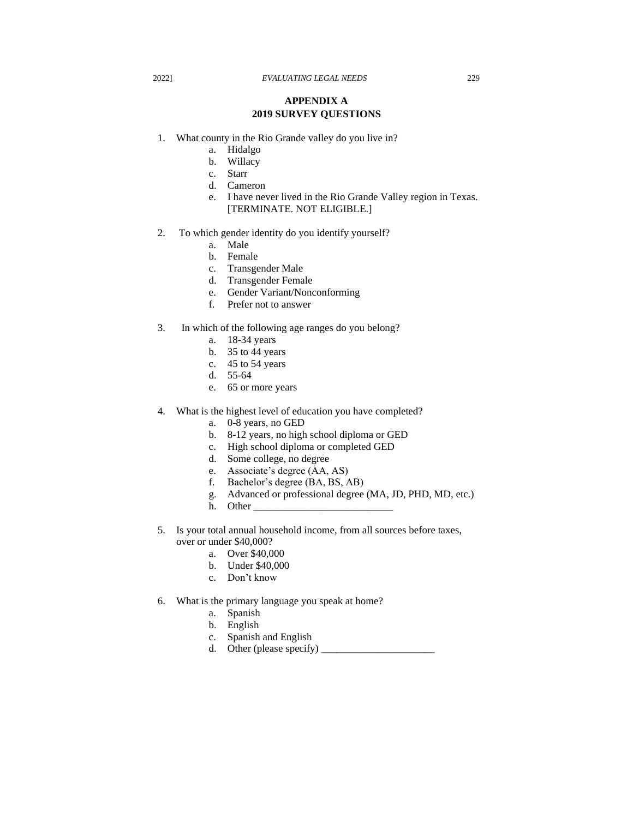# **APPENDIX A 2019 SURVEY QUESTIONS**

- 1. What county in the Rio Grande valley do you live in?
	- a. Hidalgo
	- b. Willacy
	- c. Starr
	- d. Cameron
	- e. I have never lived in the Rio Grande Valley region in Texas. [TERMINATE. NOT ELIGIBLE.]
- 2. To which gender identity do you identify yourself?
	- a. Male
	- b. Female
	- c. Transgender Male
	- d. Transgender Female
	- e. Gender Variant/Nonconforming
	- f. Prefer not to answer
- 3. In which of the following age ranges do you belong?
	- a. 18-34 years
	- b. 35 to 44 years
	- c. 45 to 54 years
	- d. 55-64
	- e. 65 or more years
- 4. What is the highest level of education you have completed?
	- a. 0-8 years, no GED
	- b. 8-12 years, no high school diploma or GED
	- c. High school diploma or completed GED
	- d. Some college, no degree
	- e. Associate's degree (AA, AS)
	- f. Bachelor's degree (BA, BS, AB)
	- g. Advanced or professional degree (MA, JD, PHD, MD, etc.)
	- h. Other
- 5. Is your total annual household income, from all sources before taxes, over or under \$40,000?
	- a. Over \$40,000
	- b. Under \$40,000
	- c. Don't know
- 6. What is the primary language you speak at home?
	- a. Spanish
	- b. English
	- c. Spanish and English
	- d. Other (please specify)  $\_\_$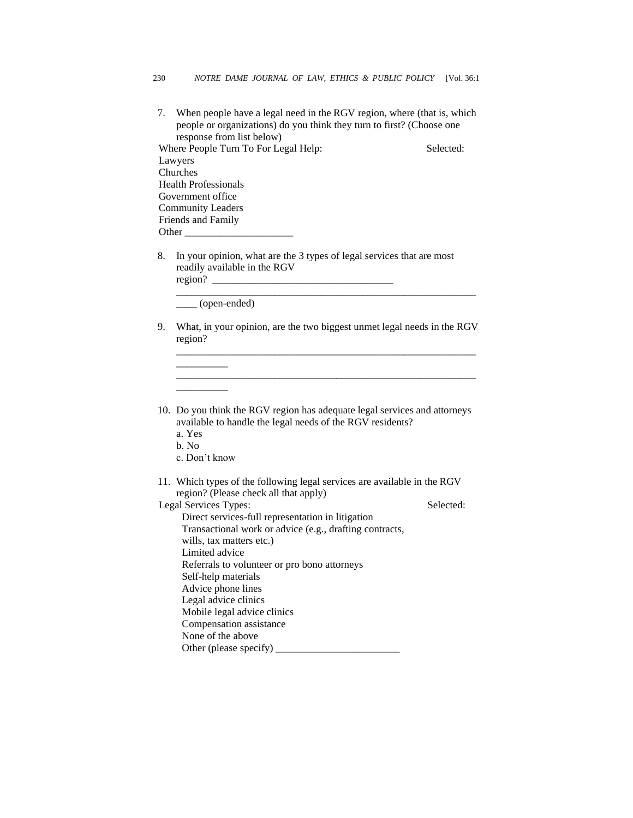- 7. When people have a legal need in the RGV region, where (that is, which people or organizations) do you think they turn to first? (Choose one response from list below) Where People Turn To For Legal Help: Selected: Lawyers Churches Health Professionals Government office Community Leaders Friends and Family Other
- 8. In your opinion, what are the 3 types of legal services that are most readily available in the RGV region?

\_\_\_\_ (open-ended)

9. What, in your opinion, are the two biggest unmet legal needs in the RGV region?

\_\_\_\_\_\_\_\_\_\_\_\_\_\_\_\_\_\_\_\_\_\_\_\_\_\_\_\_\_\_\_\_\_\_\_\_\_\_\_\_\_\_\_\_\_\_\_\_\_\_\_\_\_\_\_\_\_\_

\_\_\_\_\_\_\_\_\_\_\_\_\_\_\_\_\_\_\_\_\_\_\_\_\_\_\_\_\_\_\_\_\_\_\_\_\_\_\_\_\_\_\_\_\_\_\_\_\_\_\_\_\_\_\_\_\_\_

\_\_\_\_\_\_\_\_\_\_\_\_\_\_\_\_\_\_\_\_\_\_\_\_\_\_\_\_\_\_\_\_\_\_\_\_\_\_\_\_\_\_\_\_\_\_\_\_\_\_\_\_\_\_\_\_\_\_

10. Do you think the RGV region has adequate legal services and attorneys available to handle the legal needs of the RGV residents?

a. Yes

b. No

c. Don't know

\_\_\_\_\_\_\_\_\_\_

\_\_\_\_\_\_\_\_\_\_

11. Which types of the following legal services are available in the RGV region? (Please check all that apply)

Legal Services Types: Selected: Direct services-full representation in litigation Transactional work or advice (e.g., drafting contracts, wills, tax matters etc.) Limited advice Referrals to volunteer or pro bono attorneys Self-help materials Advice phone lines Legal advice clinics Mobile legal advice clinics Compensation assistance None of the above Other (please specify) \_\_\_\_\_\_\_\_\_\_\_\_\_\_\_\_\_\_\_\_\_\_\_\_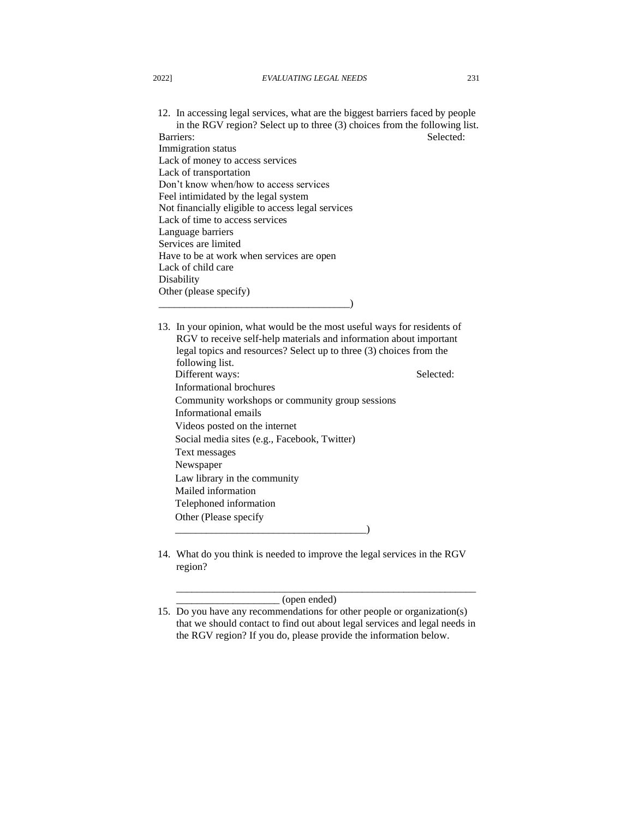12. In accessing legal services, what are the biggest barriers faced by people in the RGV region? Select up to three (3) choices from the following list. Barriers: Selected: Selected: Immigration status Lack of money to access services Lack of transportation Don't know when/how to access services Feel intimidated by the legal system Not financially eligible to access legal services Lack of time to access services Language barriers Services are limited Have to be at work when services are open Lack of child care **Disability** Other (please specify)

\_\_\_\_\_\_\_\_\_\_\_\_\_\_\_\_\_\_\_\_\_\_\_\_\_\_\_\_\_\_\_\_\_\_\_\_\_)

13. In your opinion, what would be the most useful ways for residents of RGV to receive self-help materials and information about important legal topics and resources? Select up to three (3) choices from the following list. Different ways: Selected: Informational brochures Community workshops or community group sessions Informational emails Videos posted on the internet Social media sites (e.g., Facebook, Twitter) Text messages Newspaper Law library in the community Mailed information Telephoned information Other (Please specify \_\_\_\_\_\_\_\_\_\_\_\_\_\_\_\_\_\_\_\_\_\_\_\_\_\_\_\_\_\_\_\_\_\_\_\_\_)

14. What do you think is needed to improve the legal services in the RGV region?

\_\_\_\_\_\_\_\_\_\_\_\_\_\_\_\_\_\_\_\_ (open ended)

\_\_\_\_\_\_\_\_\_\_\_\_\_\_\_\_\_\_\_\_\_\_\_\_\_\_\_\_\_\_\_\_\_\_\_\_\_\_\_\_\_\_\_\_\_\_\_\_\_\_\_\_\_\_\_\_\_\_

<sup>15.</sup> Do you have any recommendations for other people or organization(s) that we should contact to find out about legal services and legal needs in the RGV region? If you do, please provide the information below.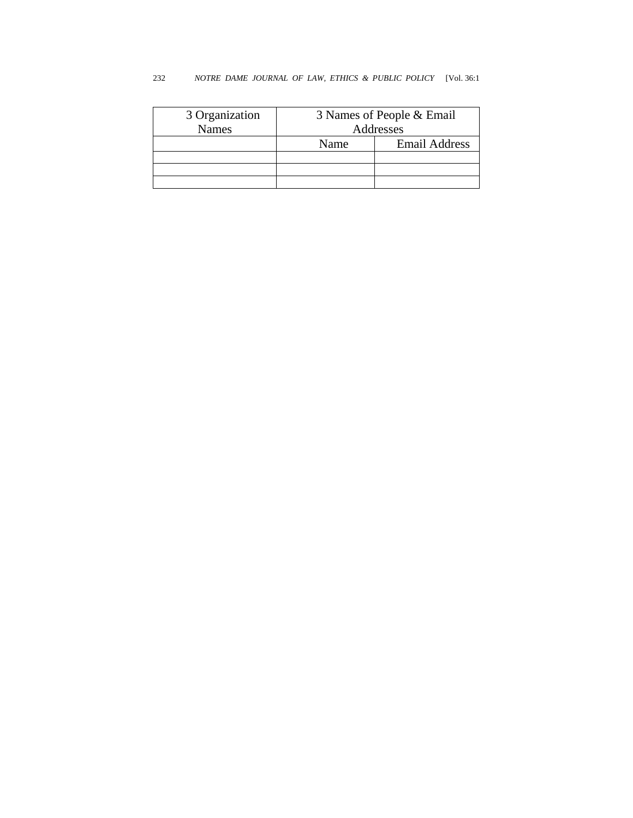| 3 Organization | 3 Names of People & Email |                      |  |  |  |  |  |
|----------------|---------------------------|----------------------|--|--|--|--|--|
| <b>Names</b>   | Addresses                 |                      |  |  |  |  |  |
|                | Name                      | <b>Email Address</b> |  |  |  |  |  |
|                |                           |                      |  |  |  |  |  |
|                |                           |                      |  |  |  |  |  |
|                |                           |                      |  |  |  |  |  |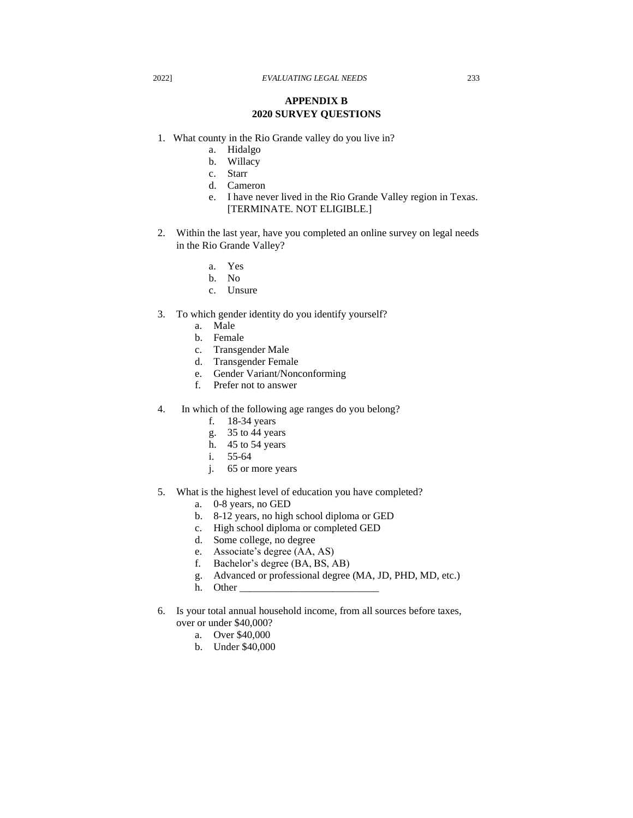# **APPENDIX B 2020 SURVEY QUESTIONS**

- 1. What county in the Rio Grande valley do you live in?
	- a. Hidalgo
	- b. Willacy
	- c. Starr
	- d. Cameron
	- e. I have never lived in the Rio Grande Valley region in Texas. [TERMINATE. NOT ELIGIBLE.]
- 2. Within the last year, have you completed an online survey on legal needs in the Rio Grande Valley?
	- a. Yes
	- b. No
	- c. Unsure
- 3. To which gender identity do you identify yourself?
	- a. Male
	- b. Female
	- c. Transgender Male
	- d. Transgender Female
	- e. Gender Variant/Nonconforming
	- f. Prefer not to answer
- 4. In which of the following age ranges do you belong?
	- f. 18-34 years
	- g. 35 to 44 years
	- h. 45 to 54 years
	- i. 55-64
	- j. 65 or more years
- 5. What is the highest level of education you have completed?
	- a. 0-8 years, no GED
	- b. 8-12 years, no high school diploma or GED
	- c. High school diploma or completed GED
	- d. Some college, no degree
	- e. Associate's degree (AA, AS)
	- f. Bachelor's degree (BA, BS, AB)
	- g. Advanced or professional degree (MA, JD, PHD, MD, etc.)
	- h. Other
- 6. Is your total annual household income, from all sources before taxes, over or under \$40,000?
	- a. Over \$40,000
	- b. Under \$40,000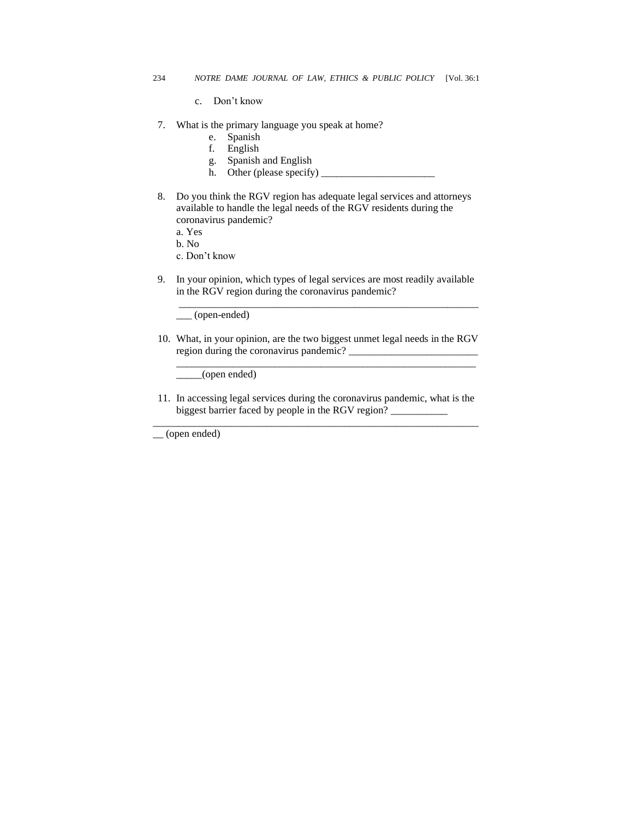- c. Don't know
- 7. What is the primary language you speak at home?
	- e. Spanish
	- f. English
	- g. Spanish and English
	- h. Other (please specify)  $\frac{1}{\sqrt{2}}$
- 8. Do you think the RGV region has adequate legal services and attorneys available to handle the legal needs of the RGV residents during the coronavirus pandemic?
	- a. Yes
	- b. No
	- c. Don't know
- 9. In your opinion, which types of legal services are most readily available in the RGV region during the coronavirus pandemic?

\_\_\_\_\_\_\_\_\_\_\_\_\_\_\_\_\_\_\_\_\_\_\_\_\_\_\_\_\_\_\_\_\_\_\_\_\_\_\_\_\_\_\_\_\_\_\_\_\_\_\_\_\_\_\_\_\_\_

\_\_\_ (open-ended)

10. What, in your opinion, are the two biggest unmet legal needs in the RGV region during the coronavirus pandemic? \_\_\_\_\_\_\_\_\_\_\_\_\_\_\_\_\_\_\_\_\_\_\_\_\_

\_\_\_\_\_\_\_\_\_\_\_\_\_\_\_\_\_\_\_\_\_\_\_\_\_\_\_\_\_\_\_\_\_\_\_\_\_\_\_\_\_\_\_\_\_\_\_\_\_\_\_\_\_\_\_\_\_\_

\_\_\_\_\_(open ended)

11. In accessing legal services during the coronavirus pandemic, what is the biggest barrier faced by people in the RGV region? \_\_\_\_\_\_\_\_\_\_\_ \_\_\_\_\_\_\_\_\_\_\_\_\_\_\_\_\_\_\_\_\_\_\_\_\_\_\_\_\_\_\_\_\_\_\_\_\_\_\_\_\_\_\_\_\_\_\_\_\_\_\_\_\_\_\_\_\_\_\_\_\_\_\_

\_\_ (open ended)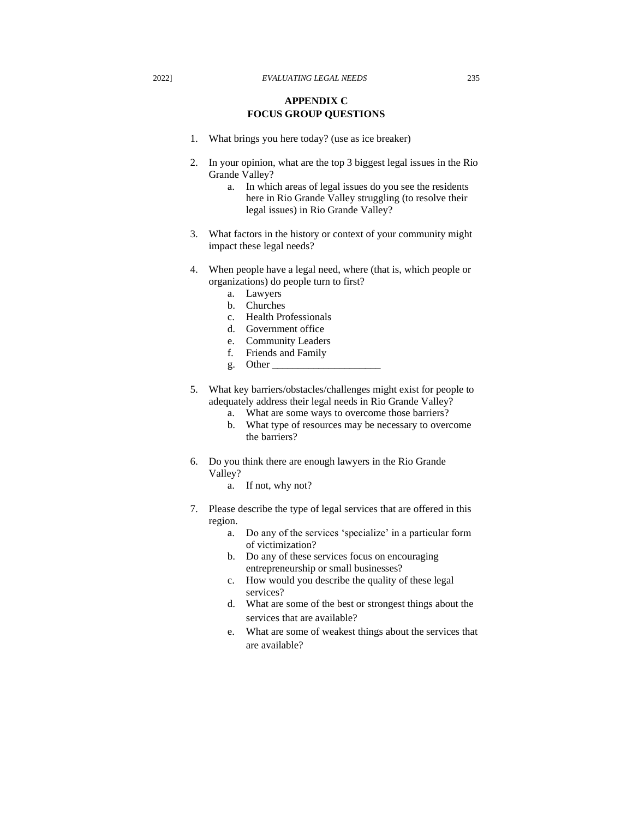# **APPENDIX C FOCUS GROUP QUESTIONS**

- 1. What brings you here today? (use as ice breaker)
- 2. In your opinion, what are the top 3 biggest legal issues in the Rio Grande Valley?
	- a. In which areas of legal issues do you see the residents here in Rio Grande Valley struggling (to resolve their legal issues) in Rio Grande Valley?
- 3. What factors in the history or context of your community might impact these legal needs?
- 4. When people have a legal need, where (that is, which people or organizations) do people turn to first?
	- a. Lawyers
	- b. Churches
	- c. Health Professionals
	- d. Government office
	- e. Community Leaders
	- f. Friends and Family
	- g. Other
- 5. What key barriers/obstacles/challenges might exist for people to adequately address their legal needs in Rio Grande Valley?
	- a. What are some ways to overcome those barriers?
	- b. What type of resources may be necessary to overcome the barriers?
- 6. Do you think there are enough lawyers in the Rio Grande Valley?
	- a. If not, why not?
- 7. Please describe the type of legal services that are offered in this region.
	- a. Do any of the services 'specialize' in a particular form of victimization?
	- b. Do any of these services focus on encouraging entrepreneurship or small businesses?
	- c. How would you describe the quality of these legal services?
	- d. What are some of the best or strongest things about the services that are available?
	- e. What are some of weakest things about the services that are available?